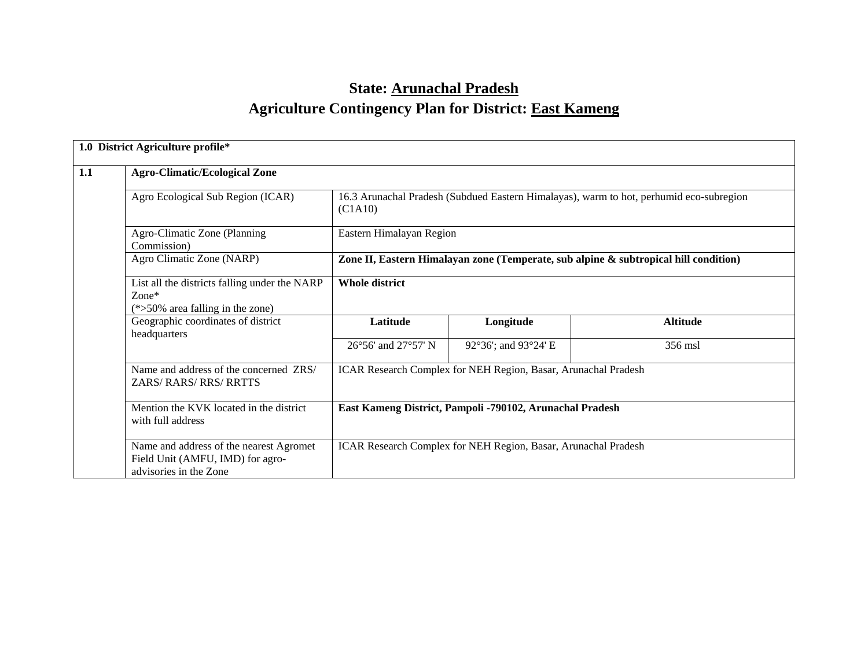# **State: Arunachal Pradesh Agriculture Contingency Plan for District: East Kameng**

|     | 1.0 District Agriculture profile*                                                                     |                                                                |                                                                                         |                 |  |  |  |  |  |
|-----|-------------------------------------------------------------------------------------------------------|----------------------------------------------------------------|-----------------------------------------------------------------------------------------|-----------------|--|--|--|--|--|
| 1.1 | <b>Agro-Climatic/Ecological Zone</b>                                                                  |                                                                |                                                                                         |                 |  |  |  |  |  |
|     | Agro Ecological Sub Region (ICAR)                                                                     | (C1A10)                                                        | 16.3 Arunachal Pradesh (Subdued Eastern Himalayas), warm to hot, perhumid eco-subregion |                 |  |  |  |  |  |
|     | Agro-Climatic Zone (Planning<br>Commission)                                                           | Eastern Himalayan Region                                       |                                                                                         |                 |  |  |  |  |  |
|     | Agro Climatic Zone (NARP)                                                                             |                                                                | Zone II, Eastern Himalayan zone (Temperate, sub alpine & subtropical hill condition)    |                 |  |  |  |  |  |
|     | List all the districts falling under the NARP<br>$Zone*$<br>$(*>50\%$ area falling in the zone)       | <b>Whole district</b>                                          |                                                                                         |                 |  |  |  |  |  |
|     | Geographic coordinates of district<br>headquarters                                                    | Latitude                                                       | Longitude                                                                               | <b>Altitude</b> |  |  |  |  |  |
|     |                                                                                                       | 26°56' and 27°57' N                                            | 92°36'; and 93°24' E                                                                    | 356 msl         |  |  |  |  |  |
|     | Name and address of the concerned ZRS/<br><b>ZARS/RARS/RRS/RRTTS</b>                                  | ICAR Research Complex for NEH Region, Basar, Arunachal Pradesh |                                                                                         |                 |  |  |  |  |  |
|     | Mention the KVK located in the district<br>with full address                                          | East Kameng District, Pampoli -790102, Arunachal Pradesh       |                                                                                         |                 |  |  |  |  |  |
|     | Name and address of the nearest Agromet<br>Field Unit (AMFU, IMD) for agro-<br>advisories in the Zone |                                                                | ICAR Research Complex for NEH Region, Basar, Arunachal Pradesh                          |                 |  |  |  |  |  |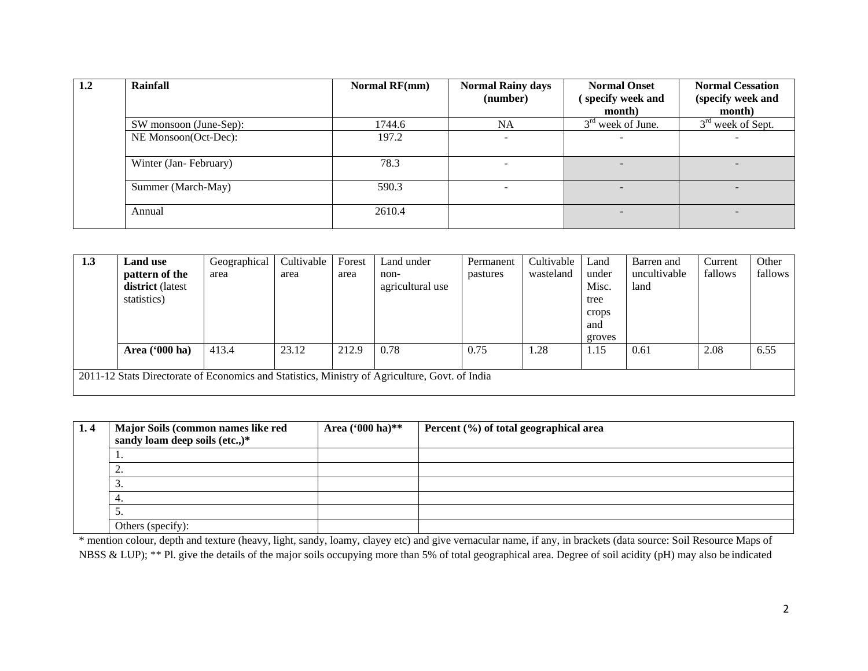| 1.2 | Rainfall               | <b>Normal RF(mm)</b> | <b>Normal Rainy days</b><br>(number) | <b>Normal Onset</b><br>specify week and | <b>Normal Cessation</b><br>(specify week and |
|-----|------------------------|----------------------|--------------------------------------|-----------------------------------------|----------------------------------------------|
|     |                        |                      |                                      | month)                                  | month)                                       |
|     | SW monsoon (June-Sep): | 1744.6               | <b>NA</b>                            | $3rd$ week of June.                     | $3rd$ week of Sept.                          |
|     | NE Monsoon(Oct-Dec):   | 197.2                |                                      |                                         |                                              |
|     | Winter (Jan-February)  | 78.3                 |                                      |                                         |                                              |
|     | Summer (March-May)     | 590.3                |                                      | $\overline{\phantom{0}}$                |                                              |
|     | Annual                 | 2610.4               |                                      |                                         |                                              |

| 1.3 | <b>Land use</b>         | Geographical | Cultivable | Forest | Land under                                                                                     | Permanent | Cultivable | Land   | Barren and   | Current | Other   |
|-----|-------------------------|--------------|------------|--------|------------------------------------------------------------------------------------------------|-----------|------------|--------|--------------|---------|---------|
|     | pattern of the          | area         | area       | area   | non-                                                                                           | pastures  | wasteland  | under  | uncultivable | fallows | fallows |
|     | district (latest        |              |            |        | agricultural use                                                                               |           |            | Misc.  | land         |         |         |
|     | statistics)             |              |            |        |                                                                                                |           |            | tree   |              |         |         |
|     |                         |              |            |        |                                                                                                |           |            | crops  |              |         |         |
|     |                         |              |            |        |                                                                                                |           |            | and    |              |         |         |
|     |                         |              |            |        |                                                                                                |           |            | groves |              |         |         |
|     | Area $(900 \text{ ha})$ | 413.4        | 23.12      | 212.9  | 0.78                                                                                           | 0.75      | 1.28       | 1.15   | 0.61         | 2.08    | 6.55    |
|     |                         |              |            |        |                                                                                                |           |            |        |              |         |         |
|     |                         |              |            |        | 2011-12 Stats Directorate of Economics and Statistics, Ministry of Agriculture, Govt. of India |           |            |        |              |         |         |
|     |                         |              |            |        |                                                                                                |           |            |        |              |         |         |

| 1.4 | Major Soils (common names like red | Area ('000 ha)** | Percent $(\%)$ of total geographical area |
|-----|------------------------------------|------------------|-------------------------------------------|
|     | sandy loam deep soils (etc.,)*     |                  |                                           |
|     | . .                                |                  |                                           |
|     | <u>.</u>                           |                  |                                           |
|     | . ب                                |                  |                                           |
|     |                                    |                  |                                           |
|     | ັ.                                 |                  |                                           |
|     | Others (specify):                  |                  |                                           |

\* mention colour, depth and texture (heavy, light, sandy, loamy, clayey etc) and give vernacular name, if any, in brackets (data source: Soil Resource Maps of NBSS & LUP); \*\* Pl. give the details of the major soils occupying more than 5% of total geographical area. Degree of soil acidity (pH) may also be indicated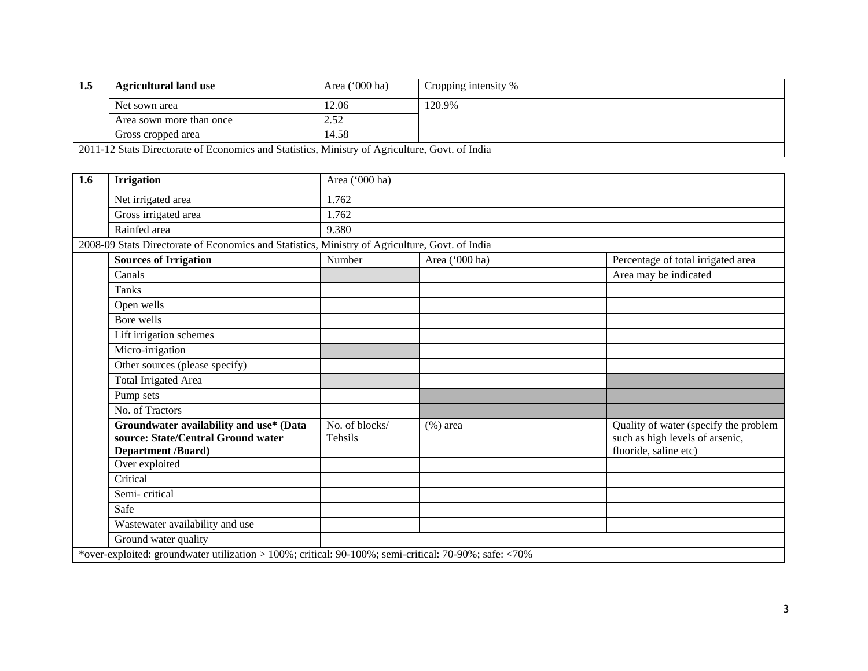| 1.5                         | <b>Agricultural land use</b>                                                                   | Area $('000 ha)$ | Cropping intensity % |
|-----------------------------|------------------------------------------------------------------------------------------------|------------------|----------------------|
| Net sown area<br>12.06      |                                                                                                |                  | 120.9%               |
|                             | Area sown more than once                                                                       | 2.52             |                      |
| 14.58<br>Gross cropped area |                                                                                                |                  |                      |
|                             | 2011-12 Stats Directorate of Economics and Statistics, Ministry of Agriculture, Govt. of India |                  |                      |

| 1.6                                                                                                   | <b>Irrigation</b>                                                                                   | Area ('000 ha)                                 |                |                                                                                                   |  |  |  |  |
|-------------------------------------------------------------------------------------------------------|-----------------------------------------------------------------------------------------------------|------------------------------------------------|----------------|---------------------------------------------------------------------------------------------------|--|--|--|--|
|                                                                                                       | Net irrigated area                                                                                  | 1.762                                          |                |                                                                                                   |  |  |  |  |
|                                                                                                       | Gross irrigated area                                                                                | 1.762                                          |                |                                                                                                   |  |  |  |  |
|                                                                                                       | Rainfed area                                                                                        | 9.380                                          |                |                                                                                                   |  |  |  |  |
|                                                                                                       | 2008-09 Stats Directorate of Economics and Statistics, Ministry of Agriculture, Govt. of India      |                                                |                |                                                                                                   |  |  |  |  |
|                                                                                                       | <b>Sources of Irrigation</b>                                                                        | Number                                         | Area ('000 ha) | Percentage of total irrigated area                                                                |  |  |  |  |
|                                                                                                       | Canals                                                                                              |                                                |                | Area may be indicated                                                                             |  |  |  |  |
|                                                                                                       | <b>Tanks</b>                                                                                        |                                                |                |                                                                                                   |  |  |  |  |
|                                                                                                       | Open wells                                                                                          |                                                |                |                                                                                                   |  |  |  |  |
|                                                                                                       | Bore wells                                                                                          |                                                |                |                                                                                                   |  |  |  |  |
|                                                                                                       | Lift irrigation schemes                                                                             |                                                |                |                                                                                                   |  |  |  |  |
|                                                                                                       | Micro-irrigation                                                                                    |                                                |                |                                                                                                   |  |  |  |  |
|                                                                                                       | Other sources (please specify)                                                                      |                                                |                |                                                                                                   |  |  |  |  |
|                                                                                                       | <b>Total Irrigated Area</b>                                                                         |                                                |                |                                                                                                   |  |  |  |  |
|                                                                                                       | Pump sets                                                                                           |                                                |                |                                                                                                   |  |  |  |  |
|                                                                                                       | No. of Tractors                                                                                     |                                                |                |                                                                                                   |  |  |  |  |
|                                                                                                       | Groundwater availability and use* (Data<br>source: State/Central Ground water<br>Department /Board) | $\overline{\text{No}}$ . of blocks/<br>Tehsils | $(\%)$ area    | Quality of water (specify the problem<br>such as high levels of arsenic,<br>fluoride, saline etc) |  |  |  |  |
|                                                                                                       | Over exploited                                                                                      |                                                |                |                                                                                                   |  |  |  |  |
|                                                                                                       | Critical                                                                                            |                                                |                |                                                                                                   |  |  |  |  |
|                                                                                                       | Semi-critical                                                                                       |                                                |                |                                                                                                   |  |  |  |  |
|                                                                                                       | Safe                                                                                                |                                                |                |                                                                                                   |  |  |  |  |
|                                                                                                       | Wastewater availability and use                                                                     |                                                |                |                                                                                                   |  |  |  |  |
|                                                                                                       | Ground water quality                                                                                |                                                |                |                                                                                                   |  |  |  |  |
| *over-exploited: groundwater utilization > 100%; critical: 90-100%; semi-critical: 70-90%; safe: <70% |                                                                                                     |                                                |                |                                                                                                   |  |  |  |  |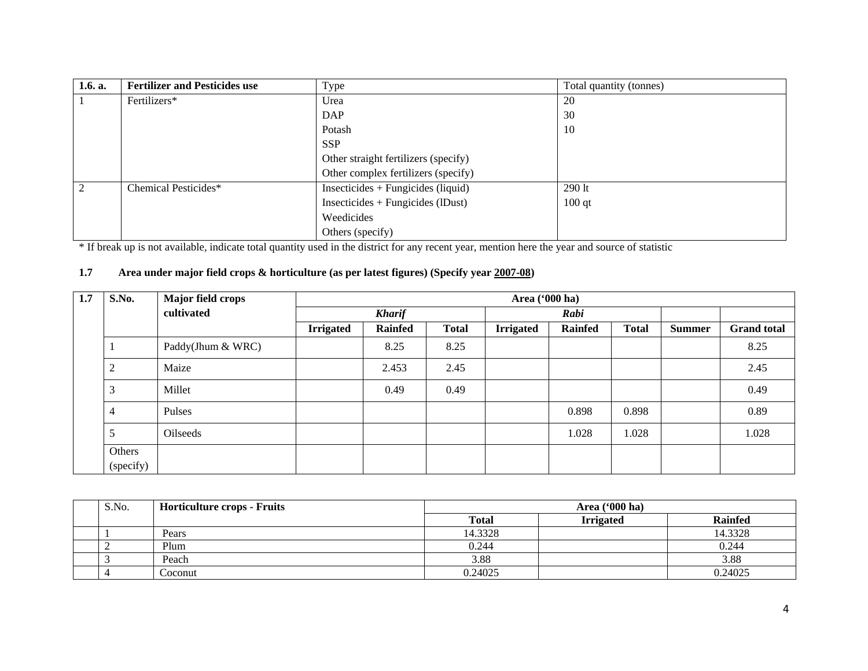| 1.6. a.        | <b>Fertilizer and Pesticides use</b> | Type                                 | Total quantity (tonnes) |
|----------------|--------------------------------------|--------------------------------------|-------------------------|
|                | Fertilizers*                         | Urea                                 | <b>20</b>               |
|                |                                      | <b>DAP</b>                           | 30                      |
|                |                                      | Potash                               | 10                      |
|                |                                      | <b>SSP</b>                           |                         |
|                |                                      | Other straight fertilizers (specify) |                         |
|                |                                      | Other complex fertilizers (specify)  |                         |
| $\overline{2}$ | Chemical Pesticides*                 | $Insecticides + Fungicides (liquid)$ | $290$ lt                |
|                |                                      | $Insecticides + Fungicides (IDust)$  | $100$ qt                |
|                |                                      | Weedicides                           |                         |
|                |                                      | Others (specify)                     |                         |

\* If break up is not available, indicate total quantity used in the district for any recent year, mention here the year and source of statistic

#### **1.7 Area under major field crops & horticulture (as per latest figures) (Specify year 2007-08)**

| 1.7 | S.No.          | <b>Major field crops</b> |                  | Area ('000 ha) |              |                  |                |              |               |                    |
|-----|----------------|--------------------------|------------------|----------------|--------------|------------------|----------------|--------------|---------------|--------------------|
|     |                | cultivated               |                  | <b>Kharif</b>  |              |                  | Rabi           |              |               |                    |
|     |                |                          | <b>Irrigated</b> | <b>Rainfed</b> | <b>Total</b> | <b>Irrigated</b> | <b>Rainfed</b> | <b>Total</b> | <b>Summer</b> | <b>Grand</b> total |
|     | $\mathbf{I}$   | Paddy(Jhum & WRC)        |                  | 8.25           | 8.25         |                  |                |              |               | 8.25               |
|     | $\overline{2}$ | Maize                    |                  | 2.453          | 2.45         |                  |                |              |               | 2.45               |
|     | 3              | Millet                   |                  | 0.49           | 0.49         |                  |                |              |               | 0.49               |
|     | $\overline{4}$ | Pulses                   |                  |                |              |                  | 0.898          | 0.898        |               | 0.89               |
|     | 5              | <b>Oilseeds</b>          |                  |                |              |                  | 1.028          | 1.028        |               | 1.028              |
|     | Others         |                          |                  |                |              |                  |                |              |               |                    |
|     | (specify)      |                          |                  |                |              |                  |                |              |               |                    |

| S.No. | <b>Horticulture crops - Fruits</b> | Area $(900 \text{ ha})$ |                  |                |
|-------|------------------------------------|-------------------------|------------------|----------------|
|       |                                    | <b>Total</b>            | <b>Irrigated</b> | <b>Rainfed</b> |
|       | Pears                              | 14.3328                 |                  | 14.3328        |
|       | Plum                               | 0.244                   |                  | 0.244          |
|       | Peach                              | 3.88                    |                  | 3.88           |
|       | Coconut                            | 0.24025                 |                  | 0.24025        |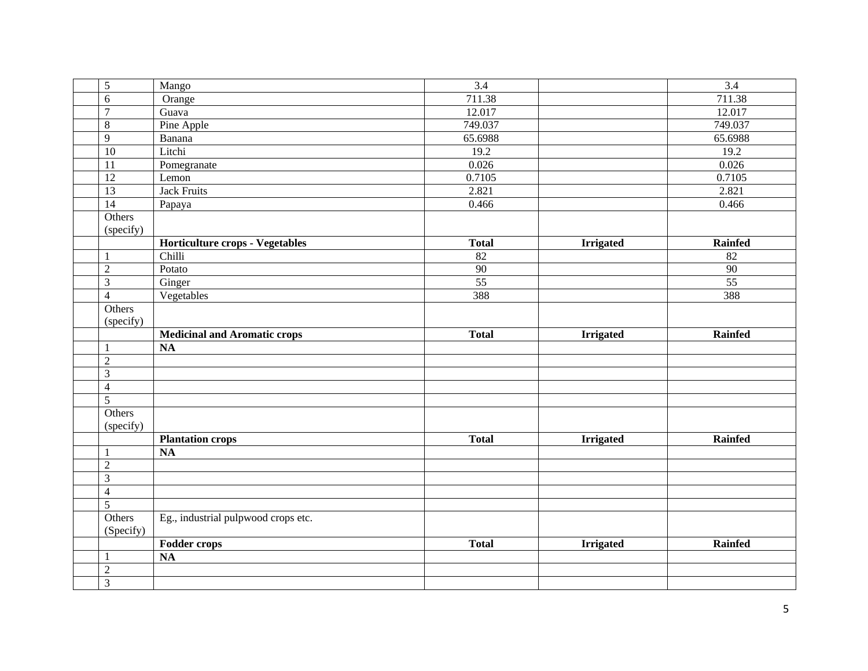| 5               | Mango                               | 3.4             |                  | 3.4             |
|-----------------|-------------------------------------|-----------------|------------------|-----------------|
| 6               | Orange                              | 711.38          |                  | 711.38          |
| $\overline{7}$  | Guava                               | 12.017          |                  | 12.017          |
| $8\,$           | Pine Apple                          | 749.037         |                  | 749.037         |
| $\overline{9}$  | Banana                              | 65.6988         |                  | 65.6988         |
| 10              | Litchi                              | 19.2            |                  | 19.2            |
| $\overline{11}$ | Pomegranate                         | 0.026           |                  | 0.026           |
| 12              | Lemon                               | 0.7105          |                  | 0.7105          |
| 13              | <b>Jack Fruits</b>                  | 2.821           |                  | 2.821           |
| $\overline{14}$ | Papaya                              | 0.466           |                  | 0.466           |
| Others          |                                     |                 |                  |                 |
| (specify)       |                                     |                 |                  |                 |
|                 | Horticulture crops - Vegetables     | <b>Total</b>    | <b>Irrigated</b> | <b>Rainfed</b>  |
| 1               | Chilli                              | $\overline{82}$ |                  | $\overline{82}$ |
| $\sqrt{2}$      | Potato                              | 90              |                  | 90              |
| $\overline{3}$  | Ginger                              | $\overline{55}$ |                  | $\overline{55}$ |
| $\overline{4}$  | Vegetables                          | 388             |                  | 388             |
| Others          |                                     |                 |                  |                 |
| (specify)       |                                     |                 |                  |                 |
|                 | <b>Medicinal and Aromatic crops</b> | <b>Total</b>    | <b>Irrigated</b> | Rainfed         |
|                 | <b>NA</b>                           |                 |                  |                 |
| $\sqrt{2}$      |                                     |                 |                  |                 |
| 3               |                                     |                 |                  |                 |
| $\overline{4}$  |                                     |                 |                  |                 |
| $\overline{5}$  |                                     |                 |                  |                 |
| Others          |                                     |                 |                  |                 |
| (specify)       |                                     |                 |                  |                 |
|                 | <b>Plantation crops</b>             | <b>Total</b>    | <b>Irrigated</b> | Rainfed         |
| 1               | $\overline{NA}$                     |                 |                  |                 |
| $\overline{2}$  |                                     |                 |                  |                 |
| $\overline{3}$  |                                     |                 |                  |                 |
| $\overline{4}$  |                                     |                 |                  |                 |
| $\overline{5}$  |                                     |                 |                  |                 |
| Others          | Eg., industrial pulpwood crops etc. |                 |                  |                 |
| (Specify)       |                                     |                 |                  |                 |
|                 | Fodder crops                        | <b>Total</b>    | <b>Irrigated</b> | <b>Rainfed</b>  |
|                 | <b>NA</b>                           |                 |                  |                 |
| $\sqrt{2}$      |                                     |                 |                  |                 |
| $\overline{3}$  |                                     |                 |                  |                 |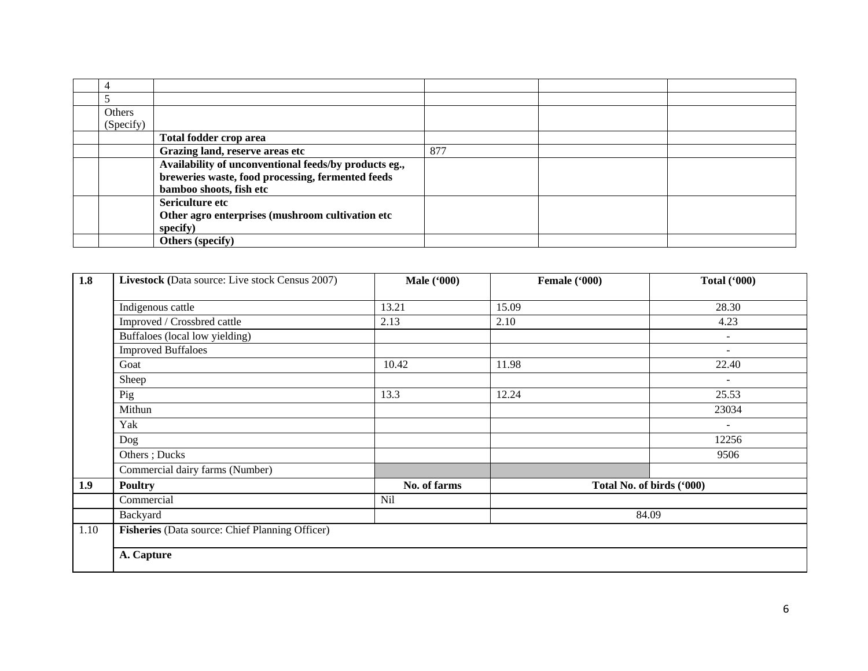| Others    |                                                       |     |  |
|-----------|-------------------------------------------------------|-----|--|
| (Specify) |                                                       |     |  |
|           | Total fodder crop area                                |     |  |
|           | Grazing land, reserve areas etc                       | 877 |  |
|           | Availability of unconventional feeds/by products eg., |     |  |
|           | breweries waste, food processing, fermented feeds     |     |  |
|           | bamboo shoots, fish etc                               |     |  |
|           | Sericulture etc                                       |     |  |
|           | Other agro enterprises (mushroom cultivation etc      |     |  |
|           | specify)                                              |     |  |
|           | <b>Others</b> (specify)                               |     |  |

| 1.8  | Livestock (Data source: Live stock Census 2007) | <b>Male</b> ('000) | Female ('000) | <b>Total ('000)</b>       |
|------|-------------------------------------------------|--------------------|---------------|---------------------------|
|      |                                                 |                    |               |                           |
|      | Indigenous cattle                               | 13.21              | 15.09         | 28.30                     |
|      | Improved / Crossbred cattle                     | 2.13               | 2.10          | 4.23                      |
|      | Buffaloes (local low yielding)                  |                    |               | $\blacksquare$            |
|      | <b>Improved Buffaloes</b>                       |                    |               | $\overline{\phantom{a}}$  |
|      | Goat                                            | 10.42              | 11.98         | 22.40                     |
|      | Sheep                                           |                    |               | $\overline{\phantom{a}}$  |
|      | Pig                                             | 13.3               | 12.24         | 25.53                     |
|      | Mithun                                          |                    |               | 23034                     |
|      | Yak                                             |                    |               | $\overline{\phantom{a}}$  |
|      | Dog                                             |                    |               | 12256                     |
|      | Others; Ducks                                   |                    |               | 9506                      |
|      | Commercial dairy farms (Number)                 |                    |               |                           |
| 1.9  | <b>Poultry</b>                                  | No. of farms       |               | Total No. of birds ('000) |
|      | Commercial                                      | Nil                |               |                           |
|      | Backyard                                        |                    |               | 84.09                     |
| 1.10 | Fisheries (Data source: Chief Planning Officer) |                    |               |                           |
|      | A. Capture                                      |                    |               |                           |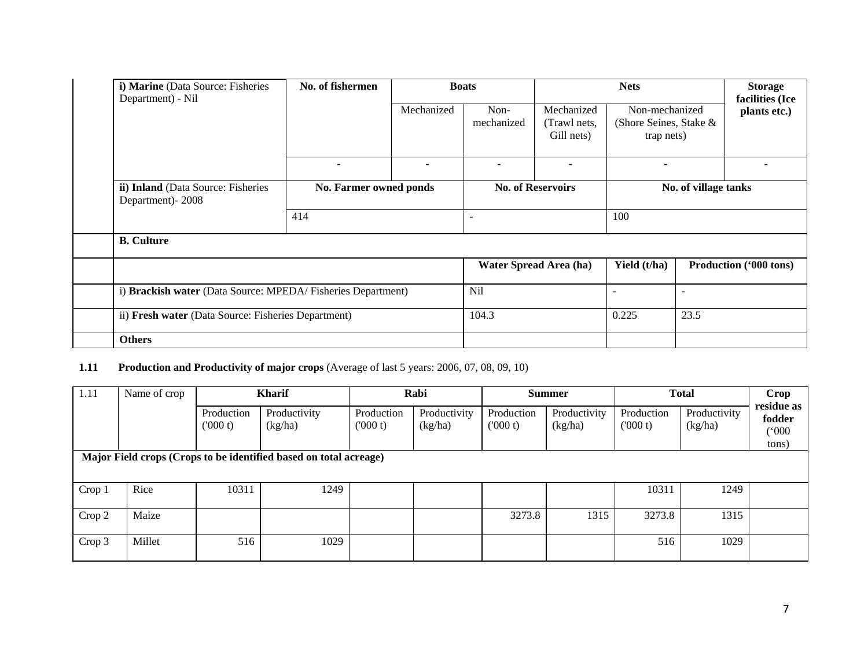| i) Marine (Data Source: Fisheries<br>Department) - Nil   | No. of fishermen                                            | <b>Boats</b> |                          | <b>Nets</b>                              |                                                        |      | <b>Storage</b><br>facilities (Ice |
|----------------------------------------------------------|-------------------------------------------------------------|--------------|--------------------------|------------------------------------------|--------------------------------------------------------|------|-----------------------------------|
|                                                          |                                                             | Mechanized   | Non-<br>mechanized       | Mechanized<br>(Trawl nets,<br>Gill nets) | Non-mechanized<br>(Shore Seines, Stake &<br>trap nets) |      | plants etc.)                      |
|                                                          |                                                             |              |                          | ۰                                        | $\overline{\phantom{0}}$                               |      |                                   |
| ii) Inland (Data Source: Fisheries<br>Department) - 2008 | No. Farmer owned ponds                                      |              | <b>No. of Reservoirs</b> | No. of village tanks                     |                                                        |      |                                   |
|                                                          | 414                                                         |              | $\overline{\phantom{0}}$ |                                          | 100                                                    |      |                                   |
| <b>B.</b> Culture                                        |                                                             |              |                          |                                          |                                                        |      |                                   |
|                                                          |                                                             |              |                          | Water Spread Area (ha)                   | Yield (t/ha)                                           |      | Production ('000 tons)            |
|                                                          | i) Brackish water (Data Source: MPEDA/Fisheries Department) |              | Nil                      |                                          |                                                        |      |                                   |
| ii) Fresh water (Data Source: Fisheries Department)      |                                                             |              | 104.3                    |                                          | 0.225                                                  | 23.5 |                                   |
| <b>Others</b>                                            |                                                             |              |                          |                                          |                                                        |      |                                   |

# **1.11 Production and Productivity of major crops** (Average of last 5 years: 2006, 07, 08, 09, 10)

| 1.11                                                              | Name of crop |                       | <b>Kharif</b>           |                       | Rabi                    |                        | <b>Summer</b>           |                       | <b>Total</b>            |                                        |
|-------------------------------------------------------------------|--------------|-----------------------|-------------------------|-----------------------|-------------------------|------------------------|-------------------------|-----------------------|-------------------------|----------------------------------------|
|                                                                   |              | Production<br>(000 t) | Productivity<br>(kg/ha) | Production<br>(000 t) | Productivity<br>(kg/ha) | Production<br>(1000 t) | Productivity<br>(kg/ha) | Production<br>(000 t) | Productivity<br>(kg/ha) | residue as<br>fodder<br>(000)<br>tons) |
| Major Field crops (Crops to be identified based on total acreage) |              |                       |                         |                       |                         |                        |                         |                       |                         |                                        |
| Crop 1                                                            | Rice         | 10311                 | 1249                    |                       |                         |                        |                         | 10311                 | 1249                    |                                        |
| Crop 2                                                            | Maize        |                       |                         |                       |                         | 3273.8                 | 1315                    | 3273.8                | 1315                    |                                        |
| Crop 3                                                            | Millet       | 516                   | 1029                    |                       |                         |                        |                         | 516                   | 1029                    |                                        |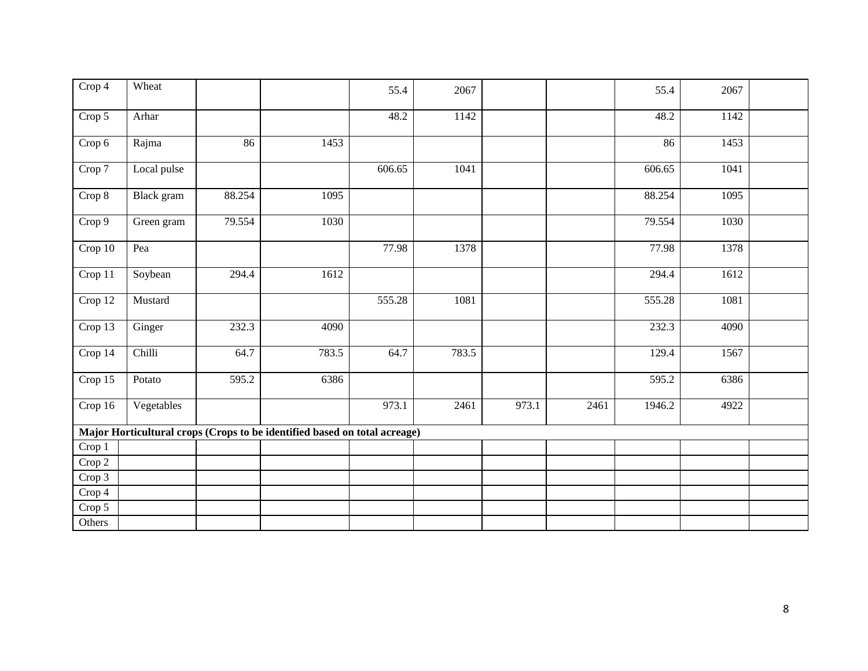| $\overline{C}$ rop 4 | Wheat       |        |                                                                           | 55.4   | 2067  |       |      | 55.4   | 2067 |  |
|----------------------|-------------|--------|---------------------------------------------------------------------------|--------|-------|-------|------|--------|------|--|
| Crop 5               | Arhar       |        |                                                                           | 48.2   | 1142  |       |      | 48.2   | 1142 |  |
| Crop 6               | Rajma       | 86     | 1453                                                                      |        |       |       |      | 86     | 1453 |  |
| Crop 7               | Local pulse |        |                                                                           | 606.65 | 1041  |       |      | 606.65 | 1041 |  |
| Crop 8               | Black gram  | 88.254 | 1095                                                                      |        |       |       |      | 88.254 | 1095 |  |
| Crop 9               | Green gram  | 79.554 | 1030                                                                      |        |       |       |      | 79.554 | 1030 |  |
| Crop 10              | Pea         |        |                                                                           | 77.98  | 1378  |       |      | 77.98  | 1378 |  |
| Crop 11              | Soybean     | 294.4  | 1612                                                                      |        |       |       |      | 294.4  | 1612 |  |
| Crop 12              | Mustard     |        |                                                                           | 555.28 | 1081  |       |      | 555.28 | 1081 |  |
| Crop 13              | Ginger      | 232.3  | 4090                                                                      |        |       |       |      | 232.3  | 4090 |  |
| Crop 14              | Chilli      | 64.7   | 783.5                                                                     | 64.7   | 783.5 |       |      | 129.4  | 1567 |  |
| Crop 15              | Potato      | 595.2  | 6386                                                                      |        |       |       |      | 595.2  | 6386 |  |
| Crop 16              | Vegetables  |        |                                                                           | 973.1  | 2461  | 973.1 | 2461 | 1946.2 | 4922 |  |
|                      |             |        | Major Horticultural crops (Crops to be identified based on total acreage) |        |       |       |      |        |      |  |
| Crop 1               |             |        |                                                                           |        |       |       |      |        |      |  |
| Crop 2               |             |        |                                                                           |        |       |       |      |        |      |  |
| Crop 3               |             |        |                                                                           |        |       |       |      |        |      |  |
| Crop 4               |             |        |                                                                           |        |       |       |      |        |      |  |
| Crop 5               |             |        |                                                                           |        |       |       |      |        |      |  |
| Others               |             |        |                                                                           |        |       |       |      |        |      |  |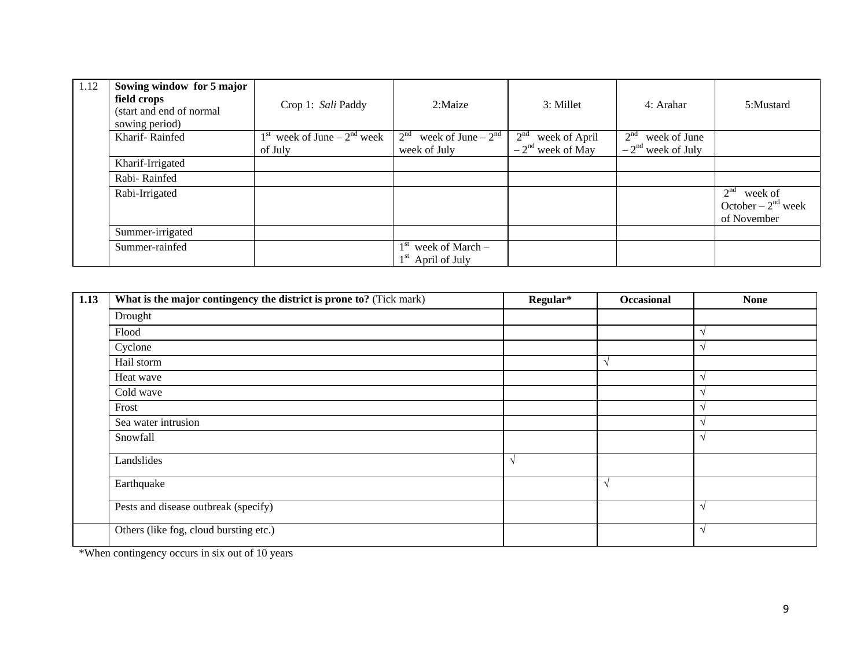| 1.12 | Sowing window for 5 major<br>field crops<br>(start and end of normal<br>sowing period) | Crop 1: Sali Paddy                          | 2:Maize                                      | 3: Millet                        | 4: Arahar                       | 5:Mustard                                                         |
|------|----------------------------------------------------------------------------------------|---------------------------------------------|----------------------------------------------|----------------------------------|---------------------------------|-------------------------------------------------------------------|
|      | Kharif-Rainfed                                                                         | week of June $-2nd$ week<br>1 <sup>st</sup> | 2 <sup>nd</sup><br>week of June $-2nd$       | 2 <sup>nd</sup><br>week of April | week of June<br>2 <sup>nd</sup> |                                                                   |
|      |                                                                                        | of July                                     | week of July                                 | $-2nd$ week of May               | $-2nd$ week of July             |                                                                   |
|      | Kharif-Irrigated                                                                       |                                             |                                              |                                  |                                 |                                                                   |
|      | Rabi-Rainfed                                                                           |                                             |                                              |                                  |                                 |                                                                   |
|      | Rabi-Irrigated                                                                         |                                             |                                              |                                  |                                 | 2 <sup>nd</sup><br>week of<br>October – $2nd$ week<br>of November |
|      | Summer-irrigated                                                                       |                                             |                                              |                                  |                                 |                                                                   |
|      | Summer-rainfed                                                                         |                                             | $1st$ week of March –<br>$1st$ April of July |                                  |                                 |                                                                   |

| 1.13 | What is the major contingency the district is prone to? (Tick mark) | Regular* | Occasional | <b>None</b> |
|------|---------------------------------------------------------------------|----------|------------|-------------|
|      | Drought                                                             |          |            |             |
|      | Flood                                                               |          |            |             |
|      | Cyclone                                                             |          |            |             |
|      | Hail storm                                                          |          |            |             |
|      | Heat wave                                                           |          |            |             |
|      | Cold wave                                                           |          |            |             |
|      | Frost                                                               |          |            |             |
|      | Sea water intrusion                                                 |          |            |             |
|      | Snowfall                                                            |          |            |             |
|      | Landslides                                                          | V        |            |             |
|      | Earthquake                                                          |          |            |             |
|      | Pests and disease outbreak (specify)                                |          |            |             |
|      | Others (like fog, cloud bursting etc.)                              |          |            |             |

\*When contingency occurs in six out of 10 years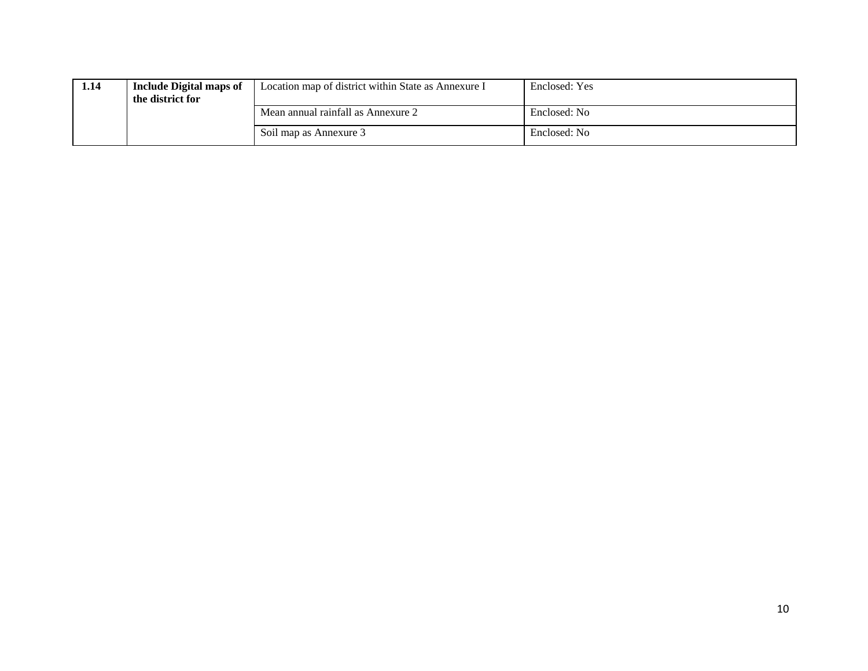| 1.14 | <b>Include Digital maps of</b><br>the district for | Location map of district within State as Annexure I | Enclosed: Yes |
|------|----------------------------------------------------|-----------------------------------------------------|---------------|
|      |                                                    | Mean annual rainfall as Annexure 2                  | Enclosed: No  |
|      |                                                    | Soil map as Annexure 3                              | Enclosed: No  |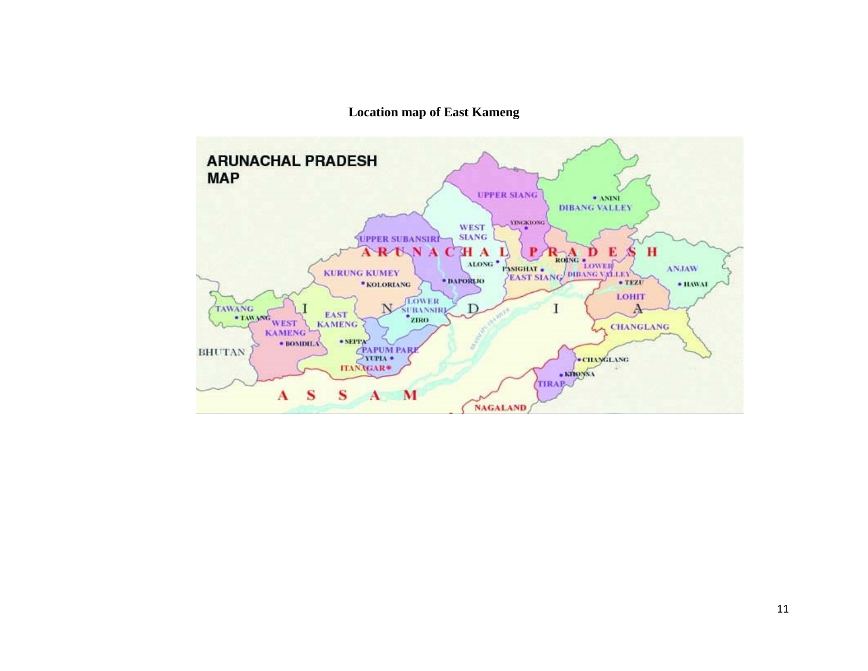# **Location map of East Kameng**

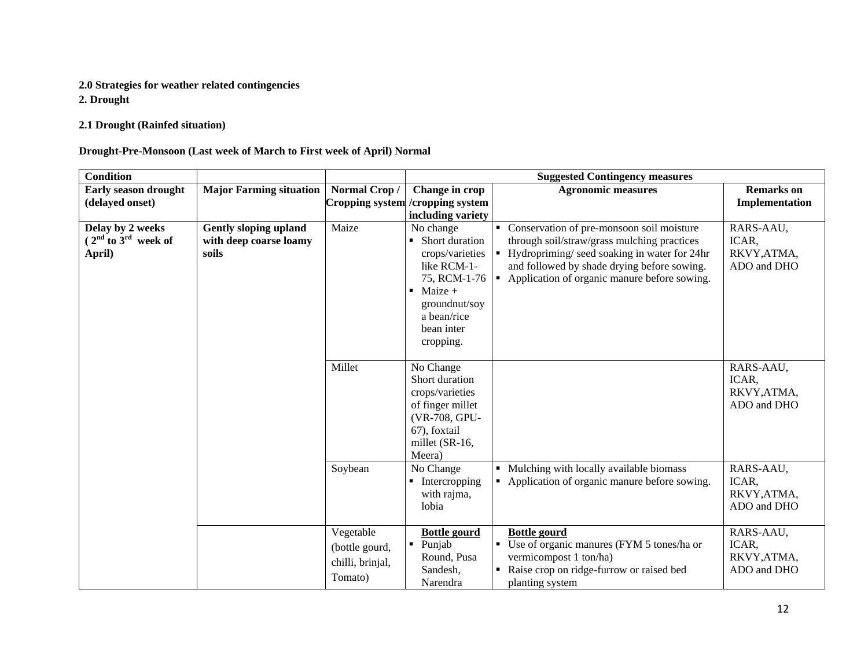#### **2.0 Strategies for weather related contingencies**

**2. Drought**

**2.1 Drought (Rainfed situation)**

#### **Drought-Pre-Monsoon (Last week of March to First week of April) Normal**

| Condition                                             |                                                                 |                                                            |                                                                                                                                                                                           | <b>Suggested Contingency measures</b>                                                                                                                                                                                                      |                                                  |
|-------------------------------------------------------|-----------------------------------------------------------------|------------------------------------------------------------|-------------------------------------------------------------------------------------------------------------------------------------------------------------------------------------------|--------------------------------------------------------------------------------------------------------------------------------------------------------------------------------------------------------------------------------------------|--------------------------------------------------|
| Early season drought                                  | <b>Major Farming situation</b>                                  | Normal Crop/                                               | Change in crop                                                                                                                                                                            | <b>Agronomic measures</b>                                                                                                                                                                                                                  | <b>Remarks</b> on                                |
| (delayed onset)                                       |                                                                 |                                                            | Cropping system / cropping system                                                                                                                                                         |                                                                                                                                                                                                                                            | Implementation                                   |
|                                                       |                                                                 |                                                            | including variety                                                                                                                                                                         |                                                                                                                                                                                                                                            |                                                  |
| Delay by 2 weeks<br>$(2nd$ to $3rd$ week of<br>April) | <b>Gently sloping upland</b><br>with deep coarse loamy<br>soils | Maize                                                      | No change<br>Short duration<br>$\blacksquare$<br>crops/varieties<br>like RCM-1-<br>75, RCM-1-76<br>Maize $+$<br>$\blacksquare$<br>groundnut/soy<br>a bean/rice<br>bean inter<br>cropping. | • Conservation of pre-monsoon soil moisture<br>through soil/straw/grass mulching practices<br>Hydropriming/seed soaking in water for 24hr<br>and followed by shade drying before sowing.<br>• Application of organic manure before sowing. | RARS-AAU,<br>ICAR,<br>RKVY, ATMA,<br>ADO and DHO |
|                                                       |                                                                 | Millet                                                     | No Change<br>Short duration<br>crops/varieties<br>of finger millet<br>(VR-708, GPU-<br>67), foxtail<br>millet (SR-16,<br>Meera)                                                           |                                                                                                                                                                                                                                            | RARS-AAU,<br>ICAR,<br>RKVY, ATMA,<br>ADO and DHO |
|                                                       |                                                                 | Soybean                                                    | No Change<br>$\blacksquare$ Intercropping<br>with rajma,<br>lobia                                                                                                                         | Mulching with locally available biomass<br>• Application of organic manure before sowing.                                                                                                                                                  | RARS-AAU,<br>ICAR,<br>RKVY, ATMA,<br>ADO and DHO |
|                                                       |                                                                 | Vegetable<br>(bottle gourd,<br>chilli, brinjal,<br>Tomato) | <b>Bottle gourd</b><br>Punjab<br>Round, Pusa<br>Sandesh,<br>Narendra                                                                                                                      | <b>Bottle gourd</b><br>Use of organic manures (FYM 5 tones/ha or<br>vermicompost 1 ton/ha)<br>Raise crop on ridge-furrow or raised bed<br>planting system                                                                                  | RARS-AAU,<br>ICAR,<br>RKVY, ATMA,<br>ADO and DHO |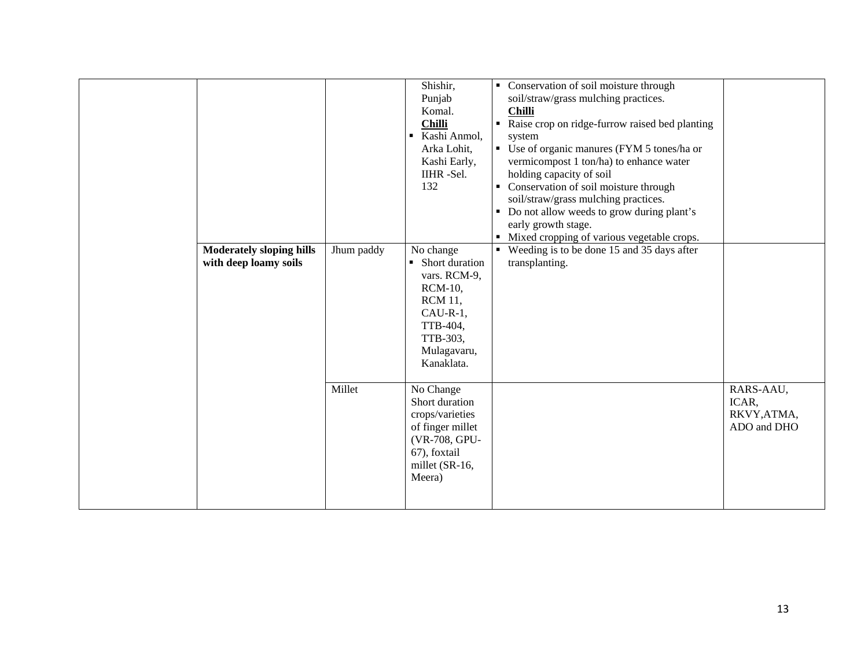| <b>Moderately sloping hills</b><br>with deep loamy soils | Jhum paddy | Shishir,<br>Punjab<br>Komal.<br><b>Chilli</b><br>Kashi Anmol,<br>$\blacksquare$<br>Arka Lohit,<br>Kashi Early,<br>IIHR-Sel.<br>132<br>No change<br>Short duration<br>$\blacksquare$<br>vars. RCM-9,<br><b>RCM-10,</b><br><b>RCM 11,</b><br>$CAU-R-1,$<br>TTB-404,<br>TTB-303,<br>Mulagavaru,<br>Kanaklata. | • Conservation of soil moisture through<br>soil/straw/grass mulching practices.<br><b>Chilli</b><br>Raise crop on ridge-furrow raised bed planting<br>$\blacksquare$<br>system<br>• Use of organic manures (FYM 5 tones/ha or<br>vermicompost 1 ton/ha) to enhance water<br>holding capacity of soil<br>• Conservation of soil moisture through<br>soil/straw/grass mulching practices.<br>• Do not allow weeds to grow during plant's<br>early growth stage.<br>• Mixed cropping of various vegetable crops.<br>• Weeding is to be done 15 and 35 days after<br>transplanting. |                                                  |
|----------------------------------------------------------|------------|------------------------------------------------------------------------------------------------------------------------------------------------------------------------------------------------------------------------------------------------------------------------------------------------------------|---------------------------------------------------------------------------------------------------------------------------------------------------------------------------------------------------------------------------------------------------------------------------------------------------------------------------------------------------------------------------------------------------------------------------------------------------------------------------------------------------------------------------------------------------------------------------------|--------------------------------------------------|
|                                                          | Millet     | No Change<br>Short duration<br>crops/varieties<br>of finger millet<br>(VR-708, GPU-<br>67), foxtail<br>millet (SR-16,<br>Meera)                                                                                                                                                                            |                                                                                                                                                                                                                                                                                                                                                                                                                                                                                                                                                                                 | RARS-AAU,<br>ICAR,<br>RKVY, ATMA,<br>ADO and DHO |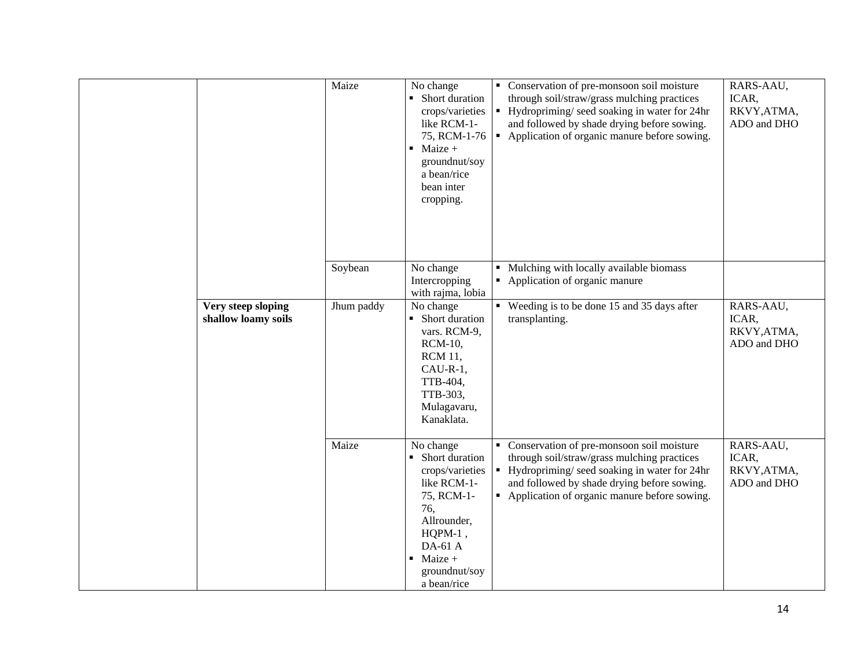|                                           | Maize      | No change<br>• Short duration<br>crops/varieties<br>like RCM-1-<br>75, RCM-1-76<br>$\blacksquare$ Maize +<br>groundnut/soy<br>a bean/rice<br>bean inter<br>cropping.                      | ٠ | Conservation of pre-monsoon soil moisture<br>through soil/straw/grass mulching practices<br>Hydropriming/seed soaking in water for 24hr<br>and followed by shade drying before sowing.<br>• Application of organic manure before sowing. | RARS-AAU,<br>ICAR,<br>RKVY, ATMA,<br>ADO and DHO |
|-------------------------------------------|------------|-------------------------------------------------------------------------------------------------------------------------------------------------------------------------------------------|---|------------------------------------------------------------------------------------------------------------------------------------------------------------------------------------------------------------------------------------------|--------------------------------------------------|
|                                           | Soybean    | No change<br>Intercropping<br>with rajma, lobia                                                                                                                                           |   | Mulching with locally available biomass<br>• Application of organic manure                                                                                                                                                               |                                                  |
| Very steep sloping<br>shallow loamy soils | Jhum paddy | No change<br>• Short duration<br>vars. RCM-9,<br><b>RCM-10,</b><br><b>RCM 11,</b><br>CAU-R-1,<br>TTB-404,<br>TTB-303,<br>Mulagavaru,<br>Kanaklata.                                        |   | • Weeding is to be done 15 and 35 days after<br>transplanting.                                                                                                                                                                           | RARS-AAU,<br>ICAR,<br>RKVY, ATMA,<br>ADO and DHO |
|                                           | Maize      | No change<br>• Short duration<br>crops/varieties<br>like RCM-1-<br>75, RCM-1-<br>76,<br>Allrounder,<br>$HQPM-1$ ,<br>DA-61 A<br>Maize +<br>$\blacksquare$<br>groundnut/soy<br>a bean/rice | ٠ | Conservation of pre-monsoon soil moisture<br>through soil/straw/grass mulching practices<br>Hydropriming/seed soaking in water for 24hr<br>and followed by shade drying before sowing.<br>• Application of organic manure before sowing. | RARS-AAU,<br>ICAR,<br>RKVY, ATMA,<br>ADO and DHO |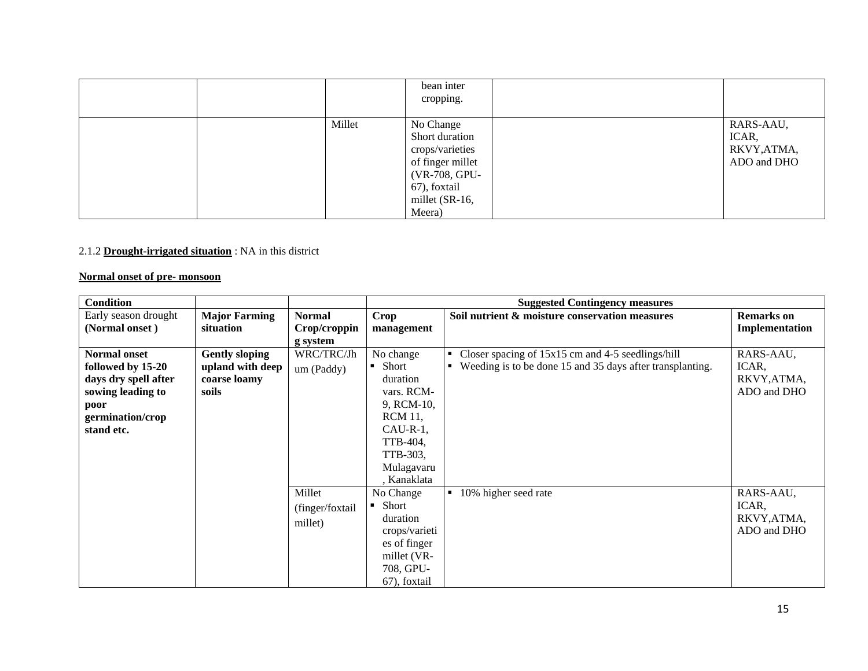|        | bean inter<br>cropping.                                                                                                         |                                                  |
|--------|---------------------------------------------------------------------------------------------------------------------------------|--------------------------------------------------|
| Millet | No Change<br>Short duration<br>crops/varieties<br>of finger millet<br>(VR-708, GPU-<br>67), foxtail<br>millet (SR-16,<br>Meera) | RARS-AAU,<br>ICAR,<br>RKVY, ATMA,<br>ADO and DHO |

#### 2.1.2 **Drought-irrigated situation** : NA in this district

#### **Normal onset of pre- monsoon**

| <b>Condition</b>     |                       |                 |                           | <b>Suggested Contingency measures</b>                     |                   |
|----------------------|-----------------------|-----------------|---------------------------|-----------------------------------------------------------|-------------------|
| Early season drought | <b>Major Farming</b>  | <b>Normal</b>   | Crop                      | Soil nutrient & moisture conservation measures            | <b>Remarks</b> on |
| (Normal onset)       | situation             | Crop/croppin    | management                |                                                           | Implementation    |
|                      |                       | g system        |                           |                                                           |                   |
| <b>Normal onset</b>  | <b>Gently sloping</b> | WRC/TRC/Jh      | No change                 | • Closer spacing of $15x15$ cm and 4-5 seedlings/hill     | RARS-AAU,         |
| followed by 15-20    | upland with deep      | um (Paddy)      | • Short                   | Weeding is to be done 15 and 35 days after transplanting. | ICAR,             |
| days dry spell after | coarse loamy          |                 | duration                  |                                                           | RKVY, ATMA,       |
| sowing leading to    | soils                 |                 | vars. RCM-                |                                                           | ADO and DHO       |
| poor                 |                       |                 | 9, RCM-10,                |                                                           |                   |
| germination/crop     |                       |                 | <b>RCM 11,</b>            |                                                           |                   |
| stand etc.           |                       |                 | $CAU-R-1$ ,               |                                                           |                   |
|                      |                       |                 | TTB-404,                  |                                                           |                   |
|                      |                       |                 | TTB-303,                  |                                                           |                   |
|                      |                       |                 | Mulagavaru                |                                                           |                   |
|                      |                       |                 | , Kanaklata               |                                                           |                   |
|                      |                       | Millet          | No Change                 | 10% higher seed rate<br>$\blacksquare$                    | RARS-AAU,         |
|                      |                       | (finger/foxtail | Short<br>$\blacksquare$ . |                                                           | ICAR,             |
|                      |                       | millet)         | duration                  |                                                           | RKVY, ATMA,       |
|                      |                       |                 | crops/varieti             |                                                           | ADO and DHO       |
|                      |                       |                 | es of finger              |                                                           |                   |
|                      |                       |                 | millet (VR-               |                                                           |                   |
|                      |                       |                 | 708, GPU-                 |                                                           |                   |
|                      |                       |                 | 67), foxtail              |                                                           |                   |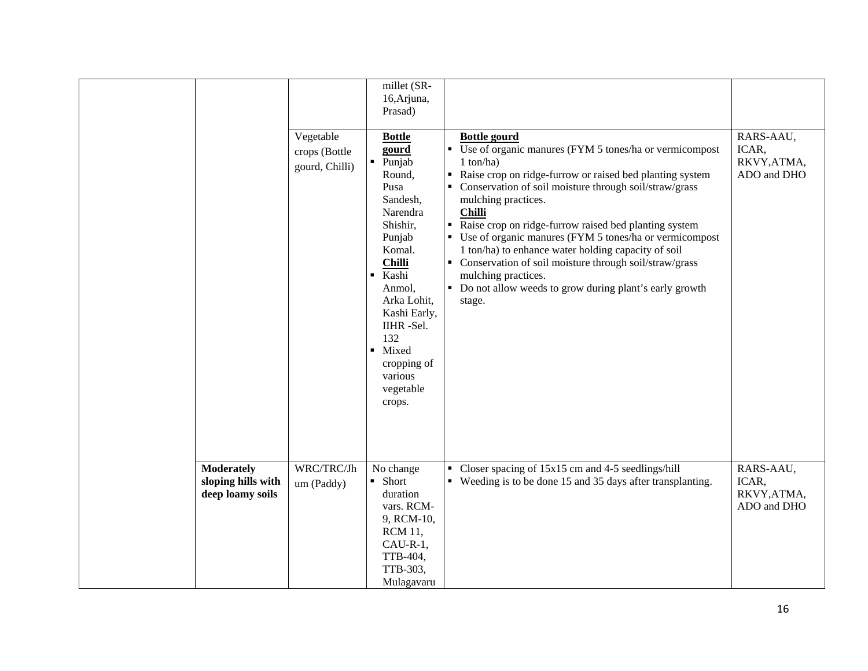|                                                             | Vegetable<br>crops (Bottle<br>gourd, Chilli) | millet (SR-<br>16, Arjuna,<br>Prasad)<br><b>Bottle</b><br>gourd<br>$\blacksquare$<br>Punjab<br>Round,<br>Pusa<br>Sandesh,<br>Narendra<br>Shishir,<br>Punjab<br>Komal.<br><b>Chilli</b><br>Kashi<br>٠<br>Anmol,<br>Arka Lohit,<br>Kashi Early,<br>IIHR-Sel.<br>132<br>Mixed<br>cropping of<br>various<br>vegetable<br>crops. | <b>Bottle gourd</b><br>• Use of organic manures (FYM 5 tones/ha or vermicompost<br>$1$ ton/ha)<br>Raise crop on ridge-furrow or raised bed planting system<br>• Conservation of soil moisture through soil/straw/grass<br>mulching practices.<br><b>Chilli</b><br>Raise crop on ridge-furrow raised bed planting system<br>• Use of organic manures (FYM 5 tones/ha or vermicompost<br>1 ton/ha) to enhance water holding capacity of soil<br>• Conservation of soil moisture through soil/straw/grass<br>mulching practices.<br>• Do not allow weeds to grow during plant's early growth<br>stage. | RARS-AAU,<br>ICAR,<br>RKVY, ATMA,<br>ADO and DHO |
|-------------------------------------------------------------|----------------------------------------------|-----------------------------------------------------------------------------------------------------------------------------------------------------------------------------------------------------------------------------------------------------------------------------------------------------------------------------|-----------------------------------------------------------------------------------------------------------------------------------------------------------------------------------------------------------------------------------------------------------------------------------------------------------------------------------------------------------------------------------------------------------------------------------------------------------------------------------------------------------------------------------------------------------------------------------------------------|--------------------------------------------------|
| <b>Moderately</b><br>sloping hills with<br>deep loamy soils | WRC/TRC/Jh<br>um (Paddy)                     | No change<br>• Short<br>duration<br>vars. RCM-<br>9, RCM-10,<br><b>RCM 11,</b><br>$CAU-R-1$ ,<br>TTB-404,<br>TTB-303,<br>Mulagavaru                                                                                                                                                                                         | • Closer spacing of 15x15 cm and 4-5 seedlings/hill<br>• Weeding is to be done 15 and 35 days after transplanting.                                                                                                                                                                                                                                                                                                                                                                                                                                                                                  | RARS-AAU,<br>ICAR,<br>RKVY, ATMA,<br>ADO and DHO |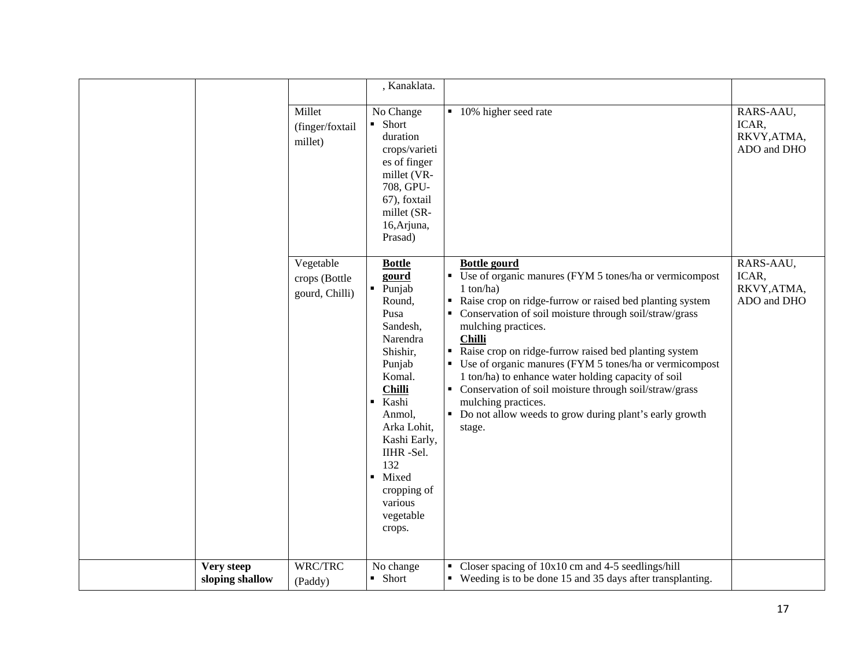|                               |                                              | , Kanaklata.                                                                                                                                                                                                                                                                                       |                                                                                                                                                                                                                                                                                                                                                                                                                                                                                                                                                                                                     |                                                  |
|-------------------------------|----------------------------------------------|----------------------------------------------------------------------------------------------------------------------------------------------------------------------------------------------------------------------------------------------------------------------------------------------------|-----------------------------------------------------------------------------------------------------------------------------------------------------------------------------------------------------------------------------------------------------------------------------------------------------------------------------------------------------------------------------------------------------------------------------------------------------------------------------------------------------------------------------------------------------------------------------------------------------|--------------------------------------------------|
|                               | Millet<br>(finger/foxtail<br>millet)         | No Change<br>• Short<br>duration<br>crops/varieti<br>es of finger<br>millet (VR-<br>708, GPU-<br>67), foxtail<br>millet (SR-<br>16, Arjuna,<br>Prasad)                                                                                                                                             | • 10% higher seed rate                                                                                                                                                                                                                                                                                                                                                                                                                                                                                                                                                                              | RARS-AAU,<br>ICAR,<br>RKVY, ATMA,<br>ADO and DHO |
|                               | Vegetable<br>crops (Bottle<br>gourd, Chilli) | <b>Bottle</b><br>gourd<br>Punjab<br>$\blacksquare$<br>Round,<br>Pusa<br>Sandesh,<br>Narendra<br>Shishir,<br>Punjab<br>Komal.<br><b>Chilli</b><br>Kashi<br>$\blacksquare$<br>Anmol,<br>Arka Lohit,<br>Kashi Early,<br>IIHR -Sel.<br>132<br>• Mixed<br>cropping of<br>various<br>vegetable<br>crops. | <b>Bottle gourd</b><br>• Use of organic manures (FYM 5 tones/ha or vermicompost<br>$1$ ton/ha)<br>Raise crop on ridge-furrow or raised bed planting system<br>• Conservation of soil moisture through soil/straw/grass<br>mulching practices.<br><b>Chilli</b><br>Raise crop on ridge-furrow raised bed planting system<br>• Use of organic manures (FYM 5 tones/ha or vermicompost<br>1 ton/ha) to enhance water holding capacity of soil<br>• Conservation of soil moisture through soil/straw/grass<br>mulching practices.<br>• Do not allow weeds to grow during plant's early growth<br>stage. | RARS-AAU,<br>ICAR,<br>RKVY, ATMA,<br>ADO and DHO |
| Very steep<br>sloping shallow | WRC/TRC<br>(Paddy)                           | No change<br>• Short                                                                                                                                                                                                                                                                               | • Closer spacing of $10x10$ cm and 4-5 seedlings/hill<br>• Weeding is to be done 15 and 35 days after transplanting.                                                                                                                                                                                                                                                                                                                                                                                                                                                                                |                                                  |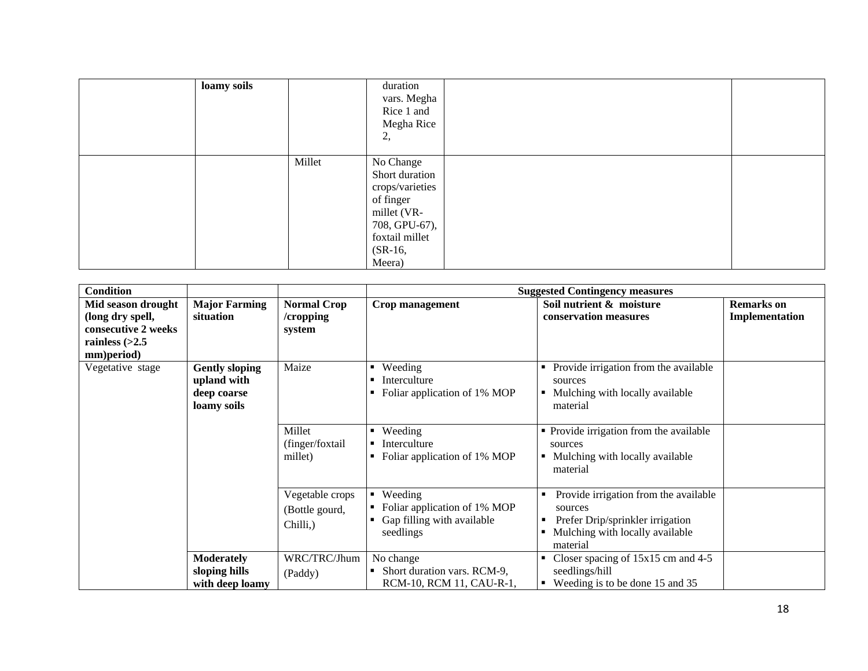| loamy soils |        | duration<br>vars. Megha<br>Rice 1 and<br>Megha Rice<br>2,                                                                            |  |
|-------------|--------|--------------------------------------------------------------------------------------------------------------------------------------|--|
|             | Millet | No Change<br>Short duration<br>crops/varieties<br>of finger<br>millet (VR-<br>708, GPU-67),<br>foxtail millet<br>$(SR-16,$<br>Meera) |  |

| <b>Condition</b>                                                                                |                                                                             |                                               |                                                                                                                                                                 | <b>Suggested Contingency measures</b>                                                                                                         |                                     |
|-------------------------------------------------------------------------------------------------|-----------------------------------------------------------------------------|-----------------------------------------------|-----------------------------------------------------------------------------------------------------------------------------------------------------------------|-----------------------------------------------------------------------------------------------------------------------------------------------|-------------------------------------|
| Mid season drought<br>(long dry spell,<br>consecutive 2 weeks<br>rainless $(>2.5$<br>mm)period) | <b>Major Farming</b><br>situation                                           | <b>Normal Crop</b><br>/cropping<br>system     | Crop management                                                                                                                                                 | Soil nutrient & moisture<br>conservation measures                                                                                             | <b>Remarks</b> on<br>Implementation |
| Vegetative stage                                                                                | Maize<br><b>Gently sloping</b><br>upland with<br>deep coarse<br>loamy soils |                                               | Provide irrigation from the available<br>Weeding<br>٠<br>Interculture<br>sources<br>Foliar application of 1% MOP<br>Mulching with locally available<br>material |                                                                                                                                               |                                     |
|                                                                                                 |                                                                             | Millet<br>(finger/foxtail<br>millet)          | Weeding<br>п.<br>Interculture<br>Foliar application of 1% MOP                                                                                                   | • Provide irrigation from the available<br>sources<br>Mulching with locally available<br>$\blacksquare$<br>material                           |                                     |
|                                                                                                 |                                                                             | Vegetable crops<br>(Bottle gourd,<br>Chilli,) | Weeding<br>$\blacksquare$<br>Foliar application of 1% MOP<br>Gap filling with available<br>seedlings                                                            | Provide irrigation from the available<br>sources<br>Prefer Drip/sprinkler irrigation<br>п<br>Mulching with locally available<br>٠<br>material |                                     |
|                                                                                                 | <b>Moderately</b><br>sloping hills<br>with deep loamy                       | WRC/TRC/Jhum<br>(Paddy)                       | No change<br>Short duration vars. RCM-9,<br>RCM-10, RCM 11, CAU-R-1,                                                                                            | Closer spacing of $15x15$ cm and $4-5$<br>seedlings/hill<br>Weeding is to be done 15 and 35<br>$\blacksquare$                                 |                                     |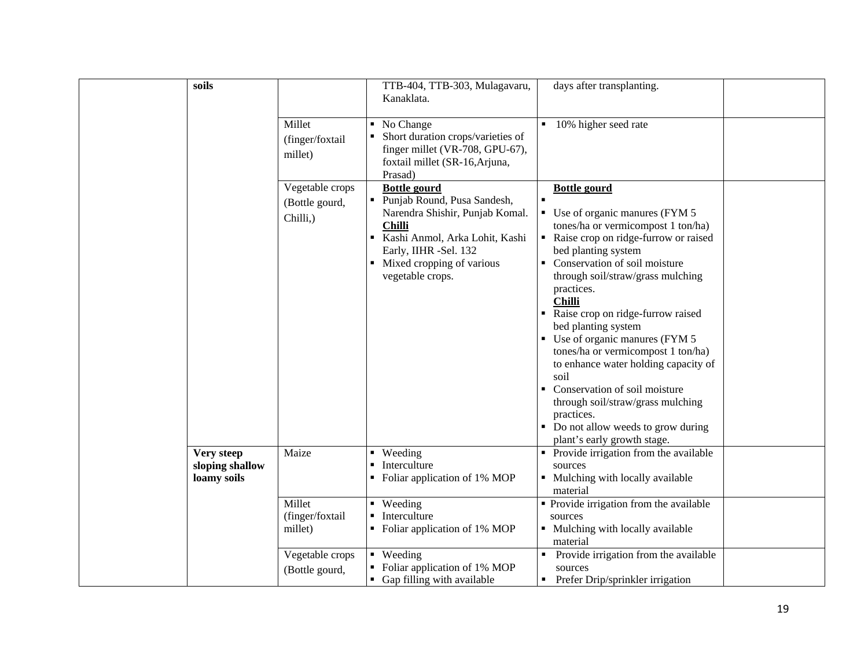| soils                                        |                                               | TTB-404, TTB-303, Mulagavaru,<br>Kanaklata.                                                                                                                                                                          | days after transplanting.                                                                                                                                                                                                                                                                                                                                                                                                                                                                                                                                                                                                                       |
|----------------------------------------------|-----------------------------------------------|----------------------------------------------------------------------------------------------------------------------------------------------------------------------------------------------------------------------|-------------------------------------------------------------------------------------------------------------------------------------------------------------------------------------------------------------------------------------------------------------------------------------------------------------------------------------------------------------------------------------------------------------------------------------------------------------------------------------------------------------------------------------------------------------------------------------------------------------------------------------------------|
|                                              | Millet<br>(finger/foxtail<br>millet)          | No Change<br>٠<br>Short duration crops/varieties of<br>finger millet (VR-708, GPU-67),<br>foxtail millet (SR-16, Arjuna,<br>Prasad)                                                                                  | 10% higher seed rate                                                                                                                                                                                                                                                                                                                                                                                                                                                                                                                                                                                                                            |
|                                              | Vegetable crops<br>(Bottle gourd,<br>Chilli,) | <b>Bottle gourd</b><br>• Punjab Round, Pusa Sandesh,<br>Narendra Shishir, Punjab Komal.<br><b>Chilli</b><br>Kashi Anmol, Arka Lohit, Kashi<br>Early, IIHR -Sel. 132<br>Mixed cropping of various<br>vegetable crops. | <b>Bottle gourd</b><br>п<br>$\blacksquare$ Use of organic manures (FYM 5<br>tones/ha or vermicompost 1 ton/ha)<br>• Raise crop on ridge-furrow or raised<br>bed planting system<br>• Conservation of soil moisture<br>through soil/straw/grass mulching<br>practices.<br><b>Chilli</b><br>Raise crop on ridge-furrow raised<br>bed planting system<br>$\bullet$ Use of organic manures (FYM 5<br>tones/ha or vermicompost 1 ton/ha)<br>to enhance water holding capacity of<br>soil<br>• Conservation of soil moisture<br>through soil/straw/grass mulching<br>practices.<br>• Do not allow weeds to grow during<br>plant's early growth stage. |
| Very steep<br>sloping shallow<br>loamy soils | Maize                                         | • Weeding<br>Interculture<br>$\blacksquare$<br>• Foliar application of 1% MOP                                                                                                                                        | • Provide irrigation from the available<br>sources<br>• Mulching with locally available<br>material                                                                                                                                                                                                                                                                                                                                                                                                                                                                                                                                             |
|                                              | Millet<br>(finger/foxtail<br>millet)          | $\blacksquare$ Weeding<br>Interculture<br>$\mathbf{u}$ .<br>• Foliar application of 1% MOP                                                                                                                           | • Provide irrigation from the available<br>sources<br>• Mulching with locally available<br>material                                                                                                                                                                                                                                                                                                                                                                                                                                                                                                                                             |
|                                              | Vegetable crops<br>(Bottle gourd,             | • Weeding<br>• Foliar application of 1% MOP<br>• Gap filling with available                                                                                                                                          | Provide irrigation from the available<br>sources<br>Prefer Drip/sprinkler irrigation                                                                                                                                                                                                                                                                                                                                                                                                                                                                                                                                                            |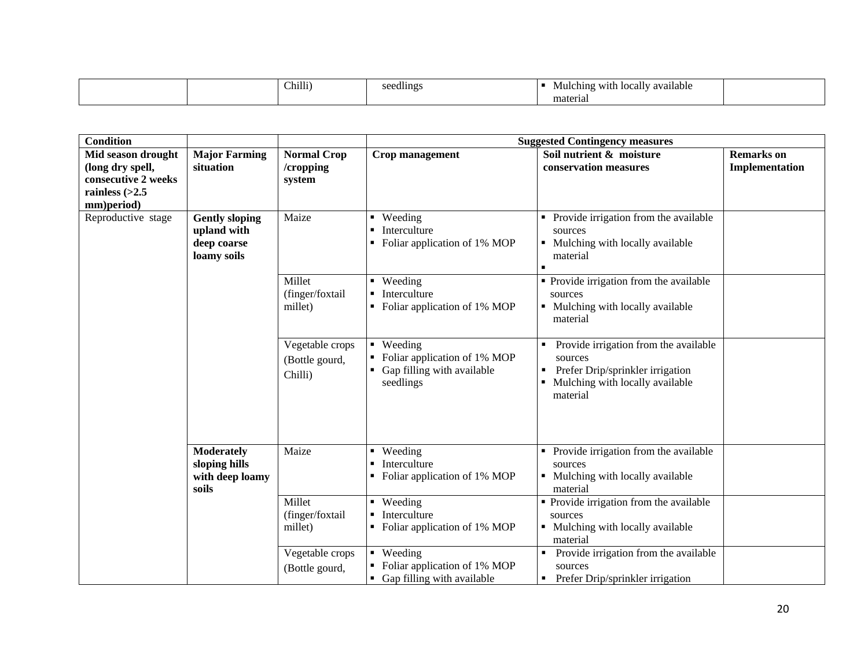|  | Chilli) | $\mathbf{u}$<br>seedlings | $\sim$ $\sim$<br>- -<br>Mulching with<br>. localiv available |  |
|--|---------|---------------------------|--------------------------------------------------------------|--|
|  |         |                           | material                                                     |  |

| <b>Condition</b>                        |                                                                    |                                              | <b>Suggested Contingency measures</b>                                                |                                                                                                                                          |                   |  |
|-----------------------------------------|--------------------------------------------------------------------|----------------------------------------------|--------------------------------------------------------------------------------------|------------------------------------------------------------------------------------------------------------------------------------------|-------------------|--|
| Mid season drought                      | <b>Major Farming</b>                                               | <b>Normal Crop</b>                           | Crop management                                                                      | Soil nutrient & moisture                                                                                                                 | <b>Remarks</b> on |  |
| (long dry spell,                        | situation                                                          | /cropping                                    |                                                                                      | conservation measures                                                                                                                    | Implementation    |  |
| consecutive 2 weeks<br>rainless $(>2.5$ |                                                                    | system                                       |                                                                                      |                                                                                                                                          |                   |  |
| mm)period)                              |                                                                    |                                              |                                                                                      |                                                                                                                                          |                   |  |
| Reproductive stage                      | <b>Gently sloping</b><br>upland with<br>deep coarse<br>loamy soils | Maize                                        | Weeding<br>$\blacksquare$<br>Interculture<br>Foliar application of 1% MOP            | Provide irrigation from the available<br>sources<br>Mulching with locally available<br>material                                          |                   |  |
|                                         |                                                                    | Millet<br>(finger/foxtail<br>millet)         | $\blacksquare$ Weeding<br>Interculture<br>Foliar application of 1% MOP               | • Provide irrigation from the available<br>sources<br>• Mulching with locally available<br>material                                      |                   |  |
|                                         |                                                                    | Vegetable crops<br>(Bottle gourd,<br>Chilli) | • Weeding<br>Foliar application of 1% MOP<br>Gap filling with available<br>seedlings | Provide irrigation from the available<br>sources<br>Prefer Drip/sprinkler irrigation<br>п<br>Mulching with locally available<br>material |                   |  |
|                                         | <b>Moderately</b><br>sloping hills<br>with deep loamy<br>soils     | Maize                                        | Weeding<br>$\blacksquare$<br>Interculture<br>Foliar application of 1% MOP            | Provide irrigation from the available<br>sources<br>• Mulching with locally available<br>material                                        |                   |  |
|                                         |                                                                    | Millet<br>(finger/foxtail<br>millet)         | Weeding<br>$\blacksquare$<br>Interculture<br>• Foliar application of 1% MOP          | • Provide irrigation from the available<br>sources<br>• Mulching with locally available<br>material                                      |                   |  |
|                                         |                                                                    | Vegetable crops<br>(Bottle gourd,            | • Weeding<br>Foliar application of 1% MOP<br>• Gap filling with available            | Provide irrigation from the available<br>sources<br>Prefer Drip/sprinkler irrigation                                                     |                   |  |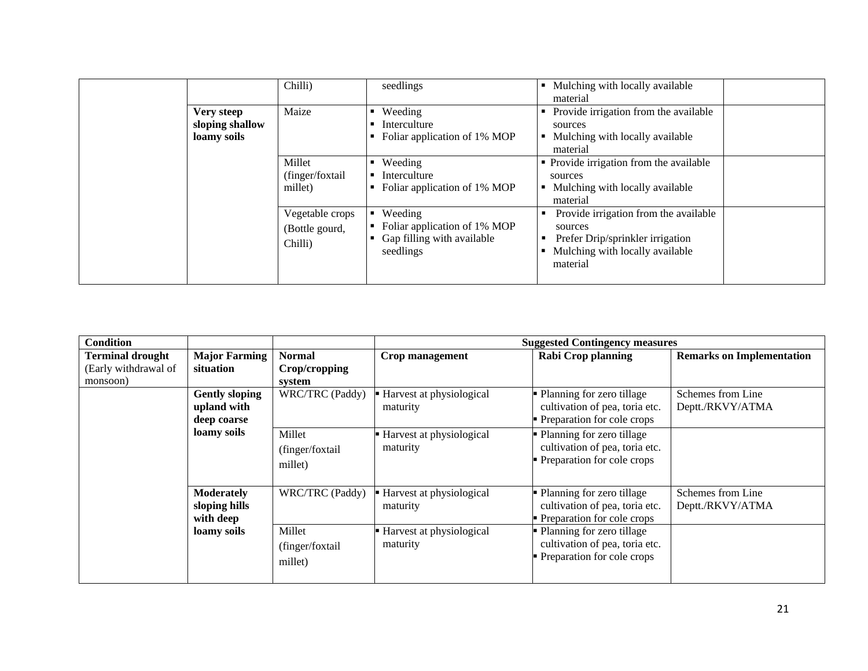|                                                       | Chilli)                                      | seedlings                                                                          | Mulching with locally available<br>$\blacksquare$<br>material                                                                                 |
|-------------------------------------------------------|----------------------------------------------|------------------------------------------------------------------------------------|-----------------------------------------------------------------------------------------------------------------------------------------------|
| Maize<br>Very steep<br>sloping shallow<br>loamy soils |                                              | Weeding<br>Interculture<br>Foliar application of 1% MOP                            | Provide irrigation from the available<br>٠<br>sources<br>Mulching with locally available<br>٠<br>material                                     |
|                                                       | Millet<br>(finger/foxtail<br>millet)         | Weeding<br>Interculture<br>Foliar application of 1% MOP                            | • Provide irrigation from the available<br>sources<br>Mulching with locally available<br>material                                             |
|                                                       | Vegetable crops<br>(Bottle gourd,<br>Chilli) | Weeding<br>Foliar application of 1% MOP<br>Gap filling with available<br>seedlings | Provide irrigation from the available<br>sources<br>Prefer Drip/sprinkler irrigation<br>в<br>Mulching with locally available<br>٠<br>material |

| <b>Condition</b>        |                       |                  |                          | <b>Suggested Contingency measures</b> |                                  |
|-------------------------|-----------------------|------------------|--------------------------|---------------------------------------|----------------------------------|
| <b>Terminal drought</b> | <b>Major Farming</b>  | <b>Normal</b>    | Crop management          | <b>Rabi Crop planning</b>             | <b>Remarks on Implementation</b> |
| (Early withdrawal of    | situation             | Crop/cropping    |                          |                                       |                                  |
| monsoon)                |                       | system           |                          |                                       |                                  |
|                         | <b>Gently sloping</b> | WRC/TRC (Paddy)  | Harvest at physiological | Planning for zero tillage             | Schemes from Line                |
|                         | upland with           |                  | maturity                 | cultivation of pea, toria etc.        | Deptt./RKVY/ATMA                 |
|                         | deep coarse           |                  |                          | Preparation for cole crops            |                                  |
|                         | loamy soils           | Millet           | Harvest at physiological | Planning for zero tillage             |                                  |
|                         |                       | (finger/foxtail) | maturity                 | cultivation of pea, toria etc.        |                                  |
|                         |                       | millet)          |                          | Preparation for cole crops            |                                  |
|                         |                       |                  |                          |                                       |                                  |
|                         | <b>Moderately</b>     | WRC/TRC (Paddy)  | Harvest at physiological | Planning for zero tillage             | Schemes from Line                |
|                         | sloping hills         |                  | maturity                 | cultivation of pea, toria etc.        | Deptt./RKVY/ATMA                 |
|                         | with deep             |                  |                          | Preparation for cole crops            |                                  |
|                         | loamy soils           | Millet           | Harvest at physiological | Planning for zero tillage             |                                  |
|                         |                       | (finger/foxtail  | maturity                 | cultivation of pea, toria etc.        |                                  |
|                         |                       | millet)          |                          | Preparation for cole crops            |                                  |
|                         |                       |                  |                          |                                       |                                  |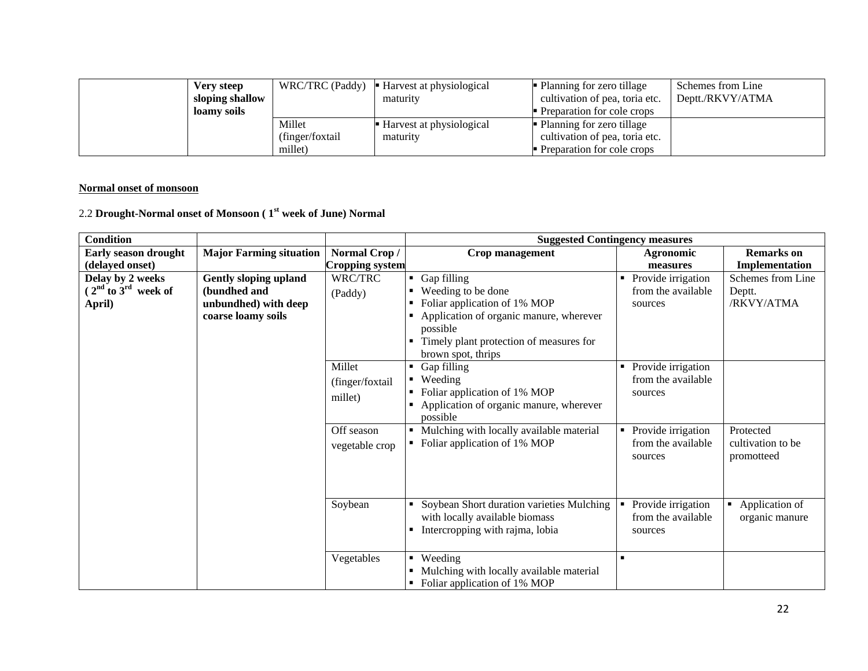| Very steep<br>sloping shallow<br>loamy soils |                                       | WRC/TRC (Paddy) $\blacksquare$ Harvest at physiological<br>maturity | Planning for zero tillage<br>cultivation of pea, toria etc.<br>Preparation for cole crops | Schemes from Line<br>Deptt./RKVY/ATMA |
|----------------------------------------------|---------------------------------------|---------------------------------------------------------------------|-------------------------------------------------------------------------------------------|---------------------------------------|
|                                              | Millet<br>(finger/foxtail)<br>millet) | ■ Harvest at physiological<br>maturity                              | Planning for zero tillage<br>cultivation of pea, toria etc.<br>Preparation for cole crops |                                       |

#### **Normal onset of monsoon**

# 2.2 **Drought-Normal onset of Monsoon ( 1st week of June) Normal**

| <b>Condition</b>            |                                |                        | <b>Suggested Contingency measures</b>               |                                      |                   |  |
|-----------------------------|--------------------------------|------------------------|-----------------------------------------------------|--------------------------------------|-------------------|--|
| <b>Early season drought</b> | <b>Major Farming situation</b> | Normal Crop/           | Crop management                                     | Agronomic                            | <b>Remarks</b> on |  |
| (delayed onset)             |                                | <b>Cropping system</b> |                                                     | measures                             | Implementation    |  |
| Delay by 2 weeks            | <b>Gently sloping upland</b>   | WRC/TRC                | Gap filling<br>п.                                   | Provide irrigation<br>$\blacksquare$ | Schemes from Line |  |
| $(2nd$ to $3rd$ week of     | (bundhed and                   | (Paddy)                | Weeding to be done                                  | from the available                   | Deptt.            |  |
| April)                      | unbundhed) with deep           |                        | Foliar application of 1% MOP                        | sources                              | /RKVY/ATMA        |  |
|                             | coarse loamy soils             |                        | Application of organic manure, wherever             |                                      |                   |  |
|                             |                                |                        | possible                                            |                                      |                   |  |
|                             |                                |                        | Timely plant protection of measures for             |                                      |                   |  |
|                             |                                |                        | brown spot, thrips                                  |                                      |                   |  |
|                             |                                | Millet                 | Gap filling<br>٠                                    | Provide irrigation<br>$\blacksquare$ |                   |  |
|                             |                                | (finger/foxtail        | Weeding                                             | from the available                   |                   |  |
|                             |                                | millet)                | Foliar application of 1% MOP                        | sources                              |                   |  |
|                             |                                |                        | Application of organic manure, wherever<br>possible |                                      |                   |  |
|                             |                                | Off season             | Mulching with locally available material            | • Provide irrigation                 | Protected         |  |
|                             |                                |                        | • Foliar application of 1% MOP                      | from the available                   | cultivation to be |  |
|                             |                                | vegetable crop         |                                                     | sources                              | promotteed        |  |
|                             |                                |                        |                                                     |                                      |                   |  |
|                             |                                |                        |                                                     |                                      |                   |  |
|                             |                                |                        |                                                     |                                      |                   |  |
|                             |                                | Soybean                | Soybean Short duration varieties Mulching           | Provide irrigation                   | Application of    |  |
|                             |                                |                        | with locally available biomass                      | from the available                   | organic manure    |  |
|                             |                                |                        | Intercropping with rajma, lobia                     | sources                              |                   |  |
|                             |                                |                        |                                                     |                                      |                   |  |
|                             |                                | Vegetables             | Weeding<br>٠                                        | $\blacksquare$                       |                   |  |
|                             |                                |                        | Mulching with locally available material            |                                      |                   |  |
|                             |                                |                        | Foliar application of 1% MOP                        |                                      |                   |  |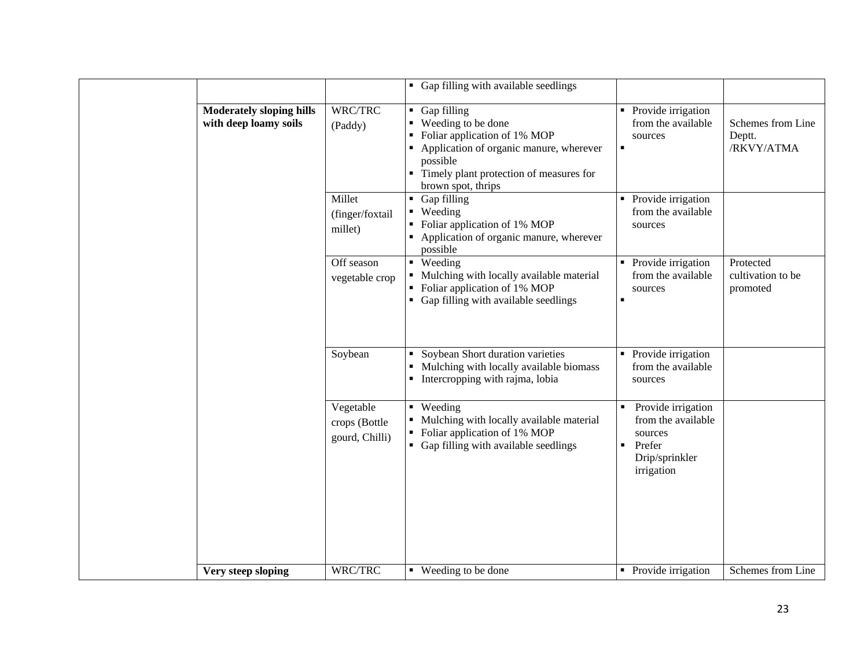|                                                          |                                              | • Gap filling with available seedlings                                                                                                                                                                           |                                                                                                                 |                                            |
|----------------------------------------------------------|----------------------------------------------|------------------------------------------------------------------------------------------------------------------------------------------------------------------------------------------------------------------|-----------------------------------------------------------------------------------------------------------------|--------------------------------------------|
| <b>Moderately sloping hills</b><br>with deep loamy soils | WRC/TRC<br>(Paddy)                           | $\blacksquare$ Gap filling<br>■ Weeding to be done<br>• Foliar application of 1% MOP<br>• Application of organic manure, wherever<br>possible<br>• Timely plant protection of measures for<br>brown spot, thrips | • Provide irrigation<br>from the available<br>sources<br>$\blacksquare$                                         | Schemes from Line<br>Deptt.<br>/RKVY/ATMA  |
|                                                          | Millet<br>(finger/foxtail<br>millet)         | $\blacksquare$ Gap filling<br>• Weeding<br>• Foliar application of 1% MOP<br>• Application of organic manure, wherever<br>possible                                                                               | • Provide irrigation<br>from the available<br>sources                                                           |                                            |
|                                                          | Off season<br>vegetable crop                 | • Weeding<br>• Mulching with locally available material<br>• Foliar application of 1% MOP<br>• Gap filling with available seedlings                                                                              | • Provide irrigation<br>from the available<br>sources<br>$\blacksquare$                                         | Protected<br>cultivation to be<br>promoted |
|                                                          | Soybean                                      | Soybean Short duration varieties<br>٠<br>Mulching with locally available biomass<br>• Intercropping with rajma, lobia                                                                                            | • Provide irrigation<br>from the available<br>sources                                                           |                                            |
|                                                          | Vegetable<br>crops (Bottle<br>gourd, Chilli) | $\blacksquare$ Weeding<br>• Mulching with locally available material<br>• Foliar application of 1% MOP<br>• Gap filling with available seedlings                                                                 | Provide irrigation<br>from the available<br>sources<br>Prefer<br>$\blacksquare$<br>Drip/sprinkler<br>irrigation |                                            |
| Very steep sloping                                       | WRC/TRC                                      | ■ Weeding to be done                                                                                                                                                                                             | • Provide irrigation                                                                                            | Schemes from Line                          |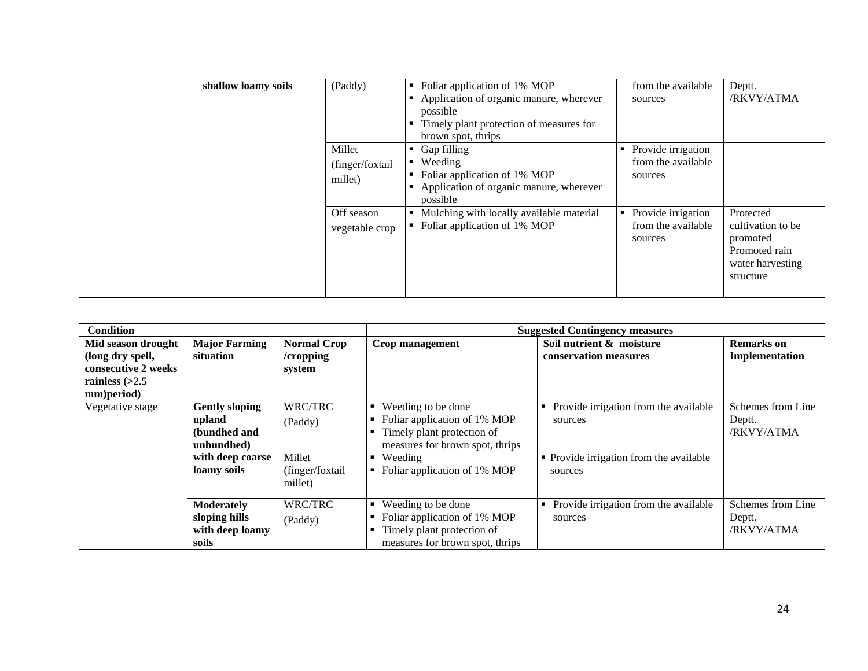| shallow loamy soils | (Paddy)                               | Foliar application of 1% MOP<br>Application of organic manure, wherever<br>possible<br>Timely plant protection of measures for<br>brown spot, thrips | from the available<br>sources                            | Deptt.<br>/RKVY/ATMA                                                                         |
|---------------------|---------------------------------------|------------------------------------------------------------------------------------------------------------------------------------------------------|----------------------------------------------------------|----------------------------------------------------------------------------------------------|
|                     | Millet<br>(finger/foxtail)<br>millet) | Gap filling<br>Weeding<br>$\blacksquare$<br>Foliar application of 1% MOP<br>Application of organic manure, wherever<br>possible                      | Provide irrigation<br>from the available<br>sources      |                                                                                              |
|                     | Off season<br>vegetable crop          | Mulching with locally available material<br>Foliar application of 1% MOP                                                                             | Provide irrigation<br>٠<br>from the available<br>sources | Protected<br>cultivation to be<br>promoted<br>Promoted rain<br>water harvesting<br>structure |

| <b>Condition</b>                                                                                |                                                                                                  |                                                            | <b>Suggested Contingency measures</b>                                                                                                                               |                                                                                                        |                                           |  |
|-------------------------------------------------------------------------------------------------|--------------------------------------------------------------------------------------------------|------------------------------------------------------------|---------------------------------------------------------------------------------------------------------------------------------------------------------------------|--------------------------------------------------------------------------------------------------------|-------------------------------------------|--|
| Mid season drought<br>(long dry spell,<br>consecutive 2 weeks<br>rainless $(>2.5$<br>mm)period) | <b>Major Farming</b><br>situation                                                                | <b>Normal Crop</b><br>$/$ cropping<br>system               | Crop management                                                                                                                                                     | Soil nutrient & moisture<br>conservation measures                                                      | <b>Remarks</b> on<br>Implementation       |  |
| Vegetative stage                                                                                | <b>Gently sloping</b><br>upland<br>(bundhed and<br>unbundhed)<br>with deep coarse<br>loamy soils | WRC/TRC<br>(Paddy)<br>Millet<br>(finger/foxtail<br>millet) | Weeding to be done<br>٠<br>Foliar application of 1% MOP<br>Timely plant protection of<br>measures for brown spot, thrips<br>Weeding<br>Foliar application of 1% MOP | Provide irrigation from the available<br>sources<br>• Provide irrigation from the available<br>sources | Schemes from Line<br>Deptt.<br>/RKVY/ATMA |  |
|                                                                                                 | <b>Moderately</b><br>sloping hills<br>with deep loamy<br>soils                                   | WRC/TRC<br>(Paddy)                                         | Weeding to be done<br>Foliar application of 1% MOP<br>Timely plant protection of<br>measures for brown spot, thrips                                                 | Provide irrigation from the available<br>sources                                                       | Schemes from Line<br>Deptt.<br>/RKVY/ATMA |  |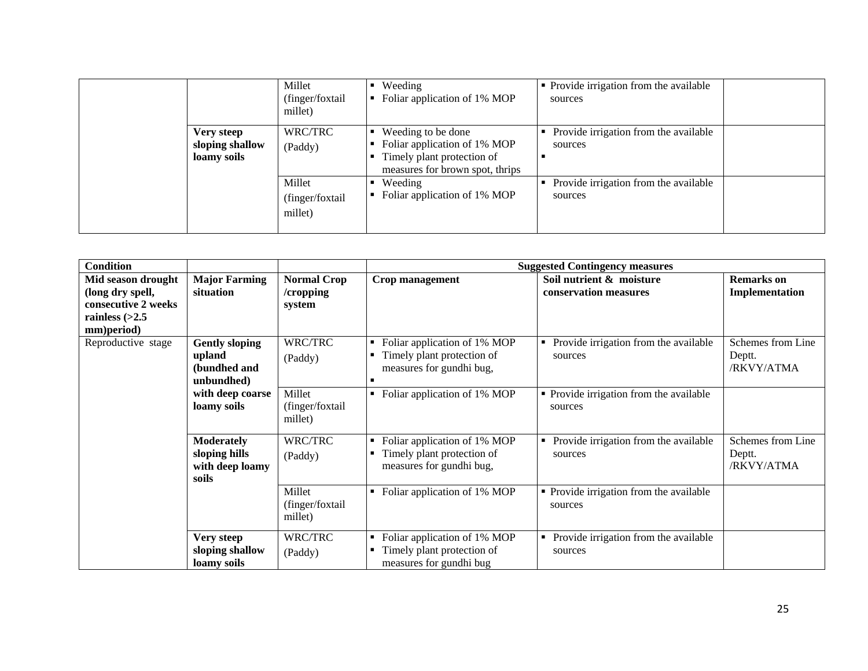|                                                     | Millet<br>(finger/foxtail)<br>millet) | Weeding<br>Foliar application of 1% MOP                                                                             | • Provide irrigation from the available<br>sources    |  |
|-----------------------------------------------------|---------------------------------------|---------------------------------------------------------------------------------------------------------------------|-------------------------------------------------------|--|
| <b>Very steep</b><br>sloping shallow<br>loamy soils | WRC/TRC<br>(Paddy)                    | Weeding to be done<br>Foliar application of 1% MOP<br>Timely plant protection of<br>measures for brown spot, thrips | Provide irrigation from the available<br>٠<br>sources |  |
|                                                     | Millet<br>(finger/foxtail)<br>millet) | Weeding<br>Foliar application of 1% MOP                                                                             | Provide irrigation from the available<br>٠<br>sources |  |

| <b>Condition</b>    |                       |                    |                                                | <b>Suggested Contingency measures</b>      |                   |
|---------------------|-----------------------|--------------------|------------------------------------------------|--------------------------------------------|-------------------|
| Mid season drought  | <b>Major Farming</b>  | <b>Normal Crop</b> | Crop management                                | Soil nutrient & moisture                   | <b>Remarks</b> on |
| (long dry spell,    | situation             | /cropping          |                                                | conservation measures                      | Implementation    |
| consecutive 2 weeks |                       | system             |                                                |                                            |                   |
| rainless $(>2.5$    |                       |                    |                                                |                                            |                   |
| mm)period)          |                       |                    |                                                |                                            |                   |
| Reproductive stage  | <b>Gently sloping</b> | WRC/TRC            | Foliar application of 1% MOP<br>٠              | Provide irrigation from the available      | Schemes from Line |
|                     | upland                | (Paddy)            | Timely plant protection of<br>٠                | sources                                    | Deptt.            |
|                     | (bundhed and          |                    | measures for gundhi bug,                       |                                            | /RKVY/ATMA        |
|                     | unbundhed)            |                    | п                                              |                                            |                   |
|                     | with deep coarse      | Millet             | Foliar application of 1% MOP<br>$\blacksquare$ | • Provide irrigation from the available    |                   |
|                     | loamy soils           | (finger/foxtail    |                                                | sources                                    |                   |
|                     |                       | millet)            |                                                |                                            |                   |
|                     | <b>Moderately</b>     | WRC/TRC            | Foliar application of 1% MOP<br>٠              | Provide irrigation from the available<br>٠ | Schemes from Line |
|                     | sloping hills         |                    | Timely plant protection of<br>п                | sources                                    | Deptt.            |
|                     | with deep loamy       | (Paddy)            | measures for gundhi bug,                       |                                            | /RKVY/ATMA        |
|                     | soils                 |                    |                                                |                                            |                   |
|                     |                       | Millet             | Foliar application of 1% MOP<br>$\blacksquare$ | • Provide irrigation from the available    |                   |
|                     |                       | (finger/foxtail    |                                                | sources                                    |                   |
|                     |                       | millet)            |                                                |                                            |                   |
|                     |                       |                    |                                                |                                            |                   |
|                     | Very steep            | WRC/TRC            | Foliar application of 1% MOP<br>٠              | Provide irrigation from the available      |                   |
|                     | sloping shallow       | (Paddy)            | Timely plant protection of<br>٠                | sources                                    |                   |
|                     | loamy soils           |                    | measures for gundhi bug                        |                                            |                   |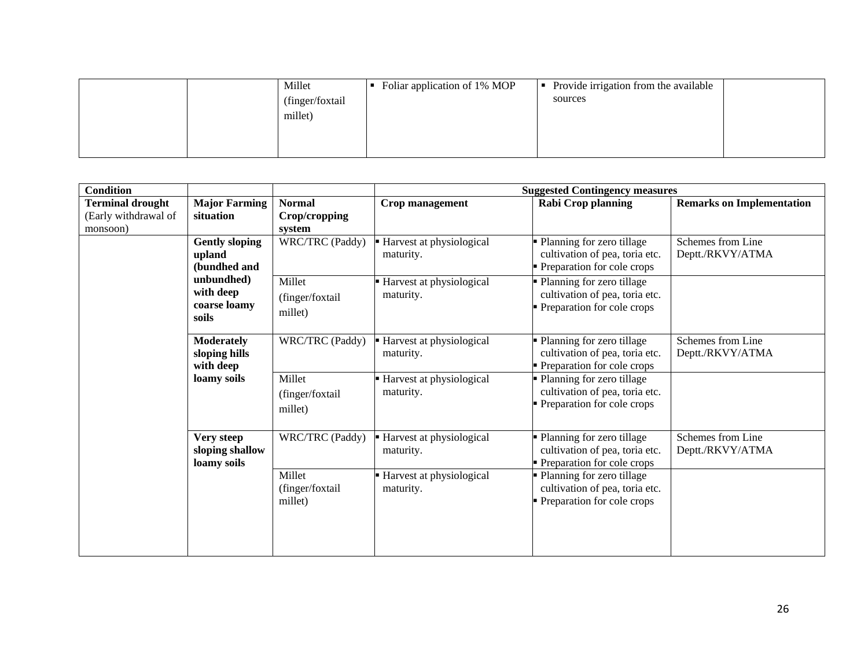|  | Millet           | Foliar application of 1% MOP | Provide irrigation from the available<br>$\blacksquare$ |  |
|--|------------------|------------------------------|---------------------------------------------------------|--|
|  | (finger/foxtail) |                              | sources                                                 |  |
|  | millet)          |                              |                                                         |  |
|  |                  |                              |                                                         |  |
|  |                  |                              |                                                         |  |
|  |                  |                              |                                                         |  |

| <b>Condition</b>                                        |                                              |                                       | <b>Suggested Contingency measures</b>   |                                                                                           |                                       |
|---------------------------------------------------------|----------------------------------------------|---------------------------------------|-----------------------------------------|-------------------------------------------------------------------------------------------|---------------------------------------|
| <b>Terminal drought</b><br>(Early withdrawal of         | <b>Major Farming</b><br>situation            | <b>Normal</b><br>Crop/cropping        | Crop management                         | <b>Rabi Crop planning</b>                                                                 | <b>Remarks on Implementation</b>      |
| monsoon)                                                |                                              | system                                |                                         |                                                                                           |                                       |
| upland<br>unbundhed)<br>with deep<br>soils<br>with deep | <b>Gently sloping</b><br>(bundhed and        | <b>WRC/TRC</b> (Paddy)                | Harvest at physiological<br>maturity.   | Planning for zero tillage<br>cultivation of pea, toria etc.<br>Preparation for cole crops | Schemes from Line<br>Deptt./RKVY/ATMA |
|                                                         | coarse loamy                                 | Millet<br>(finger/foxtail<br>millet)  | Harvest at physiological<br>maturity.   | Planning for zero tillage<br>cultivation of pea, toria etc.<br>Preparation for cole crops |                                       |
|                                                         | <b>Moderately</b><br>sloping hills           | WRC/TRC (Paddy)                       | - Harvest at physiological<br>maturity. | Planning for zero tillage<br>cultivation of pea, toria etc.<br>Preparation for cole crops | Schemes from Line<br>Deptt./RKVY/ATMA |
|                                                         | loamy soils                                  | Millet<br>(finger/foxtail<br>millet)  | - Harvest at physiological<br>maturity. | Planning for zero tillage<br>cultivation of pea, toria etc.<br>Preparation for cole crops |                                       |
|                                                         | Very steep<br>sloping shallow<br>loamy soils | WRC/TRC (Paddy)                       | Harvest at physiological<br>maturity.   | Planning for zero tillage<br>cultivation of pea, toria etc.<br>Preparation for cole crops | Schemes from Line<br>Deptt./RKVY/ATMA |
|                                                         |                                              | Millet<br>(finger/foxtail)<br>millet) | - Harvest at physiological<br>maturity. | Planning for zero tillage<br>cultivation of pea, toria etc.<br>Preparation for cole crops |                                       |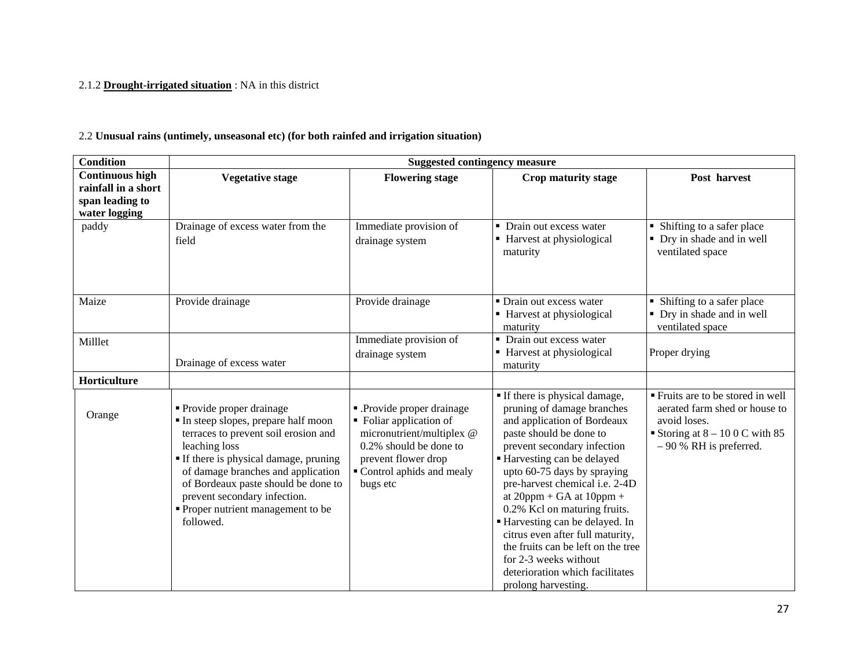#### 2.1.2 **Drought-irrigated situation** : NA in this district

#### 2.2 **Unusual rains (untimely, unseasonal etc) (for both rainfed and irrigation situation)**

| <b>Condition</b>                                                                  | <b>Suggested contingency measure</b>                                                                                                                                                                                                                                                                                               |                                                                                                                                                                            |                                                                                                                                                                                                                                                                                                                                                                                                                                                                                                                   |                                                                                                                                                |  |
|-----------------------------------------------------------------------------------|------------------------------------------------------------------------------------------------------------------------------------------------------------------------------------------------------------------------------------------------------------------------------------------------------------------------------------|----------------------------------------------------------------------------------------------------------------------------------------------------------------------------|-------------------------------------------------------------------------------------------------------------------------------------------------------------------------------------------------------------------------------------------------------------------------------------------------------------------------------------------------------------------------------------------------------------------------------------------------------------------------------------------------------------------|------------------------------------------------------------------------------------------------------------------------------------------------|--|
| <b>Continuous high</b><br>rainfall in a short<br>span leading to<br>water logging | <b>Vegetative stage</b>                                                                                                                                                                                                                                                                                                            | <b>Flowering stage</b>                                                                                                                                                     | Crop maturity stage                                                                                                                                                                                                                                                                                                                                                                                                                                                                                               | Post harvest                                                                                                                                   |  |
| paddy                                                                             | Drainage of excess water from the<br>field                                                                                                                                                                                                                                                                                         | Immediate provision of<br>drainage system                                                                                                                                  | • Drain out excess water<br>• Harvest at physiological<br>maturity                                                                                                                                                                                                                                                                                                                                                                                                                                                | • Shifting to a safer place<br>• Dry in shade and in well<br>ventilated space                                                                  |  |
| Maize                                                                             | Provide drainage                                                                                                                                                                                                                                                                                                                   | Provide drainage                                                                                                                                                           | • Drain out excess water<br>■ Harvest at physiological<br>maturity                                                                                                                                                                                                                                                                                                                                                                                                                                                | • Shifting to a safer place<br>• Dry in shade and in well<br>ventilated space                                                                  |  |
| Milllet                                                                           | Drainage of excess water                                                                                                                                                                                                                                                                                                           | Immediate provision of<br>drainage system                                                                                                                                  | • Drain out excess water<br>• Harvest at physiological<br>maturity                                                                                                                                                                                                                                                                                                                                                                                                                                                | Proper drying                                                                                                                                  |  |
| Horticulture                                                                      |                                                                                                                                                                                                                                                                                                                                    |                                                                                                                                                                            |                                                                                                                                                                                                                                                                                                                                                                                                                                                                                                                   |                                                                                                                                                |  |
| Orange                                                                            | • Provide proper drainage<br>In steep slopes, prepare half moon<br>terraces to prevent soil erosion and<br>leaching loss<br>• If there is physical damage, pruning<br>of damage branches and application<br>of Bordeaux paste should be done to<br>prevent secondary infection.<br>• Proper nutrient management to be<br>followed. | - Provide proper drainage<br>• Foliar application of<br>micronutrient/multiplex @<br>0.2% should be done to<br>prevent flower drop<br>Control aphids and mealy<br>bugs etc | If there is physical damage,<br>pruning of damage branches<br>and application of Bordeaux<br>paste should be done to<br>prevent secondary infection<br>Harvesting can be delayed<br>upto 60-75 days by spraying<br>pre-harvest chemical i.e. 2-4D<br>at $20$ ppm + GA at $10$ ppm +<br>0.2% Kcl on maturing fruits.<br>Harvesting can be delayed. In<br>citrus even after full maturity,<br>the fruits can be left on the tree<br>for 2-3 weeks without<br>deterioration which facilitates<br>prolong harvesting. | Fruits are to be stored in well<br>aerated farm shed or house to<br>avoid loses.<br>Storing at $8 - 100$ C with 85<br>$-90$ % RH is preferred. |  |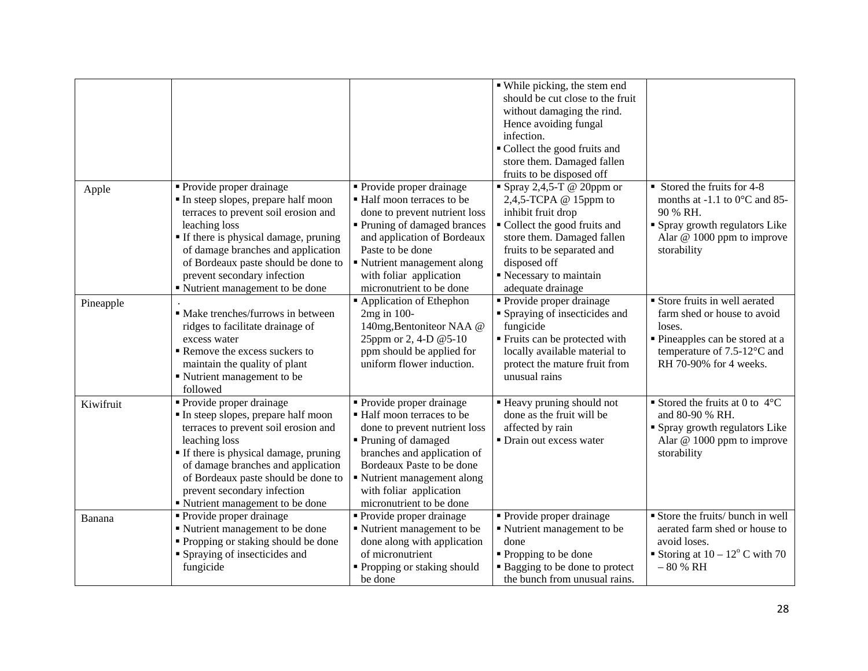|           |                                                                                                                                                                                                                                                                                                                       |                                                                                                                                                                                                                                                                   | • While picking, the stem end<br>should be cut close to the fruit<br>without damaging the rind.<br>Hence avoiding fungal<br>infection.<br>• Collect the good fruits and<br>store them. Damaged fallen<br>fruits to be disposed off |                                                                                                                                                                                  |
|-----------|-----------------------------------------------------------------------------------------------------------------------------------------------------------------------------------------------------------------------------------------------------------------------------------------------------------------------|-------------------------------------------------------------------------------------------------------------------------------------------------------------------------------------------------------------------------------------------------------------------|------------------------------------------------------------------------------------------------------------------------------------------------------------------------------------------------------------------------------------|----------------------------------------------------------------------------------------------------------------------------------------------------------------------------------|
| Apple     | • Provide proper drainage<br>In steep slopes, prepare half moon<br>terraces to prevent soil erosion and<br>leaching loss<br><b>If there is physical damage, pruning</b><br>of damage branches and application<br>of Bordeaux paste should be done to<br>prevent secondary infection<br>Nutrient management to be done | • Provide proper drainage<br>• Half moon terraces to be<br>done to prevent nutrient loss<br>• Pruning of damaged brances<br>and application of Bordeaux<br>Paste to be done<br>• Nutrient management along<br>with foliar application<br>micronutrient to be done | Spray 2,4,5-T @ 20ppm or<br>2,4,5-TCPA $@$ 15ppm to<br>inhibit fruit drop<br>Collect the good fruits and<br>store them. Damaged fallen<br>fruits to be separated and<br>disposed off<br>Recessary to maintain<br>adequate drainage | $\blacksquare$ Stored the fruits for 4-8<br>months at -1.1 to $0^{\circ}$ C and 85-<br>90 % RH.<br>• Spray growth regulators Like<br>Alar $@$ 1000 ppm to improve<br>storability |
| Pineapple | · Make trenches/furrows in between<br>ridges to facilitate drainage of<br>excess water<br>Remove the excess suckers to<br>maintain the quality of plant<br>Nutrient management to be<br>followed                                                                                                                      | Application of Ethephon<br>2mg in 100-<br>140mg, Bentoniteor NAA @<br>25ppm or 2, 4-D @5-10<br>ppm should be applied for<br>uniform flower induction.                                                                                                             | • Provide proper drainage<br>• Spraying of insecticides and<br>fungicide<br>■ Fruits can be protected with<br>locally available material to<br>protect the mature fruit from<br>unusual rains                                      | Store fruits in well aerated<br>farm shed or house to avoid<br>loses.<br>• Pineapples can be stored at a<br>temperature of 7.5-12°C and<br>RH 70-90% for 4 weeks.                |
| Kiwifruit | Provide proper drainage<br>In steep slopes, prepare half moon<br>terraces to prevent soil erosion and<br>leaching loss<br>If there is physical damage, pruning<br>of damage branches and application<br>of Bordeaux paste should be done to<br>prevent secondary infection<br>Nutrient management to be done          | • Provide proper drainage<br>■ Half moon terraces to be<br>done to prevent nutrient loss<br>Pruning of damaged<br>branches and application of<br>Bordeaux Paste to be done<br>Nutrient management along<br>with foliar application<br>micronutrient to be done    | <b>Example 1</b> Heavy pruning should not<br>done as the fruit will be<br>affected by rain<br>• Drain out excess water                                                                                                             | Stored the fruits at 0 to $4^{\circ}$ C<br>and 80-90 % RH.<br>• Spray growth regulators Like<br>Alar $@$ 1000 ppm to improve<br>storability                                      |
| Banana    | • Provide proper drainage<br>" Nutrient management to be done<br>• Propping or staking should be done<br>• Spraying of insecticides and<br>fungicide                                                                                                                                                                  | • Provide proper drainage<br>Nutrient management to be<br>done along with application<br>of micronutrient<br>• Propping or staking should<br>be done                                                                                                              | • Provide proper drainage<br>Nutrient management to be<br>done<br>• Propping to be done<br>• Bagging to be done to protect<br>the bunch from unusual rains.                                                                        | Store the fruits/ bunch in well<br>aerated farm shed or house to<br>avoid loses.<br>Storing at $10 - 12^{\circ}$ C with 70<br>$-80% RH$                                          |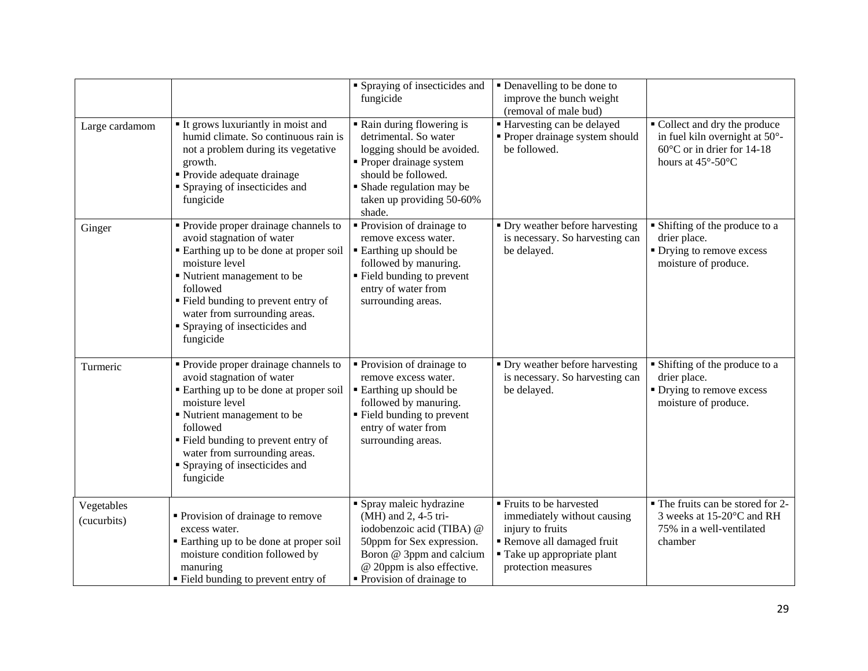|                           |                                                                                                                                                                                                                                                                                               | • Spraying of insecticides and<br>fungicide                                                                                                                                                              | • Denavelling to be done to<br>improve the bunch weight<br>(removal of male bud)                                                                              |                                                                                                                                         |
|---------------------------|-----------------------------------------------------------------------------------------------------------------------------------------------------------------------------------------------------------------------------------------------------------------------------------------------|----------------------------------------------------------------------------------------------------------------------------------------------------------------------------------------------------------|---------------------------------------------------------------------------------------------------------------------------------------------------------------|-----------------------------------------------------------------------------------------------------------------------------------------|
| Large cardamom            | It grows luxuriantly in moist and<br>humid climate. So continuous rain is<br>not a problem during its vegetative<br>growth.<br>• Provide adequate drainage<br>• Spraying of insecticides and<br>fungicide                                                                                     | • Rain during flowering is<br>detrimental. So water<br>logging should be avoided.<br>• Proper drainage system<br>should be followed.<br>• Shade regulation may be<br>taken up providing 50-60%<br>shade. | <b>Harvesting can be delayed</b><br>• Proper drainage system should<br>be followed.                                                                           | • Collect and dry the produce<br>in fuel kiln overnight at 50°-<br>60°C or in drier for 14-18<br>hours at $45^{\circ}$ -50 $^{\circ}$ C |
| Ginger                    | • Provide proper drainage channels to<br>avoid stagnation of water<br>Earthing up to be done at proper soil<br>moisture level<br>Nutrient management to be<br>followed<br>" Field bunding to prevent entry of<br>water from surrounding areas.<br>• Spraying of insecticides and<br>fungicide | • Provision of drainage to<br>remove excess water.<br>■ Earthing up should be<br>followed by manuring.<br>" Field bunding to prevent<br>entry of water from<br>surrounding areas.                        | • Dry weather before harvesting<br>is necessary. So harvesting can<br>be delayed.                                                                             | • Shifting of the produce to a<br>drier place.<br>• Drying to remove excess<br>moisture of produce.                                     |
| Turmeric                  | • Provide proper drainage channels to<br>avoid stagnation of water<br>Earthing up to be done at proper soil<br>moisture level<br>Nutrient management to be<br>followed<br>" Field bunding to prevent entry of<br>water from surrounding areas.<br>• Spraying of insecticides and<br>fungicide | • Provision of drainage to<br>remove excess water.<br>■ Earthing up should be<br>followed by manuring.<br>• Field bunding to prevent<br>entry of water from<br>surrounding areas.                        | • Dry weather before harvesting<br>is necessary. So harvesting can<br>be delayed.                                                                             | • Shifting of the produce to a<br>drier place.<br>• Drying to remove excess<br>moisture of produce.                                     |
| Vegetables<br>(cucurbits) | • Provision of drainage to remove<br>excess water.<br>■ Earthing up to be done at proper soil<br>moisture condition followed by<br>manuring<br>• Field bunding to prevent entry of                                                                                                            | • Spray maleic hydrazine<br>(MH) and 2, 4-5 tri-<br>iodobenzoic acid (TIBA) @<br>50ppm for Sex expression.<br>Boron @ 3ppm and calcium<br>@ 20ppm is also effective.<br>• Provision of drainage to       | ■ Fruits to be harvested<br>immediately without causing<br>injury to fruits<br>Remove all damaged fruit<br>" Take up appropriate plant<br>protection measures | • The fruits can be stored for 2-<br>3 weeks at 15-20°C and RH<br>75% in a well-ventilated<br>chamber                                   |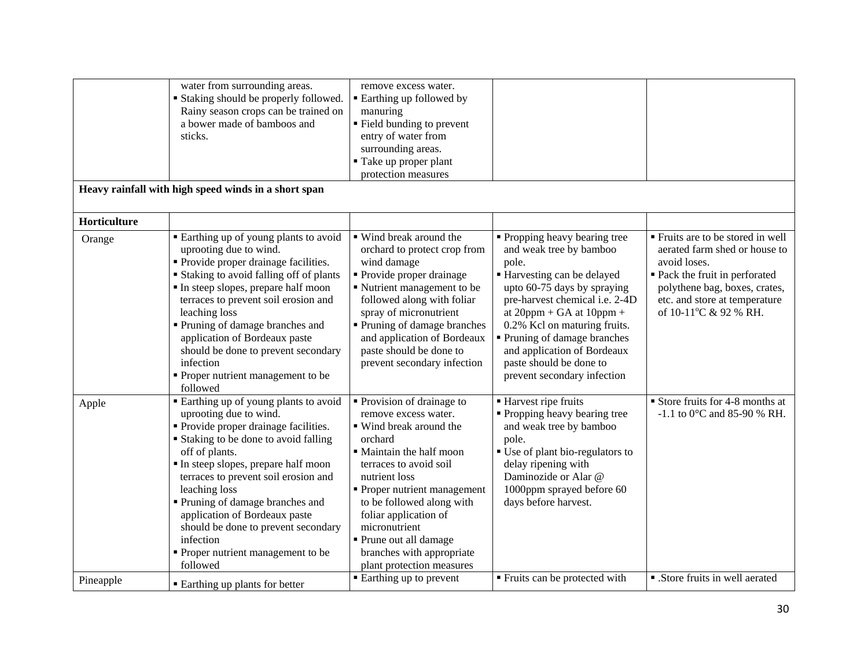|              | water from surrounding areas.<br><b>Staking should be properly followed.</b><br>Rainy season crops can be trained on<br>a bower made of bamboos and<br>sticks.                                                                                                                                                                                                                                                                               | remove excess water.<br>• Earthing up followed by<br>manuring<br>■ Field bunding to prevent<br>entry of water from<br>surrounding areas.<br>■ Take up proper plant<br>protection measures                                                                                                                                                                  |                                                                                                                                                                                                                                                                                                                                                            |                                                                                                                                                                                                                 |
|--------------|----------------------------------------------------------------------------------------------------------------------------------------------------------------------------------------------------------------------------------------------------------------------------------------------------------------------------------------------------------------------------------------------------------------------------------------------|------------------------------------------------------------------------------------------------------------------------------------------------------------------------------------------------------------------------------------------------------------------------------------------------------------------------------------------------------------|------------------------------------------------------------------------------------------------------------------------------------------------------------------------------------------------------------------------------------------------------------------------------------------------------------------------------------------------------------|-----------------------------------------------------------------------------------------------------------------------------------------------------------------------------------------------------------------|
|              | Heavy rainfall with high speed winds in a short span                                                                                                                                                                                                                                                                                                                                                                                         |                                                                                                                                                                                                                                                                                                                                                            |                                                                                                                                                                                                                                                                                                                                                            |                                                                                                                                                                                                                 |
| Horticulture |                                                                                                                                                                                                                                                                                                                                                                                                                                              |                                                                                                                                                                                                                                                                                                                                                            |                                                                                                                                                                                                                                                                                                                                                            |                                                                                                                                                                                                                 |
| Orange       | • Earthing up of young plants to avoid<br>uprooting due to wind.<br>· Provide proper drainage facilities.<br><b>Staking to avoid falling off of plants</b><br>In steep slopes, prepare half moon<br>terraces to prevent soil erosion and<br>leaching loss<br>Pruning of damage branches and<br>application of Bordeaux paste<br>should be done to prevent secondary<br>infection<br>• Proper nutrient management to be<br>followed           | • Wind break around the<br>orchard to protect crop from<br>wind damage<br>• Provide proper drainage<br>Nutrient management to be<br>followed along with foliar<br>spray of micronutrient<br>• Pruning of damage branches<br>and application of Bordeaux<br>paste should be done to<br>prevent secondary infection                                          | • Propping heavy bearing tree<br>and weak tree by bamboo<br>pole.<br>Harvesting can be delayed<br>upto 60-75 days by spraying<br>pre-harvest chemical i.e. 2-4D<br>at $20$ ppm + GA at $10$ ppm +<br>0.2% Kcl on maturing fruits.<br>• Pruning of damage branches<br>and application of Bordeaux<br>paste should be done to<br>prevent secondary infection | " Fruits are to be stored in well<br>aerated farm shed or house to<br>avoid loses.<br>• Pack the fruit in perforated<br>polythene bag, boxes, crates,<br>etc. and store at temperature<br>of 10-11°C & 92 % RH. |
| Apple        | • Earthing up of young plants to avoid<br>uprooting due to wind.<br>• Provide proper drainage facilities.<br>■ Staking to be done to avoid falling<br>off of plants.<br>In steep slopes, prepare half moon<br>terraces to prevent soil erosion and<br>leaching loss<br>Pruning of damage branches and<br>application of Bordeaux paste<br>should be done to prevent secondary<br>infection<br>• Proper nutrient management to be<br>followed | • Provision of drainage to<br>remove excess water.<br>■ Wind break around the<br>orchard<br>• Maintain the half moon<br>terraces to avoid soil<br>nutrient loss<br>• Proper nutrient management<br>to be followed along with<br>foliar application of<br>micronutrient<br>• Prune out all damage<br>branches with appropriate<br>plant protection measures | Harvest ripe fruits<br>• Propping heavy bearing tree<br>and weak tree by bamboo<br>pole.<br>■ Use of plant bio-regulators to<br>delay ripening with<br>Daminozide or Alar @<br>1000ppm sprayed before 60<br>days before harvest.                                                                                                                           | $\blacksquare$ Store fruits for 4-8 months at<br>-1.1 to $0^{\circ}$ C and 85-90 % RH.                                                                                                                          |
| Pineapple    | <b>Earthing up plants for better</b>                                                                                                                                                                                                                                                                                                                                                                                                         | • Earthing up to prevent                                                                                                                                                                                                                                                                                                                                   | " Fruits can be protected with                                                                                                                                                                                                                                                                                                                             | • .Store fruits in well aerated                                                                                                                                                                                 |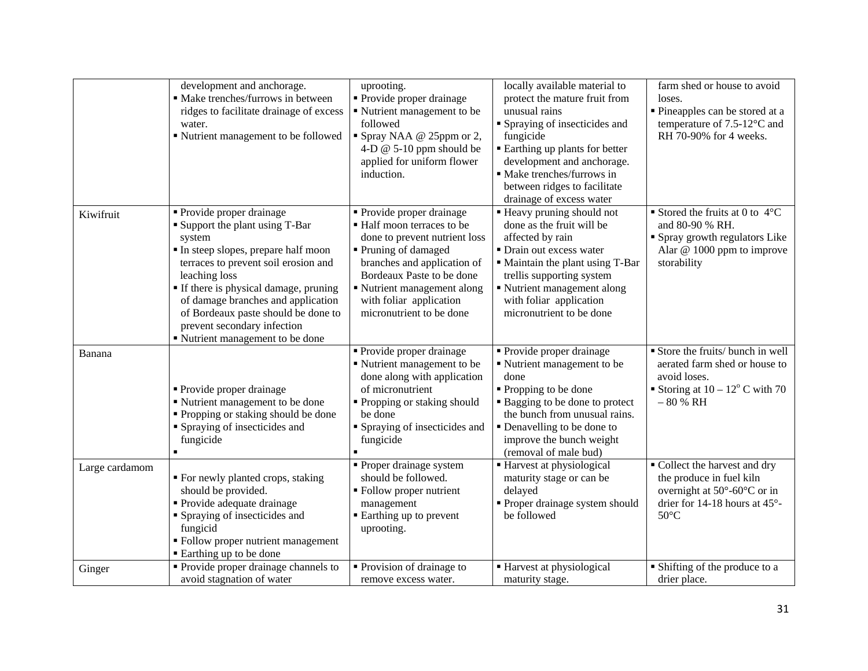|                | development and anchorage.<br>· Make trenches/furrows in between<br>ridges to facilitate drainage of excess<br>water.<br>■ Nutrient management to be followed                                                                                                                                                                                                        | uprooting.<br>• Provide proper drainage<br>• Nutrient management to be<br>followed<br>Spray NAA @ 25ppm or 2,<br>4-D $@$ 5-10 ppm should be<br>applied for uniform flower<br>induction.                                                                          | locally available material to<br>protect the mature fruit from<br>unusual rains<br>■ Spraying of insecticides and<br>fungicide<br><b>Earthing up plants for better</b><br>development and anchorage.<br>· Make trenches/furrows in<br>between ridges to facilitate<br>drainage of excess water | farm shed or house to avoid<br>loses.<br>Pineapples can be stored at a<br>temperature of 7.5-12°C and<br>RH 70-90% for 4 weeks.                                            |
|----------------|----------------------------------------------------------------------------------------------------------------------------------------------------------------------------------------------------------------------------------------------------------------------------------------------------------------------------------------------------------------------|------------------------------------------------------------------------------------------------------------------------------------------------------------------------------------------------------------------------------------------------------------------|------------------------------------------------------------------------------------------------------------------------------------------------------------------------------------------------------------------------------------------------------------------------------------------------|----------------------------------------------------------------------------------------------------------------------------------------------------------------------------|
| Kiwifruit      | • Provide proper drainage<br><b>Support the plant using T-Bar</b><br>system<br>In steep slopes, prepare half moon<br>terraces to prevent soil erosion and<br>leaching loss<br>" If there is physical damage, pruning<br>of damage branches and application<br>of Bordeaux paste should be done to<br>prevent secondary infection<br>" Nutrient management to be done | • Provide proper drainage<br>• Half moon terraces to be<br>done to prevent nutrient loss<br>Pruning of damaged<br>branches and application of<br>Bordeaux Paste to be done<br>• Nutrient management along<br>with foliar application<br>micronutrient to be done | " Heavy pruning should not<br>done as the fruit will be<br>affected by rain<br>• Drain out excess water<br>" Maintain the plant using T-Bar<br>trellis supporting system<br>• Nutrient management along<br>with foliar application<br>micronutrient to be done                                 | Stored the fruits at 0 to $4^{\circ}$ C<br>and 80-90 % RH.<br>• Spray growth regulators Like<br>Alar @ 1000 ppm to improve<br>storability                                  |
| Banana         | • Provide proper drainage<br>■ Nutrient management to be done<br>• Propping or staking should be done<br>• Spraying of insecticides and<br>fungicide                                                                                                                                                                                                                 | • Provide proper drainage<br>• Nutrient management to be<br>done along with application<br>of micronutrient<br>■ Propping or staking should<br>be done<br>• Spraying of insecticides and<br>fungicide                                                            | • Provide proper drainage<br>• Nutrient management to be<br>done<br>• Propping to be done<br>• Bagging to be done to protect<br>the bunch from unusual rains.<br>• Denavelling to be done to<br>improve the bunch weight<br>(removal of male bud)                                              | Store the fruits/ bunch in well<br>aerated farm shed or house to<br>avoid loses.<br>Storing at $10 - 12^{\circ}$ C with 70<br>$-80% RH$                                    |
| Large cardamom | • For newly planted crops, staking<br>should be provided.<br>• Provide adequate drainage<br>• Spraying of insecticides and<br>fungicid<br>• Follow proper nutrient management<br>■ Earthing up to be done                                                                                                                                                            | • Proper drainage system<br>should be followed.<br>• Follow proper nutrient<br>management<br>• Earthing up to prevent<br>uprooting.                                                                                                                              | ■ Harvest at physiological<br>maturity stage or can be<br>delayed<br>· Proper drainage system should<br>be followed                                                                                                                                                                            | • Collect the harvest and dry<br>the produce in fuel kiln<br>overnight at $50^{\circ}$ -60 $^{\circ}$ C or in<br>drier for 14-18 hours at $45^{\circ}$ -<br>$50^{\circ}$ C |
| Ginger         | • Provide proper drainage channels to<br>avoid stagnation of water                                                                                                                                                                                                                                                                                                   | • Provision of drainage to<br>remove excess water.                                                                                                                                                                                                               | ■ Harvest at physiological<br>maturity stage.                                                                                                                                                                                                                                                  | • Shifting of the produce to a<br>drier place.                                                                                                                             |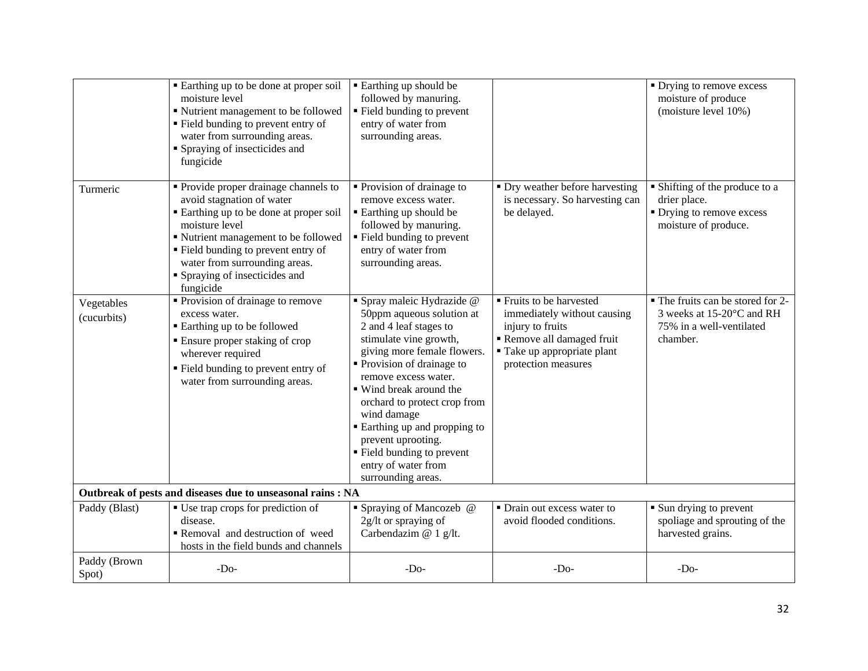|                           | ■ Earthing up to be done at proper soil<br>moisture level<br>" Nutrient management to be followed<br>" Field bunding to prevent entry of<br>water from surrounding areas.<br>• Spraying of insecticides and                                                                                                 | ■ Earthing up should be<br>followed by manuring.<br>• Field bunding to prevent<br>entry of water from<br>surrounding areas.                                                                                                                                                                                                                                                                                       |                                                                                                                                                               | • Drying to remove excess<br>moisture of produce<br>(moisture level 10%)                               |
|---------------------------|-------------------------------------------------------------------------------------------------------------------------------------------------------------------------------------------------------------------------------------------------------------------------------------------------------------|-------------------------------------------------------------------------------------------------------------------------------------------------------------------------------------------------------------------------------------------------------------------------------------------------------------------------------------------------------------------------------------------------------------------|---------------------------------------------------------------------------------------------------------------------------------------------------------------|--------------------------------------------------------------------------------------------------------|
| Turmeric                  | fungicide<br>• Provide proper drainage channels to<br>avoid stagnation of water<br>■ Earthing up to be done at proper soil<br>moisture level<br>■ Nutrient management to be followed<br>• Field bunding to prevent entry of<br>water from surrounding areas.<br>• Spraying of insecticides and<br>fungicide | • Provision of drainage to<br>remove excess water.<br>■ Earthing up should be<br>followed by manuring.<br>• Field bunding to prevent<br>entry of water from<br>surrounding areas.                                                                                                                                                                                                                                 | • Dry weather before harvesting<br>is necessary. So harvesting can<br>be delayed.                                                                             | • Shifting of the produce to a<br>drier place.<br>• Drying to remove excess<br>moisture of produce.    |
| Vegetables<br>(cucurbits) | Provision of drainage to remove<br>excess water.<br>■ Earthing up to be followed<br>• Ensure proper staking of crop<br>wherever required<br>" Field bunding to prevent entry of<br>water from surrounding areas.                                                                                            | · Spray maleic Hydrazide @<br>50ppm aqueous solution at<br>2 and 4 leaf stages to<br>stimulate vine growth,<br>giving more female flowers.<br>• Provision of drainage to<br>remove excess water.<br>■ Wind break around the<br>orchard to protect crop from<br>wind damage<br><b>Earthing up and propping to</b><br>prevent uprooting.<br>• Field bunding to prevent<br>entry of water from<br>surrounding areas. | ■ Fruits to be harvested<br>immediately without causing<br>injury to fruits<br>Remove all damaged fruit<br>■ Take up appropriate plant<br>protection measures | • The fruits can be stored for 2-<br>3 weeks at 15-20°C and RH<br>75% in a well-ventilated<br>chamber. |
|                           | Outbreak of pests and diseases due to unseasonal rains : NA                                                                                                                                                                                                                                                 |                                                                                                                                                                                                                                                                                                                                                                                                                   |                                                                                                                                                               |                                                                                                        |
| Paddy (Blast)             | ■ Use trap crops for prediction of<br>disease.<br>Removal and destruction of weed<br>hosts in the field bunds and channels                                                                                                                                                                                  | • Spraying of Mancozeb @<br>2g/lt or spraying of<br>Carbendazim @ 1 g/lt.                                                                                                                                                                                                                                                                                                                                         | • Drain out excess water to<br>avoid flooded conditions.                                                                                                      | • Sun drying to prevent<br>spoliage and sprouting of the<br>harvested grains.                          |
| Paddy (Brown<br>Spot)     | $-DO$                                                                                                                                                                                                                                                                                                       | $-Do-$                                                                                                                                                                                                                                                                                                                                                                                                            | $-Do-$                                                                                                                                                        | $-Do-$                                                                                                 |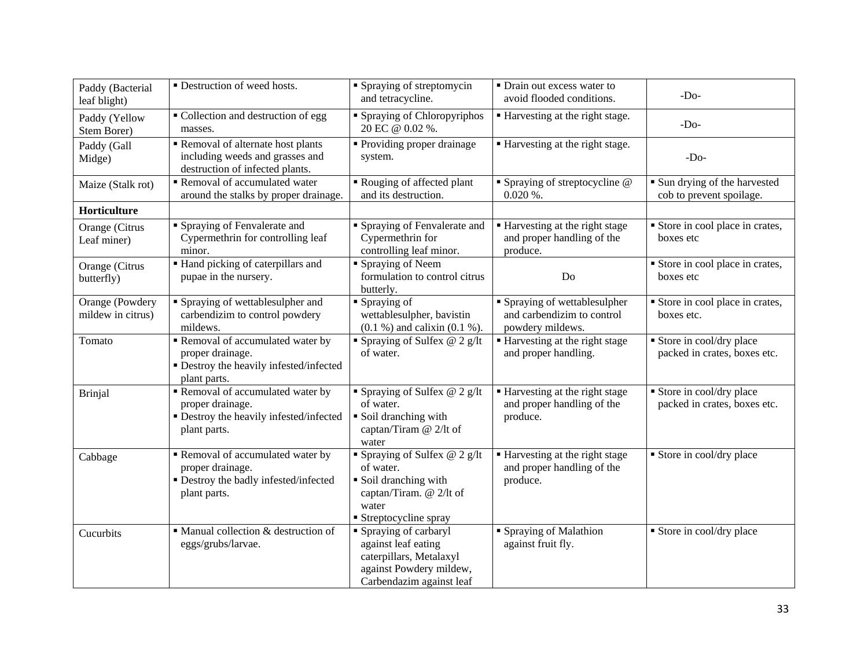| Paddy (Bacterial<br>leaf blight)     | • Destruction of weed hosts.                                                                                   | • Spraying of streptomycin<br>and tetracycline.                                                                                   | • Drain out excess water to<br>avoid flooded conditions.                        | $-Do-$                                                    |
|--------------------------------------|----------------------------------------------------------------------------------------------------------------|-----------------------------------------------------------------------------------------------------------------------------------|---------------------------------------------------------------------------------|-----------------------------------------------------------|
| Paddy (Yellow<br>Stem Borer)         | • Collection and destruction of egg<br>masses.                                                                 | • Spraying of Chloropyriphos<br>20 EC @ 0.02 %.                                                                                   | ■ Harvesting at the right stage.                                                | $-Do-$                                                    |
| Paddy (Gall<br>Midge)                | Removal of alternate host plants<br>including weeds and grasses and<br>destruction of infected plants.         | • Providing proper drainage<br>system.                                                                                            | ■ Harvesting at the right stage.                                                | $-Do-$                                                    |
| Maize (Stalk rot)                    | Removal of accumulated water<br>around the stalks by proper drainage.                                          | Rouging of affected plant<br>and its destruction.                                                                                 | • Spraying of streptocycline @<br>$0.020\%$ .                                   | • Sun drying of the harvested<br>cob to prevent spoilage. |
| Horticulture                         |                                                                                                                |                                                                                                                                   |                                                                                 |                                                           |
| Orange (Citrus<br>Leaf miner)        | Spraying of Fenvalerate and<br>Cypermethrin for controlling leaf<br>minor.                                     | • Spraying of Fenvalerate and<br>Cypermethrin for<br>controlling leaf minor.                                                      | ■ Harvesting at the right stage<br>and proper handling of the<br>produce.       | Store in cool place in crates,<br>boxes etc               |
| Orange (Citrus<br>butterfly)         | Hand picking of caterpillars and<br>pupae in the nursery.                                                      | • Spraying of Neem<br>formulation to control citrus<br>butterly.                                                                  | Do                                                                              | Store in cool place in crates,<br>boxes etc               |
| Orange (Powdery<br>mildew in citrus) | • Spraying of wettablesulpher and<br>carbendizim to control powdery<br>mildews.                                | $\blacksquare$ Spraying of<br>wettablesulpher, bavistin<br>$(0.1 %)$ and calixin $(0.1 %)$ .                                      | • Spraying of wettablesulpher<br>and carbendizim to control<br>powdery mildews. | Store in cool place in crates,<br>boxes etc.              |
| Tomato                               | Removal of accumulated water by<br>proper drainage.<br>• Destroy the heavily infested/infected<br>plant parts. | ■ Spraying of Sulfex $@$ 2 g/lt<br>of water.                                                                                      | ■ Harvesting at the right stage<br>and proper handling.                         | Store in cool/dry place<br>packed in crates, boxes etc.   |
| <b>Brinjal</b>                       | Removal of accumulated water by<br>proper drainage.<br>• Destroy the heavily infested/infected<br>plant parts. | Spraying of Sulfex $@$ 2 g/lt<br>of water.<br>• Soil dranching with<br>captan/Tiram @ 2/lt of<br>water                            | Harvesting at the right stage<br>and proper handling of the<br>produce.         | Store in cool/dry place<br>packed in crates, boxes etc.   |
| Cabbage                              | Removal of accumulated water by<br>proper drainage.<br>· Destroy the badly infested/infected<br>plant parts.   | Spraying of Sulfex $@$ 2 g/lt<br>of water.<br>• Soil dranching with<br>captan/Tiram. @ 2/lt of<br>water<br>• Streptocycline spray | Harvesting at the right stage<br>and proper handling of the<br>produce.         | Store in cool/dry place                                   |
| Cucurbits                            | $\blacksquare$ Manual collection & destruction of<br>eggs/grubs/larvae.                                        | • Spraying of carbaryl<br>against leaf eating<br>caterpillars, Metalaxyl<br>against Powdery mildew,<br>Carbendazim against leaf   | • Spraying of Malathion<br>against fruit fly.                                   | Store in cool/dry place                                   |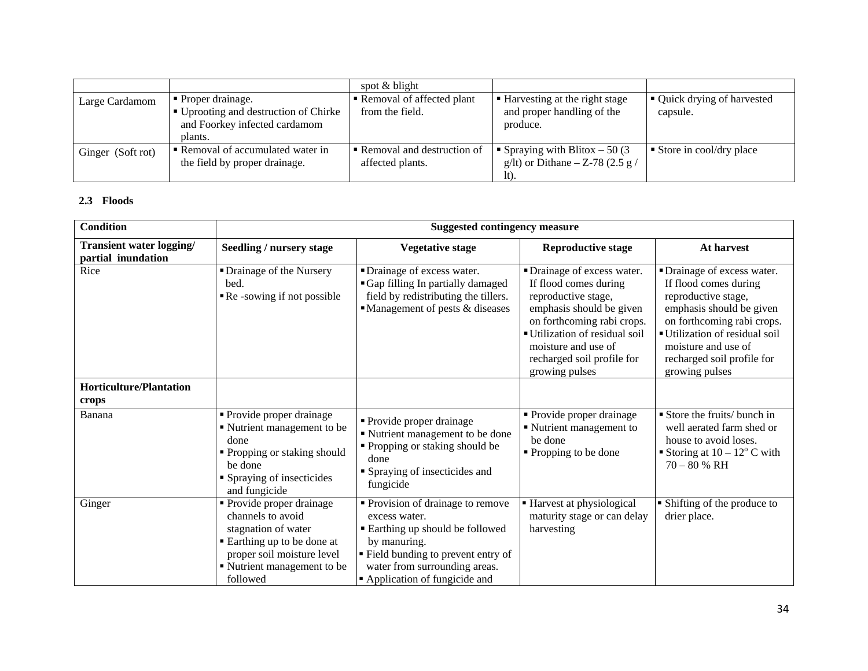|                   |                                                                                                                      | spot $&$ blight                                |                                                                           |                                         |
|-------------------|----------------------------------------------------------------------------------------------------------------------|------------------------------------------------|---------------------------------------------------------------------------|-----------------------------------------|
| Large Cardamom    | $\blacksquare$ Proper drainage.<br>■ Uprooting and destruction of Chirke<br>and Foorkey infected cardamom<br>plants. | Removal of affected plant<br>from the field.   | ■ Harvesting at the right stage<br>and proper handling of the<br>produce. | • Quick drying of harvested<br>capsule. |
| Ginger (Soft rot) | ■ Removal of accumulated water in<br>the field by proper drainage.                                                   | Removal and destruction of<br>affected plants. | Spraying with Blitox $-50(3)$<br>g/lt) or Dithane – Z-78 (2.5 g /<br>lt). | $\blacksquare$ Store in cool/dry place  |

#### **2.3 Floods**

| <b>Condition</b>                                      | <b>Suggested contingency measure</b>                                                                                                                                          |                                                                                                                                                                                                                |                                                                                                                                                                                                                                                |                                                                                                                                                                                                                                                |  |
|-------------------------------------------------------|-------------------------------------------------------------------------------------------------------------------------------------------------------------------------------|----------------------------------------------------------------------------------------------------------------------------------------------------------------------------------------------------------------|------------------------------------------------------------------------------------------------------------------------------------------------------------------------------------------------------------------------------------------------|------------------------------------------------------------------------------------------------------------------------------------------------------------------------------------------------------------------------------------------------|--|
| <b>Transient water logging/</b><br>partial inundation | Seedling / nursery stage                                                                                                                                                      | <b>Vegetative stage</b>                                                                                                                                                                                        | <b>Reproductive stage</b>                                                                                                                                                                                                                      | At harvest                                                                                                                                                                                                                                     |  |
| Rice                                                  | • Drainage of the Nursery<br>bed.<br>Re-sowing if not possible                                                                                                                | • Drainage of excess water.<br>Gap filling In partially damaged<br>field by redistributing the tillers.<br>$\blacksquare$ Management of pests & diseases                                                       | • Drainage of excess water.<br>If flood comes during<br>reproductive stage,<br>emphasis should be given<br>on forthcoming rabi crops.<br>■ Utilization of residual soil<br>moisture and use of<br>recharged soil profile for<br>growing pulses | • Drainage of excess water.<br>If flood comes during<br>reproductive stage,<br>emphasis should be given<br>on forthcoming rabi crops.<br>■ Utilization of residual soil<br>moisture and use of<br>recharged soil profile for<br>growing pulses |  |
| <b>Horticulture/Plantation</b><br>crops               |                                                                                                                                                                               |                                                                                                                                                                                                                |                                                                                                                                                                                                                                                |                                                                                                                                                                                                                                                |  |
| Banana                                                | • Provide proper drainage<br>• Nutrient management to be<br>done<br>• Propping or staking should<br>be done<br>• Spraying of insecticides<br>and fungicide                    | • Provide proper drainage<br>" Nutrient management to be done<br>• Propping or staking should be<br>done<br>• Spraying of insecticides and<br>fungicide                                                        | • Provide proper drainage<br>• Nutrient management to<br>be done<br>• Propping to be done                                                                                                                                                      | $\blacksquare$ Store the fruits/ bunch in<br>well aerated farm shed or<br>house to avoid loses.<br>Storing at $10 - 12^{\circ}$ C with<br>$70 - 80 %$ RH                                                                                       |  |
| Ginger                                                | • Provide proper drainage<br>channels to avoid<br>stagnation of water<br>■ Earthing up to be done at<br>proper soil moisture level<br>• Nutrient management to be<br>followed | • Provision of drainage to remove<br>excess water.<br>■ Earthing up should be followed<br>by manuring.<br>" Field bunding to prevent entry of<br>water from surrounding areas.<br>Application of fungicide and | ■ Harvest at physiological<br>maturity stage or can delay<br>harvesting                                                                                                                                                                        | • Shifting of the produce to<br>drier place.                                                                                                                                                                                                   |  |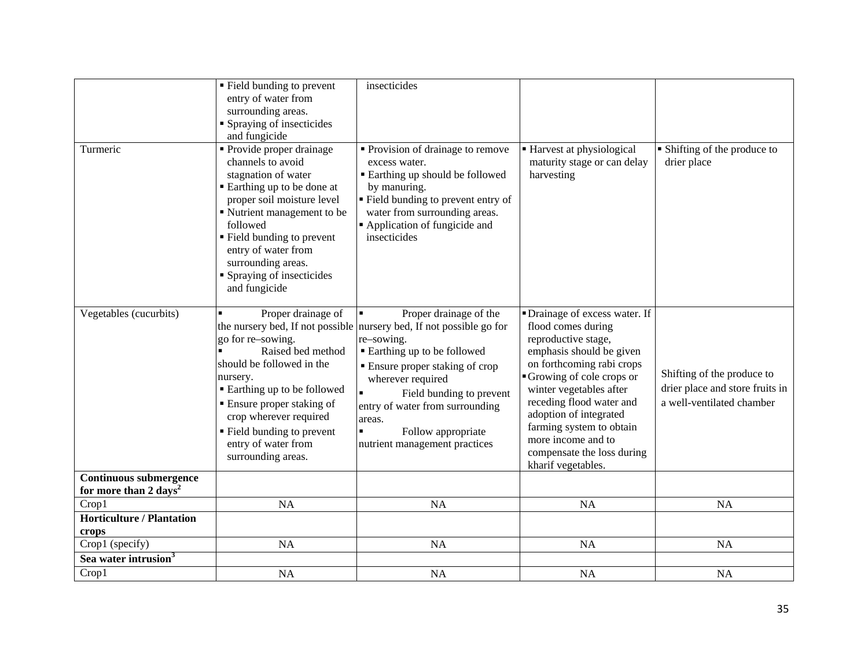|                                                             | • Field bunding to prevent<br>entry of water from<br>surrounding areas.<br>• Spraying of insecticides<br>and fungicide                                                                                                                                                                                | insecticides                                                                                                                                                                                                                                                                                                                                                     |                                                                                                                                                                                                                                                                                                                                                         |                                                                                            |
|-------------------------------------------------------------|-------------------------------------------------------------------------------------------------------------------------------------------------------------------------------------------------------------------------------------------------------------------------------------------------------|------------------------------------------------------------------------------------------------------------------------------------------------------------------------------------------------------------------------------------------------------------------------------------------------------------------------------------------------------------------|---------------------------------------------------------------------------------------------------------------------------------------------------------------------------------------------------------------------------------------------------------------------------------------------------------------------------------------------------------|--------------------------------------------------------------------------------------------|
| Turmeric                                                    | • Provide proper drainage<br>channels to avoid<br>stagnation of water<br>■ Earthing up to be done at<br>proper soil moisture level<br>Nutrient management to be<br>followed<br>" Field bunding to prevent<br>entry of water from<br>surrounding areas.<br>• Spraying of insecticides<br>and fungicide | • Provision of drainage to remove<br>excess water.<br><b>Earthing up should be followed</b><br>by manuring.<br>" Field bunding to prevent entry of<br>water from surrounding areas.<br>Application of fungicide and<br>insecticides                                                                                                                              | ■ Harvest at physiological<br>maturity stage or can delay<br>harvesting                                                                                                                                                                                                                                                                                 | • Shifting of the produce to<br>drier place                                                |
| Vegetables (cucurbits)                                      | Proper drainage of<br>go for re-sowing.<br>Raised bed method<br>should be followed in the<br>nursery.<br>■ Earthing up to be followed<br>• Ensure proper staking of<br>crop wherever required<br>• Field bunding to prevent<br>entry of water from<br>surrounding areas.                              | Proper drainage of the<br>the nursery bed, If not possible nursery bed, If not possible go for<br>re-sowing.<br><b>Earthing up to be followed</b><br><b>Ensure proper staking of crop</b><br>wherever required<br>Field bunding to prevent<br>entry of water from surrounding<br>areas.<br>$\blacksquare$<br>Follow appropriate<br>nutrient management practices | • Drainage of excess water. If<br>flood comes during<br>reproductive stage,<br>emphasis should be given<br>on forthcoming rabi crops<br>Growing of cole crops or<br>winter vegetables after<br>receding flood water and<br>adoption of integrated<br>farming system to obtain<br>more income and to<br>compensate the loss during<br>kharif vegetables. | Shifting of the produce to<br>drier place and store fruits in<br>a well-ventilated chamber |
| Continuous submergence<br>for more than 2 days <sup>2</sup> |                                                                                                                                                                                                                                                                                                       |                                                                                                                                                                                                                                                                                                                                                                  |                                                                                                                                                                                                                                                                                                                                                         |                                                                                            |
| Crop1                                                       | <b>NA</b>                                                                                                                                                                                                                                                                                             | <b>NA</b>                                                                                                                                                                                                                                                                                                                                                        | <b>NA</b>                                                                                                                                                                                                                                                                                                                                               | <b>NA</b>                                                                                  |
| <b>Horticulture / Plantation</b><br>crops                   |                                                                                                                                                                                                                                                                                                       |                                                                                                                                                                                                                                                                                                                                                                  |                                                                                                                                                                                                                                                                                                                                                         |                                                                                            |
| Crop1 (specify)                                             | <b>NA</b>                                                                                                                                                                                                                                                                                             | <b>NA</b>                                                                                                                                                                                                                                                                                                                                                        | NA                                                                                                                                                                                                                                                                                                                                                      | NA                                                                                         |
| Sea water intrusion <sup>3</sup>                            |                                                                                                                                                                                                                                                                                                       |                                                                                                                                                                                                                                                                                                                                                                  |                                                                                                                                                                                                                                                                                                                                                         |                                                                                            |
| Crop1                                                       | <b>NA</b>                                                                                                                                                                                                                                                                                             | <b>NA</b>                                                                                                                                                                                                                                                                                                                                                        | NA                                                                                                                                                                                                                                                                                                                                                      | <b>NA</b>                                                                                  |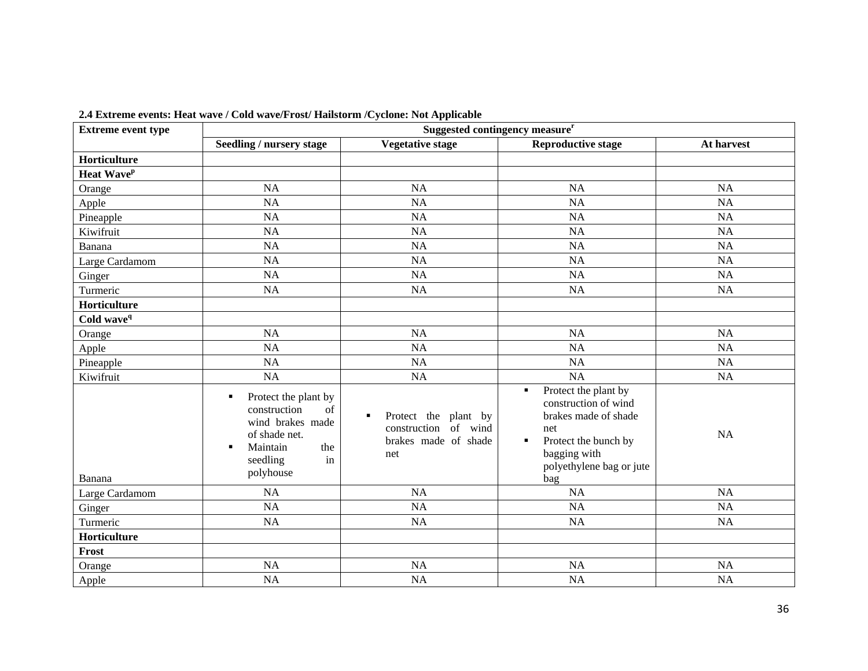| <b>Extreme event type</b> | Suggested contingency measure <sup>r</sup>                                                                                                  |                                                                                  |                                                                                                                                                                  |            |
|---------------------------|---------------------------------------------------------------------------------------------------------------------------------------------|----------------------------------------------------------------------------------|------------------------------------------------------------------------------------------------------------------------------------------------------------------|------------|
|                           | Seedling / nursery stage                                                                                                                    | <b>Vegetative stage</b>                                                          | <b>Reproductive stage</b>                                                                                                                                        | At harvest |
| Horticulture              |                                                                                                                                             |                                                                                  |                                                                                                                                                                  |            |
| Heat Wave <sup>p</sup>    |                                                                                                                                             |                                                                                  |                                                                                                                                                                  |            |
| Orange                    | <b>NA</b>                                                                                                                                   | <b>NA</b>                                                                        | NA                                                                                                                                                               | NA         |
| Apple                     | <b>NA</b>                                                                                                                                   | NA                                                                               | NA                                                                                                                                                               | <b>NA</b>  |
| Pineapple                 | <b>NA</b>                                                                                                                                   | <b>NA</b>                                                                        | <b>NA</b>                                                                                                                                                        | <b>NA</b>  |
| Kiwifruit                 | <b>NA</b>                                                                                                                                   | <b>NA</b>                                                                        | <b>NA</b>                                                                                                                                                        | NA         |
| Banana                    | <b>NA</b>                                                                                                                                   | <b>NA</b>                                                                        | NA                                                                                                                                                               | <b>NA</b>  |
| Large Cardamom            | <b>NA</b>                                                                                                                                   | <b>NA</b>                                                                        | <b>NA</b>                                                                                                                                                        | <b>NA</b>  |
| Ginger                    | <b>NA</b>                                                                                                                                   | NA                                                                               | <b>NA</b>                                                                                                                                                        | NA         |
| Turmeric                  | <b>NA</b>                                                                                                                                   | <b>NA</b>                                                                        | <b>NA</b>                                                                                                                                                        | NA         |
| Horticulture              |                                                                                                                                             |                                                                                  |                                                                                                                                                                  |            |
| Cold wave <sup>q</sup>    |                                                                                                                                             |                                                                                  |                                                                                                                                                                  |            |
| Orange                    | <b>NA</b>                                                                                                                                   | <b>NA</b>                                                                        | NA                                                                                                                                                               | <b>NA</b>  |
| Apple                     | <b>NA</b>                                                                                                                                   | <b>NA</b>                                                                        | NA                                                                                                                                                               | <b>NA</b>  |
| Pineapple                 | <b>NA</b>                                                                                                                                   | NA                                                                               | NA                                                                                                                                                               | NA         |
| Kiwifruit                 | <b>NA</b>                                                                                                                                   | NA                                                                               | NA                                                                                                                                                               | NA         |
| Banana                    | Protect the plant by<br>٠<br>construction<br>of<br>wind brakes made<br>of shade net.<br>Maintain<br>the<br>٠<br>seedling<br>in<br>polyhouse | Protect the plant by<br>п<br>construction of wind<br>brakes made of shade<br>net | Protect the plant by<br>٠<br>construction of wind<br>brakes made of shade<br>net<br>Protect the bunch by<br>٠<br>bagging with<br>polyethylene bag or jute<br>bag | <b>NA</b>  |
| Large Cardamom            | <b>NA</b>                                                                                                                                   | <b>NA</b>                                                                        | NA                                                                                                                                                               | <b>NA</b>  |
| Ginger                    | <b>NA</b>                                                                                                                                   | <b>NA</b>                                                                        | <b>NA</b>                                                                                                                                                        | NA         |
| Turmeric                  | <b>NA</b>                                                                                                                                   | NA                                                                               | NA                                                                                                                                                               | NA         |
| Horticulture              |                                                                                                                                             |                                                                                  |                                                                                                                                                                  |            |
| Frost                     |                                                                                                                                             |                                                                                  |                                                                                                                                                                  |            |
| Orange                    | <b>NA</b>                                                                                                                                   | <b>NA</b>                                                                        | <b>NA</b>                                                                                                                                                        | <b>NA</b>  |
| Apple                     | <b>NA</b>                                                                                                                                   | NA                                                                               | <b>NA</b>                                                                                                                                                        | <b>NA</b>  |

**2.4 Extreme events: Heat wave / Cold wave/Frost/ Hailstorm /Cyclone: Not Applicable**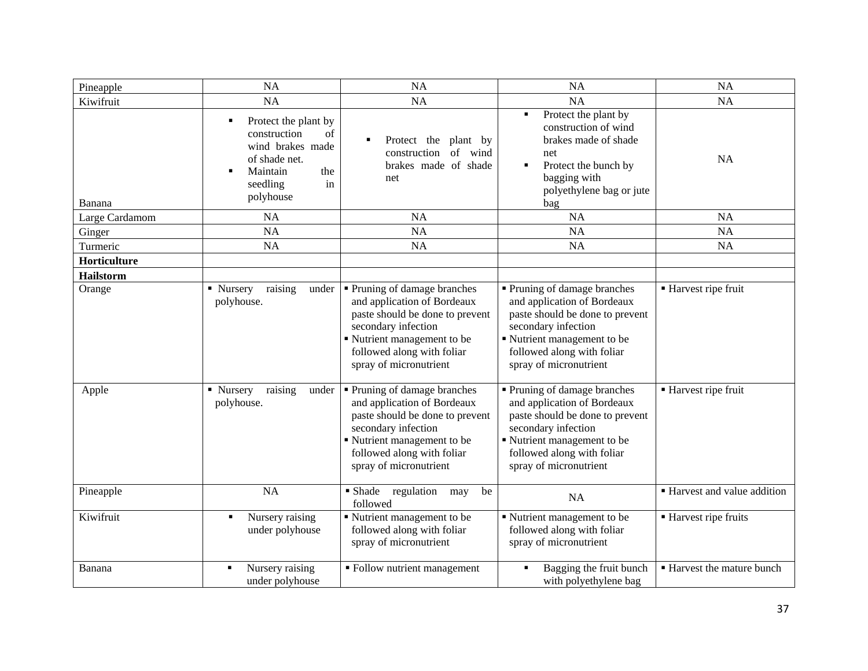| Pineapple        | <b>NA</b>                                                                                                                              | <b>NA</b>                                                                                                                                                                                                  | NA                                                                                                                                                                                                         | <b>NA</b>                    |
|------------------|----------------------------------------------------------------------------------------------------------------------------------------|------------------------------------------------------------------------------------------------------------------------------------------------------------------------------------------------------------|------------------------------------------------------------------------------------------------------------------------------------------------------------------------------------------------------------|------------------------------|
| Kiwifruit        | NA                                                                                                                                     | <b>NA</b>                                                                                                                                                                                                  | <b>NA</b>                                                                                                                                                                                                  | <b>NA</b>                    |
| Banana           | Protect the plant by<br>٠<br>construction<br>of<br>wind brakes made<br>of shade net.<br>Maintain<br>the<br>seedling<br>in<br>polyhouse | Protect the plant by<br>construction<br>of wind<br>brakes made of shade<br>net                                                                                                                             | Protect the plant by<br>$\blacksquare$<br>construction of wind<br>brakes made of shade<br>net<br>Protect the bunch by<br>$\blacksquare$<br>bagging with<br>polyethylene bag or jute<br>bag                 | <b>NA</b>                    |
| Large Cardamom   | <b>NA</b>                                                                                                                              | <b>NA</b>                                                                                                                                                                                                  | <b>NA</b>                                                                                                                                                                                                  | <b>NA</b>                    |
| Ginger           | <b>NA</b>                                                                                                                              | <b>NA</b>                                                                                                                                                                                                  | <b>NA</b>                                                                                                                                                                                                  | <b>NA</b>                    |
| Turmeric         | <b>NA</b>                                                                                                                              | <b>NA</b>                                                                                                                                                                                                  | NA                                                                                                                                                                                                         | <b>NA</b>                    |
| Horticulture     |                                                                                                                                        |                                                                                                                                                                                                            |                                                                                                                                                                                                            |                              |
| <b>Hailstorm</b> |                                                                                                                                        |                                                                                                                                                                                                            |                                                                                                                                                                                                            |                              |
| Orange           | raising<br>• Nursery<br>under<br>polyhouse.                                                                                            | • Pruning of damage branches<br>and application of Bordeaux<br>paste should be done to prevent<br>secondary infection<br>Nutrient management to be<br>followed along with foliar<br>spray of micronutrient | • Pruning of damage branches<br>and application of Bordeaux<br>paste should be done to prevent<br>secondary infection<br>Nutrient management to be<br>followed along with foliar<br>spray of micronutrient | ■ Harvest ripe fruit         |
| Apple            | • Nursery<br>raising<br>under<br>polyhouse.                                                                                            | • Pruning of damage branches<br>and application of Bordeaux<br>paste should be done to prevent<br>secondary infection<br>Nutrient management to be<br>followed along with foliar<br>spray of micronutrient | • Pruning of damage branches<br>and application of Bordeaux<br>paste should be done to prevent<br>secondary infection<br>Nutrient management to be<br>followed along with foliar<br>spray of micronutrient | ■ Harvest ripe fruit         |
| Pineapple        | NA                                                                                                                                     | • Shade<br>be<br>regulation<br>may<br>followed                                                                                                                                                             | <b>NA</b>                                                                                                                                                                                                  | • Harvest and value addition |
| Kiwifruit        | Nursery raising<br>٠<br>under polyhouse                                                                                                | " Nutrient management to be<br>followed along with foliar<br>spray of micronutrient                                                                                                                        | Nutrient management to be<br>followed along with foliar<br>spray of micronutrient                                                                                                                          | ■ Harvest ripe fruits        |
| Banana           | Nursery raising<br>٠<br>under polyhouse                                                                                                | • Follow nutrient management                                                                                                                                                                               | Bagging the fruit bunch<br>with polyethylene bag                                                                                                                                                           | Harvest the mature bunch     |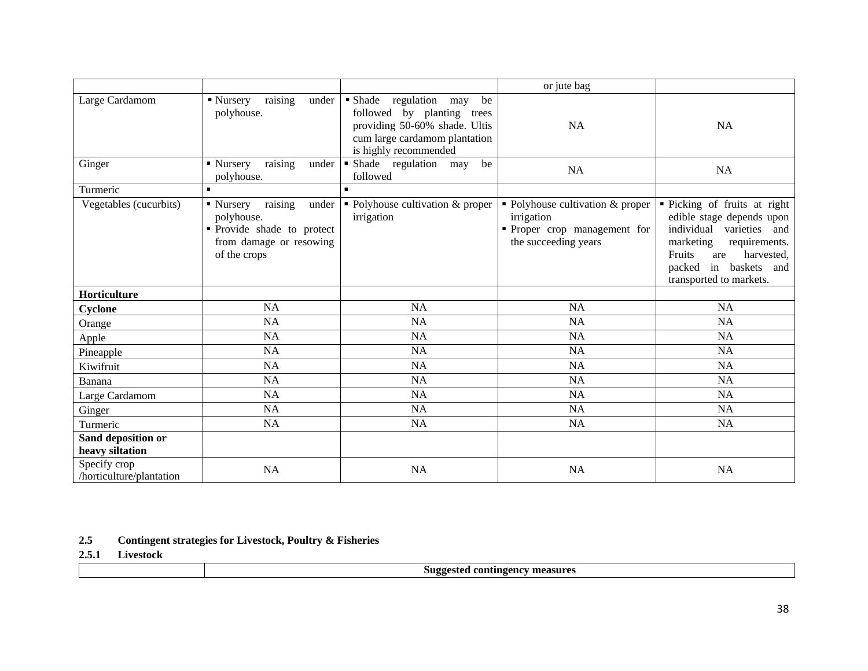|                                          |                                                                                                                    |                                                                                                                                                                | or jute bag                                                                                            |                                                                                                                                                                                                                 |
|------------------------------------------|--------------------------------------------------------------------------------------------------------------------|----------------------------------------------------------------------------------------------------------------------------------------------------------------|--------------------------------------------------------------------------------------------------------|-----------------------------------------------------------------------------------------------------------------------------------------------------------------------------------------------------------------|
| Large Cardamom                           | raising<br>■ Nursery<br>under<br>polyhouse.                                                                        | • Shade<br>regulation<br>be<br>may<br>followed by planting<br>trees<br>providing 50-60% shade. Ultis<br>cum large cardamom plantation<br>is highly recommended | <b>NA</b>                                                                                              | <b>NA</b>                                                                                                                                                                                                       |
| Ginger                                   | raising<br>• Nursery<br>under<br>polyhouse.                                                                        | · Shade regulation<br>be<br>may<br>followed                                                                                                                    | <b>NA</b>                                                                                              | <b>NA</b>                                                                                                                                                                                                       |
| Turmeric                                 | $\blacksquare$                                                                                                     | $\blacksquare$                                                                                                                                                 |                                                                                                        |                                                                                                                                                                                                                 |
| Vegetables (cucurbits)                   | raising<br>• Nursery<br>under<br>polyhouse.<br>Provide shade to protect<br>from damage or resowing<br>of the crops | • Polyhouse cultivation & proper<br>irrigation                                                                                                                 | • Polyhouse cultivation & proper<br>irrigation<br>• Proper crop management for<br>the succeeding years | • Picking of fruits at right<br>edible stage depends upon<br>individual<br>varieties<br>and<br>marketing<br>requirements.<br>Fruits<br>harvested,<br>are<br>in baskets and<br>packed<br>transported to markets. |
| Horticulture                             |                                                                                                                    |                                                                                                                                                                |                                                                                                        |                                                                                                                                                                                                                 |
| Cyclone                                  | <b>NA</b>                                                                                                          | <b>NA</b>                                                                                                                                                      | <b>NA</b>                                                                                              | <b>NA</b>                                                                                                                                                                                                       |
| Orange                                   | <b>NA</b>                                                                                                          | <b>NA</b>                                                                                                                                                      | <b>NA</b>                                                                                              | NA                                                                                                                                                                                                              |
| Apple                                    | <b>NA</b>                                                                                                          | <b>NA</b>                                                                                                                                                      | <b>NA</b>                                                                                              | <b>NA</b>                                                                                                                                                                                                       |
| Pineapple                                | <b>NA</b>                                                                                                          | <b>NA</b>                                                                                                                                                      | <b>NA</b>                                                                                              | <b>NA</b>                                                                                                                                                                                                       |
| Kiwifruit                                | <b>NA</b>                                                                                                          | <b>NA</b>                                                                                                                                                      | <b>NA</b>                                                                                              | <b>NA</b>                                                                                                                                                                                                       |
| Banana                                   | <b>NA</b>                                                                                                          | <b>NA</b>                                                                                                                                                      | <b>NA</b>                                                                                              | <b>NA</b>                                                                                                                                                                                                       |
| Large Cardamom                           | <b>NA</b>                                                                                                          | <b>NA</b>                                                                                                                                                      | <b>NA</b>                                                                                              | <b>NA</b>                                                                                                                                                                                                       |
| Ginger                                   | <b>NA</b>                                                                                                          | NA                                                                                                                                                             | NA                                                                                                     | <b>NA</b>                                                                                                                                                                                                       |
| Turmeric                                 | <b>NA</b>                                                                                                          | <b>NA</b>                                                                                                                                                      | NA                                                                                                     | NA                                                                                                                                                                                                              |
| Sand deposition or<br>heavy siltation    |                                                                                                                    |                                                                                                                                                                |                                                                                                        |                                                                                                                                                                                                                 |
| Specify crop<br>/horticulture/plantation | <b>NA</b>                                                                                                          | <b>NA</b>                                                                                                                                                      | <b>NA</b>                                                                                              | <b>NA</b>                                                                                                                                                                                                       |

**2.5 Contingent strategies for Livestock, Poultry & Fisheries**

**2.5.1 Livestock**

|--|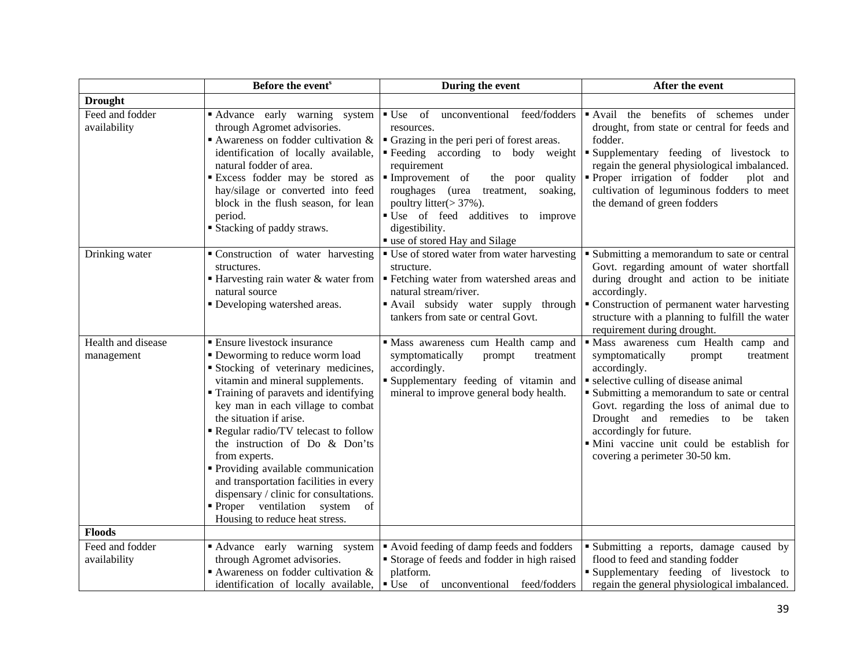|                                  | Before the event <sup>s</sup>                                                                                                                                                                                                                                                                                                                                                                                                                                                                                                                | During the event                                                                                                                                                                                                                                                                                                                                            | After the event                                                                                                                                                                                                                                                                                                                                                                   |
|----------------------------------|----------------------------------------------------------------------------------------------------------------------------------------------------------------------------------------------------------------------------------------------------------------------------------------------------------------------------------------------------------------------------------------------------------------------------------------------------------------------------------------------------------------------------------------------|-------------------------------------------------------------------------------------------------------------------------------------------------------------------------------------------------------------------------------------------------------------------------------------------------------------------------------------------------------------|-----------------------------------------------------------------------------------------------------------------------------------------------------------------------------------------------------------------------------------------------------------------------------------------------------------------------------------------------------------------------------------|
| <b>Drought</b>                   |                                                                                                                                                                                                                                                                                                                                                                                                                                                                                                                                              |                                                                                                                                                                                                                                                                                                                                                             |                                                                                                                                                                                                                                                                                                                                                                                   |
| Feed and fodder<br>availability  | Advance early warning system<br>through Agromet advisories.<br>Awareness on fodder cultivation $\&$<br>identification of locally available,<br>natural fodder of area.<br><b>Excess fodder may be stored as</b><br>hay/silage or converted into feed<br>block in the flush season, for lean<br>period.<br><b>Stacking of paddy straws.</b>                                                                                                                                                                                                   | • Use of unconventional feed/fodders<br>resources.<br>• Grazing in the peri peri of forest areas.<br>Feeding according to body weight<br>requirement<br>Improvement of<br>the poor quality<br>roughages (urea<br>treatment,<br>soaking,<br>poultry litter(> 37%).<br>· Use of feed additives to improve<br>digestibility.<br>" use of stored Hay and Silage | Avail the benefits of schemes under<br>drought, from state or central for feeds and<br>fodder.<br>Supplementary feeding of livestock to<br>regain the general physiological imbalanced.<br>Proper irrigation of fodder<br>plot and<br>cultivation of leguminous fodders to meet<br>the demand of green fodders                                                                    |
| Drinking water                   | Construction of water harvesting<br>structures.<br>■ Harvesting rain water & water from<br>natural source<br>• Developing watershed areas.                                                                                                                                                                                                                                                                                                                                                                                                   | ■ Use of stored water from water harvesting<br>structure.<br>· Fetching water from watershed areas and<br>natural stream/river.<br>• Avail subsidy water supply through<br>tankers from sate or central Govt.                                                                                                                                               | • Submitting a memorandum to sate or central<br>Govt. regarding amount of water shortfall<br>during drought and action to be initiate<br>accordingly.<br>Construction of permanent water harvesting<br>structure with a planning to fulfill the water<br>requirement during drought.                                                                                              |
| Health and disease<br>management | • Ensure livestock insurance<br>• Deworming to reduce worm load<br>Stocking of veterinary medicines,<br>vitamin and mineral supplements.<br>Training of paravets and identifying<br>key man in each village to combat<br>the situation if arise.<br>Regular radio/TV telecast to follow<br>the instruction of Do & Don'ts<br>from experts.<br>• Providing available communication<br>and transportation facilities in every<br>dispensary / clinic for consultations.<br>• Proper ventilation system<br>of<br>Housing to reduce heat stress. | " Mass awareness cum Health camp and<br>symptomatically<br>prompt<br>treatment<br>accordingly.<br>" Supplementary feeding of vitamin and<br>mineral to improve general body health.                                                                                                                                                                         | · Mass awareness cum Health camp and<br>symptomatically<br>prompt<br>treatment<br>accordingly.<br>selective culling of disease animal<br>• Submitting a memorandum to sate or central<br>Govt. regarding the loss of animal due to<br>Drought and remedies to be taken<br>accordingly for future.<br>· Mini vaccine unit could be establish for<br>covering a perimeter 30-50 km. |
| <b>Floods</b>                    |                                                                                                                                                                                                                                                                                                                                                                                                                                                                                                                                              |                                                                                                                                                                                                                                                                                                                                                             |                                                                                                                                                                                                                                                                                                                                                                                   |
| Feed and fodder<br>availability  | Advance early warning system<br>through Agromet advisories.<br>Awareness on fodder cultivation $\&$<br>identification of locally available,                                                                                                                                                                                                                                                                                                                                                                                                  | Avoid feeding of damp feeds and fodders<br>Storage of feeds and fodder in high raised<br>platform.<br>• Use of unconventional feed/fodders                                                                                                                                                                                                                  | Submitting a reports, damage caused by<br>flood to feed and standing fodder<br>Supplementary feeding of livestock to<br>regain the general physiological imbalanced.                                                                                                                                                                                                              |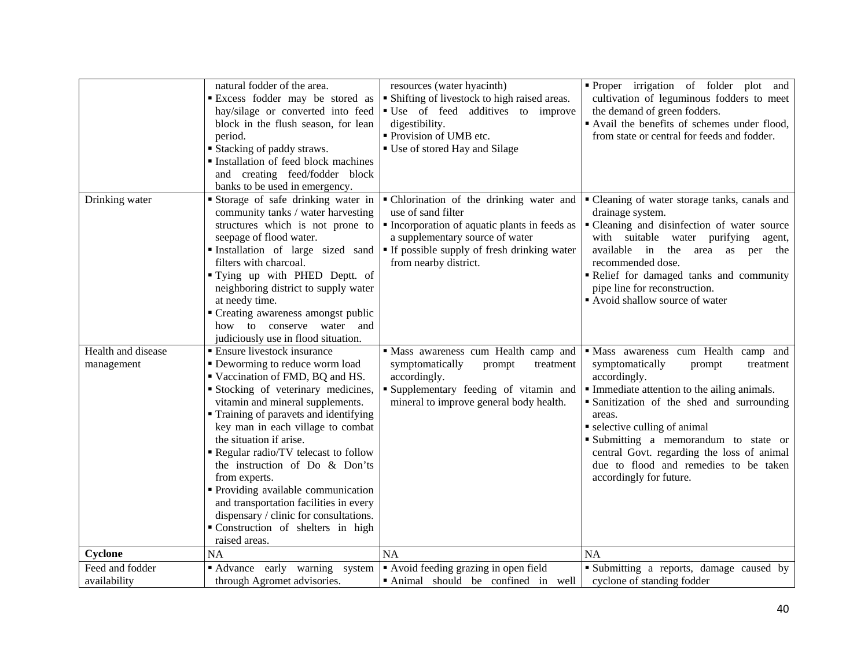|                                  | natural fodder of the area.<br><b>Excess fodder may be stored as</b><br>hay/silage or converted into feed<br>block in the flush season, for lean<br>period.<br><b>Stacking of paddy straws.</b><br>Installation of feed block machines<br>and creating feed/fodder block<br>banks to be used in emergency.                                                                                                                                                                                                                                                     | resources (water hyacinth)<br>• Shifting of livestock to high raised areas.<br>• Use of feed additives to improve<br>digestibility.<br>• Provision of UMB etc.<br>■ Use of stored Hay and Silage                                 | Proper irrigation of folder plot and<br>cultivation of leguminous fodders to meet<br>the demand of green fodders.<br>Avail the benefits of schemes under flood,<br>from state or central for feeds and fodder.                                                                                                                                                                                   |
|----------------------------------|----------------------------------------------------------------------------------------------------------------------------------------------------------------------------------------------------------------------------------------------------------------------------------------------------------------------------------------------------------------------------------------------------------------------------------------------------------------------------------------------------------------------------------------------------------------|----------------------------------------------------------------------------------------------------------------------------------------------------------------------------------------------------------------------------------|--------------------------------------------------------------------------------------------------------------------------------------------------------------------------------------------------------------------------------------------------------------------------------------------------------------------------------------------------------------------------------------------------|
| Drinking water                   | Storage of safe drinking water in<br>community tanks / water harvesting<br>structures which is not prone to<br>seepage of flood water.<br>Installation of large sized sand<br>filters with charcoal.<br>"Iving up with PHED Deptt. of<br>neighboring district to supply water<br>at needy time.<br>• Creating awareness amongst public<br>how to conserve water and<br>judiciously use in flood situation.                                                                                                                                                     | • Chlorination of the drinking water and<br>use of sand filter<br>• Incorporation of aquatic plants in feeds as<br>a supplementary source of water<br><b>If possible supply of fresh drinking water</b><br>from nearby district. | • Cleaning of water storage tanks, canals and<br>drainage system.<br>" Cleaning and disinfection of water source<br>with suitable water purifying agent,<br>available in<br>the<br>area as per the<br>recommended dose.<br>Relief for damaged tanks and community<br>pipe line for reconstruction.<br>Avoid shallow source of water                                                              |
| Health and disease<br>management | ■ Ensure livestock insurance<br>• Deworming to reduce worm load<br>Vaccination of FMD, BQ and HS.<br>Stocking of veterinary medicines,<br>vitamin and mineral supplements.<br>• Training of paravets and identifying<br>key man in each village to combat<br>the situation if arise.<br>Regular radio/TV telecast to follow<br>the instruction of Do & Don'ts<br>from experts.<br>• Providing available communication<br>and transportation facilities in every<br>dispensary / clinic for consultations.<br>Construction of shelters in high<br>raised areas. | Mass awareness cum Health camp and<br>symptomatically<br>prompt<br>treatment<br>accordingly.<br>Supplementary feeding of vitamin and<br>mineral to improve general body health.                                                  | · Mass awareness cum Health camp and<br>symptomatically<br>prompt<br>treatment<br>accordingly.<br>• Immediate attention to the ailing animals.<br>• Sanitization of the shed and surrounding<br>areas.<br>• selective culling of animal<br>Submitting a memorandum to state or<br>central Govt. regarding the loss of animal<br>due to flood and remedies to be taken<br>accordingly for future. |
| Cyclone                          | NA                                                                                                                                                                                                                                                                                                                                                                                                                                                                                                                                                             | <b>NA</b>                                                                                                                                                                                                                        | <b>NA</b>                                                                                                                                                                                                                                                                                                                                                                                        |
| Feed and fodder<br>availability  | Advance early warning system<br>through Agromet advisories.                                                                                                                                                                                                                                                                                                                                                                                                                                                                                                    | Avoid feeding grazing in open field<br>Animal should be confined in well                                                                                                                                                         | • Submitting a reports, damage caused by<br>cyclone of standing fodder                                                                                                                                                                                                                                                                                                                           |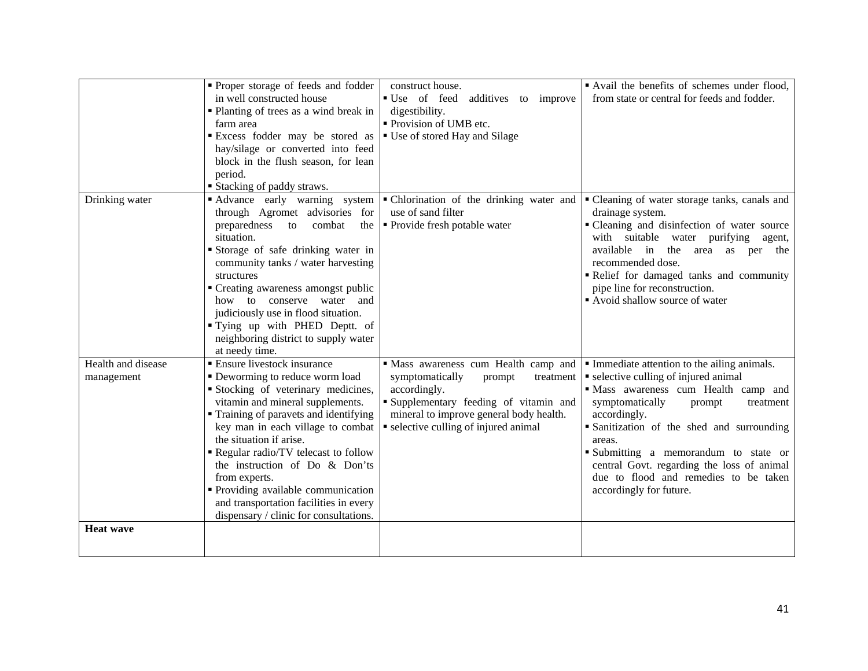|                                  | Proper storage of feeds and fodder<br>in well constructed house<br>• Planting of trees as a wind break in<br>farm area<br>Excess fodder may be stored as<br>hay/silage or converted into feed<br>block in the flush season, for lean<br>period.<br><b>Stacking of paddy straws.</b>                                                                                                                                                                                          | construct house.<br>■ Use of feed<br>additives to improve<br>digestibility.<br>• Provision of UMB etc.<br>■ Use of stored Hay and Silage                                                                                 | Avail the benefits of schemes under flood,<br>from state or central for feeds and fodder.                                                                                                                                                                                                                                                                                                              |
|----------------------------------|------------------------------------------------------------------------------------------------------------------------------------------------------------------------------------------------------------------------------------------------------------------------------------------------------------------------------------------------------------------------------------------------------------------------------------------------------------------------------|--------------------------------------------------------------------------------------------------------------------------------------------------------------------------------------------------------------------------|--------------------------------------------------------------------------------------------------------------------------------------------------------------------------------------------------------------------------------------------------------------------------------------------------------------------------------------------------------------------------------------------------------|
| Drinking water                   | Advance early warning system<br>through Agromet advisories for<br>preparedness<br>to<br>combat<br>the<br>situation.<br>Storage of safe drinking water in<br>community tanks / water harvesting<br>structures<br>" Creating awareness amongst public<br>how to conserve water and<br>judiciously use in flood situation.<br>"Tying up with PHED Deptt. of<br>neighboring district to supply water<br>at needy time.                                                           | • Chlorination of the drinking water and<br>use of sand filter<br>• Provide fresh potable water                                                                                                                          | • Cleaning of water storage tanks, canals and<br>drainage system.<br>• Cleaning and disinfection of water source<br>with suitable<br>water purifying agent,<br>available in<br>the<br>area as per the<br>recommended dose.<br>Relief for damaged tanks and community<br>pipe line for reconstruction.<br>Avoid shallow source of water                                                                 |
| Health and disease<br>management | <b>Ensure livestock insurance</b><br>• Deworming to reduce worm load<br>Stocking of veterinary medicines,<br>vitamin and mineral supplements.<br>• Training of paravets and identifying<br>key man in each village to combat<br>the situation if arise.<br>Regular radio/TV telecast to follow<br>the instruction of Do & Don'ts<br>from experts.<br>• Providing available communication<br>and transportation facilities in every<br>dispensary / clinic for consultations. | Mass awareness cum Health camp and<br>symptomatically<br>prompt<br>treatment<br>accordingly.<br>Supplementary feeding of vitamin and<br>mineral to improve general body health.<br>• selective culling of injured animal | • Immediate attention to the ailing animals.<br>• selective culling of injured animal<br>· Mass awareness cum Health camp and<br>symptomatically<br>prompt<br>treatment<br>accordingly.<br>Sanitization of the shed and surrounding<br>areas.<br>Submitting a memorandum to state or<br>central Govt. regarding the loss of animal<br>due to flood and remedies to be taken<br>accordingly for future. |
| <b>Heat wave</b>                 |                                                                                                                                                                                                                                                                                                                                                                                                                                                                              |                                                                                                                                                                                                                          |                                                                                                                                                                                                                                                                                                                                                                                                        |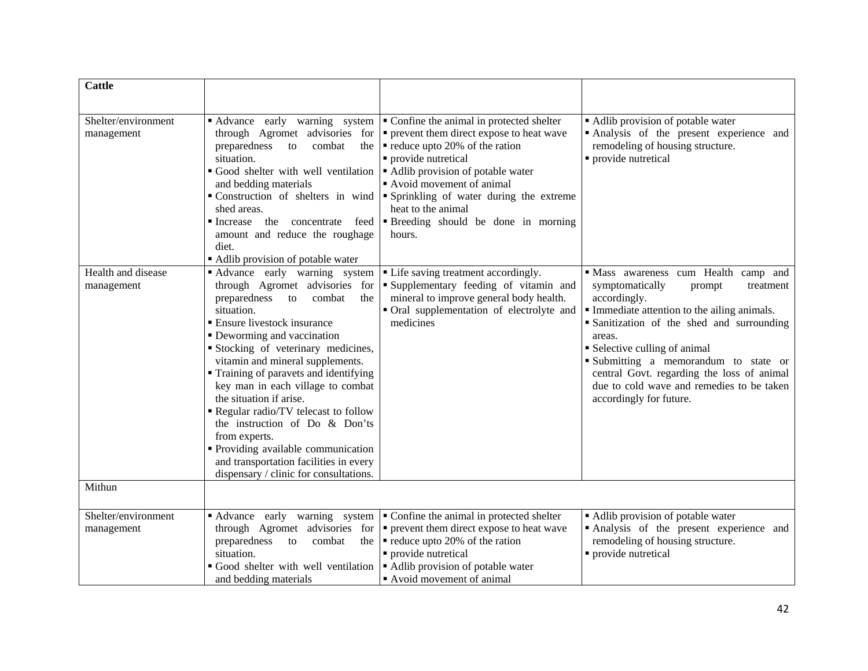| <b>Cattle</b>                     |                                                                                                                                                                                                                                                                                                                                                                                                                                                                                                                                                                                          |                                                                                                                                                                                                                                                                                                                                                                           |                                                                                                                                                                                                                                                                                                                                                                                                  |
|-----------------------------------|------------------------------------------------------------------------------------------------------------------------------------------------------------------------------------------------------------------------------------------------------------------------------------------------------------------------------------------------------------------------------------------------------------------------------------------------------------------------------------------------------------------------------------------------------------------------------------------|---------------------------------------------------------------------------------------------------------------------------------------------------------------------------------------------------------------------------------------------------------------------------------------------------------------------------------------------------------------------------|--------------------------------------------------------------------------------------------------------------------------------------------------------------------------------------------------------------------------------------------------------------------------------------------------------------------------------------------------------------------------------------------------|
| Shelter/environment<br>management | Advance early warning system<br>through Agromet advisories for<br>preparedness<br>combat<br>to<br>the<br>situation.<br>Good shelter with well ventilation<br>and bedding materials<br>shed areas.<br>Increase the concentrate feed<br>amount and reduce the roughage<br>diet.<br>Adlib provision of potable water                                                                                                                                                                                                                                                                        | Confine the animal in protected shelter<br>• prevent them direct expose to heat wave<br>reduce upto 20% of the ration<br>• provide nutretical<br>Adlib provision of potable water<br>Avoid movement of animal<br>• Construction of shelters in wind • Sprinkling of water during the extreme<br>heat to the animal<br><b>Breeding</b> should be done in morning<br>hours. | • Adlib provision of potable water<br>Analysis of the present experience and<br>remodeling of housing structure.<br>• provide nutretical                                                                                                                                                                                                                                                         |
| Health and disease<br>management  | Advance early warning system<br>through Agromet advisories for<br>preparedness to<br>combat<br>the<br>situation.<br><b>Ensure livestock insurance</b><br>• Deworming and vaccination<br>Stocking of veterinary medicines,<br>vitamin and mineral supplements.<br>Training of paravets and identifying<br>key man in each village to combat<br>the situation if arise.<br>Regular radio/TV telecast to follow<br>the instruction of Do & Don'ts<br>from experts.<br>Providing available communication<br>and transportation facilities in every<br>dispensary / clinic for consultations. | • Life saving treatment accordingly.<br>Supplementary feeding of vitamin and<br>mineral to improve general body health.<br>• Oral supplementation of electrolyte and<br>medicines                                                                                                                                                                                         | Mass awareness cum Health camp and<br>symptomatically<br>treatment<br>prompt<br>accordingly.<br>Immediate attention to the ailing animals.<br>• Sanitization of the shed and surrounding<br>areas.<br>• Selective culling of animal<br>Submitting a memorandum to state or<br>central Govt. regarding the loss of animal<br>due to cold wave and remedies to be taken<br>accordingly for future. |
| Mithun                            |                                                                                                                                                                                                                                                                                                                                                                                                                                                                                                                                                                                          |                                                                                                                                                                                                                                                                                                                                                                           |                                                                                                                                                                                                                                                                                                                                                                                                  |
| Shelter/environment<br>management | Advance early warning system<br>through Agromet advisories for<br>preparedness<br>combat<br>the<br>to<br>situation.<br>Good shelter with well ventilation<br>and bedding materials                                                                                                                                                                                                                                                                                                                                                                                                       | Confine the animal in protected shelter<br>• prevent them direct expose to heat wave<br>$\blacksquare$ reduce upto 20% of the ration<br>· provide nutretical<br>• Adlib provision of potable water<br>Avoid movement of animal                                                                                                                                            | • Adlib provision of potable water<br>Analysis of the present experience and<br>remodeling of housing structure.<br>· provide nutretical                                                                                                                                                                                                                                                         |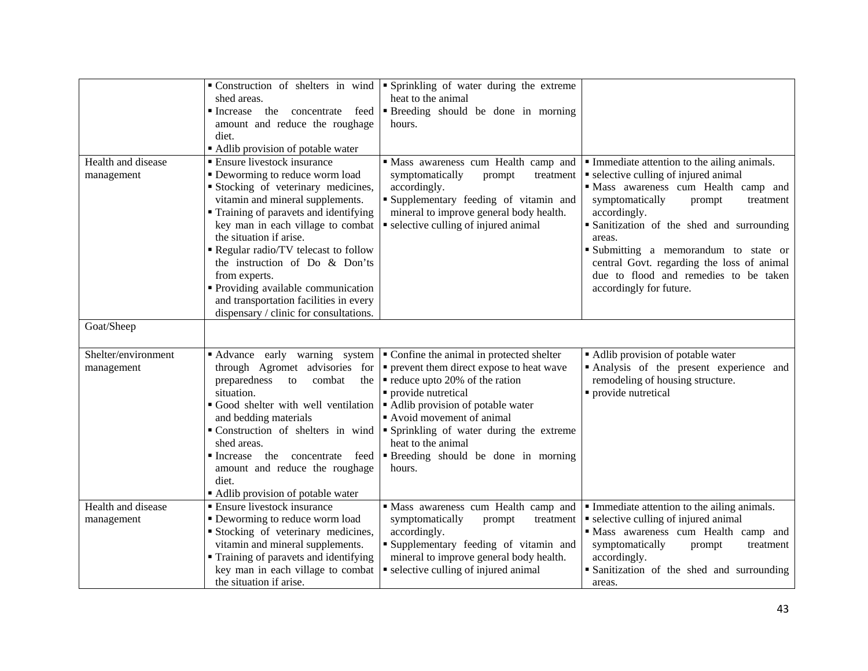|                                   | shed areas.<br>the concentrate feed<br>$\blacksquare$ Increase<br>amount and reduce the roughage<br>diet.<br>• Adlib provision of potable water                                                                                                                                                                                                                                                                                                                         | • Construction of shelters in wind $\bullet$ Sprinkling of water during the extreme<br>heat to the animal<br>Breeding should be done in morning<br>hours.                                                                                                                                                                                           |                                                                                                                                                                                                                                                                                                                                                                                                        |
|-----------------------------------|-------------------------------------------------------------------------------------------------------------------------------------------------------------------------------------------------------------------------------------------------------------------------------------------------------------------------------------------------------------------------------------------------------------------------------------------------------------------------|-----------------------------------------------------------------------------------------------------------------------------------------------------------------------------------------------------------------------------------------------------------------------------------------------------------------------------------------------------|--------------------------------------------------------------------------------------------------------------------------------------------------------------------------------------------------------------------------------------------------------------------------------------------------------------------------------------------------------------------------------------------------------|
| Health and disease<br>management  | ■ Ensure livestock insurance<br>• Deworming to reduce worm load<br>Stocking of veterinary medicines,<br>vitamin and mineral supplements.<br>• Training of paravets and identifying<br>key man in each village to combat<br>the situation if arise.<br>Regular radio/TV telecast to follow<br>the instruction of Do & Don'ts<br>from experts.<br>• Providing available communication<br>and transportation facilities in every<br>dispensary / clinic for consultations. | · Mass awareness cum Health camp and<br>symptomatically<br>prompt<br>treatment<br>accordingly.<br>Supplementary feeding of vitamin and<br>mineral to improve general body health.<br>• selective culling of injured animal                                                                                                                          | Immediate attention to the ailing animals.<br>• selective culling of injured animal<br>· Mass awareness cum Health camp and<br>symptomatically<br>prompt<br>treatment<br>accordingly.<br>• Sanitization of the shed and surrounding<br>areas.<br>Submitting a memorandum to state or<br>central Govt. regarding the loss of animal<br>due to flood and remedies to be taken<br>accordingly for future. |
| Goat/Sheep                        |                                                                                                                                                                                                                                                                                                                                                                                                                                                                         |                                                                                                                                                                                                                                                                                                                                                     |                                                                                                                                                                                                                                                                                                                                                                                                        |
| Shelter/environment<br>management | Advance early warning system<br>through Agromet advisories for<br>preparedness<br>combat<br>the<br>to<br>situation.<br>Good shelter with well ventilation<br>and bedding materials<br>Construction of shelters in wind<br>shed areas.<br>the concentrate<br>feed<br>$\blacksquare$ Increase<br>amount and reduce the roughage<br>diet.<br>Adlib provision of potable water                                                                                              | Confine the animal in protected shelter<br>• prevent them direct expose to heat wave<br>$\blacksquare$ reduce upto 20% of the ration<br>• provide nutretical<br>Adlib provision of potable water<br>Avoid movement of animal<br>Sprinkling of water during the extreme<br>heat to the animal<br><b>Breeding</b> should be done in morning<br>hours. | Adlib provision of potable water<br>Analysis of the present experience and<br>remodeling of housing structure.<br>· provide nutretical                                                                                                                                                                                                                                                                 |
| Health and disease<br>management  | • Ensure livestock insurance<br>• Deworming to reduce worm load<br>Stocking of veterinary medicines,<br>vitamin and mineral supplements.<br>• Training of paravets and identifying<br>key man in each village to combat<br>the situation if arise.                                                                                                                                                                                                                      | Mass awareness cum Health camp and<br>symptomatically<br>prompt<br>treatment<br>accordingly.<br>Supplementary feeding of vitamin and<br>mineral to improve general body health.<br>• selective culling of injured animal                                                                                                                            | Immediate attention to the ailing animals.<br>• selective culling of injured animal<br>· Mass awareness cum Health camp and<br>symptomatically<br>prompt<br>treatment<br>accordingly.<br>Sanitization of the shed and surrounding<br>areas.                                                                                                                                                            |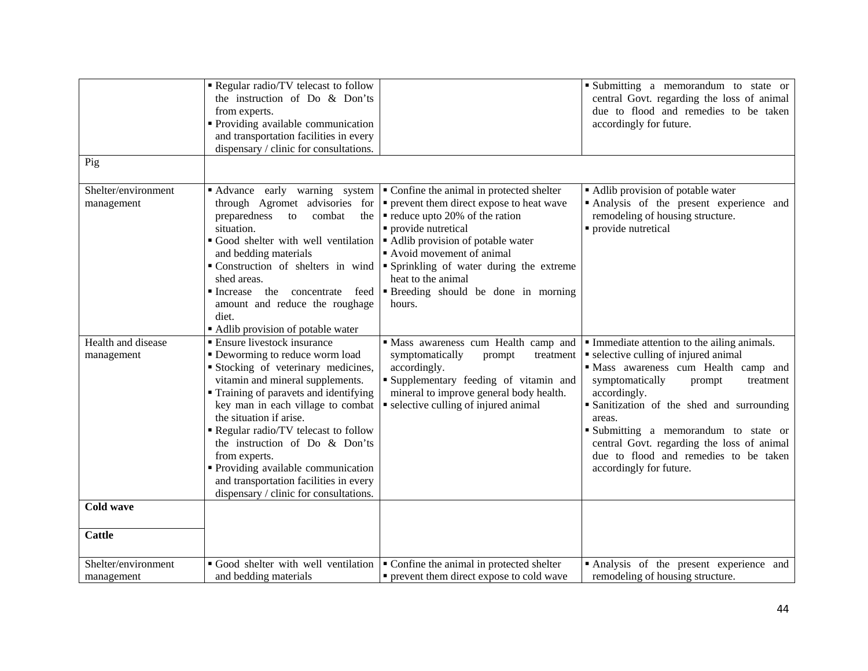| Pig                               | Regular radio/TV telecast to follow<br>the instruction of Do & Don'ts<br>from experts.<br>• Providing available communication<br>and transportation facilities in every<br>dispensary / clinic for consultations.                                                                                                                                                                                                                                                            |                                                                                                                                                                                                                                                                                                                                                                                                                                                                                                          | Submitting a memorandum to state or<br>central Govt. regarding the loss of animal<br>due to flood and remedies to be taken<br>accordingly for future.                                                                                                                                                                                                                                               |
|-----------------------------------|------------------------------------------------------------------------------------------------------------------------------------------------------------------------------------------------------------------------------------------------------------------------------------------------------------------------------------------------------------------------------------------------------------------------------------------------------------------------------|----------------------------------------------------------------------------------------------------------------------------------------------------------------------------------------------------------------------------------------------------------------------------------------------------------------------------------------------------------------------------------------------------------------------------------------------------------------------------------------------------------|-----------------------------------------------------------------------------------------------------------------------------------------------------------------------------------------------------------------------------------------------------------------------------------------------------------------------------------------------------------------------------------------------------|
|                                   |                                                                                                                                                                                                                                                                                                                                                                                                                                                                              |                                                                                                                                                                                                                                                                                                                                                                                                                                                                                                          |                                                                                                                                                                                                                                                                                                                                                                                                     |
| Shelter/environment<br>management | combat<br>preparedness<br>to<br>the<br>situation.<br>Good shelter with well ventilation<br>and bedding materials<br>shed areas.<br>amount and reduce the roughage<br>diet.<br>Adlib provision of potable water                                                                                                                                                                                                                                                               | • Advance early warning system   Confine the animal in protected shelter<br>through Agromet advisories for $\vert \cdot \vert$ prevent them direct expose to heat wave<br>$\blacksquare$ reduce upto 20% of the ration<br>• provide nutretical<br>Adlib provision of potable water<br>Avoid movement of animal<br>• Construction of shelters in wind $\bullet$ Sprinkling of water during the extreme<br>heat to the animal<br>Increase the concentrate feed Feeding should be done in morning<br>hours. | • Adlib provision of potable water<br>Analysis of the present experience and<br>remodeling of housing structure.<br>• provide nutretical                                                                                                                                                                                                                                                            |
| Health and disease<br>management  | <b>Ensure livestock insurance</b><br>• Deworming to reduce worm load<br>Stocking of veterinary medicines,<br>vitamin and mineral supplements.<br>• Training of paravets and identifying<br>key man in each village to combat<br>the situation if arise.<br>Regular radio/TV telecast to follow<br>the instruction of Do & Don'ts<br>from experts.<br>• Providing available communication<br>and transportation facilities in every<br>dispensary / clinic for consultations. | " Mass awareness cum Health camp and<br>symptomatically<br>prompt<br>treatment<br>accordingly.<br>"Supplementary feeding of vitamin and<br>mineral to improve general body health.<br>• selective culling of injured animal                                                                                                                                                                                                                                                                              | Immediate attention to the ailing animals.<br>• selective culling of injured animal<br>"Mass awareness cum Health camp and<br>symptomatically<br>treatment<br>prompt<br>accordingly.<br>Sanitization of the shed and surrounding<br>areas.<br>Submitting a memorandum to state or<br>central Govt. regarding the loss of animal<br>due to flood and remedies to be taken<br>accordingly for future. |
| <b>Cold wave</b>                  |                                                                                                                                                                                                                                                                                                                                                                                                                                                                              |                                                                                                                                                                                                                                                                                                                                                                                                                                                                                                          |                                                                                                                                                                                                                                                                                                                                                                                                     |
| <b>Cattle</b>                     |                                                                                                                                                                                                                                                                                                                                                                                                                                                                              |                                                                                                                                                                                                                                                                                                                                                                                                                                                                                                          |                                                                                                                                                                                                                                                                                                                                                                                                     |
| Shelter/environment<br>management | Good shelter with well ventilation<br>and bedding materials                                                                                                                                                                                                                                                                                                                                                                                                                  | • Confine the animal in protected shelter<br>• prevent them direct expose to cold wave                                                                                                                                                                                                                                                                                                                                                                                                                   | Analysis of the present experience and<br>remodeling of housing structure.                                                                                                                                                                                                                                                                                                                          |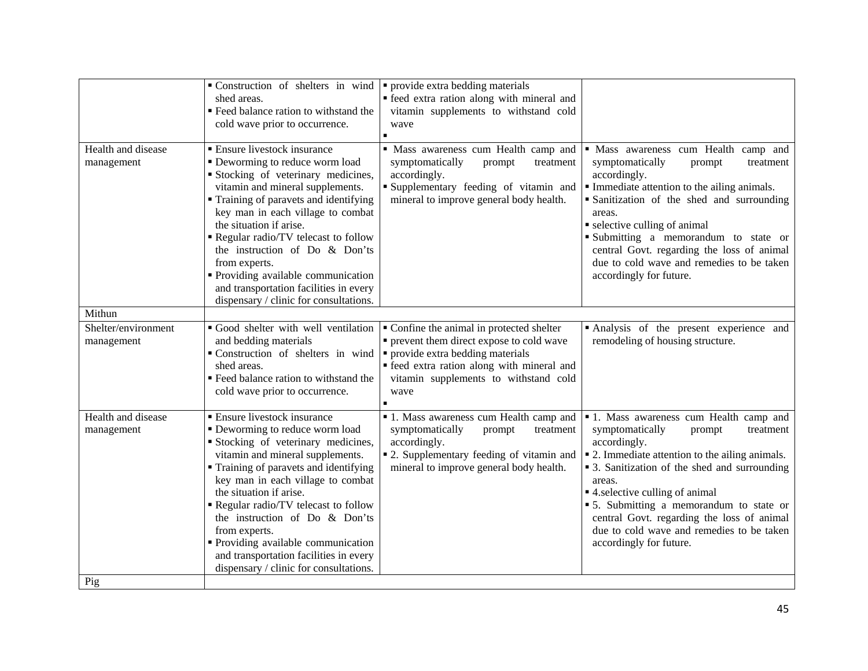|                                   | • Construction of shelters in wind $\vert \cdot \vert$ provide extra bedding materials<br>shed areas.<br>" Feed balance ration to withstand the<br>cold wave prior to occurrence.                                                                                                                                                                                                                                                                                     | • feed extra ration along with mineral and<br>vitamin supplements to withstand cold<br>wave                                                                                                                                |                                                                                                                                                                                                                                                                                                                                                                                                                                  |
|-----------------------------------|-----------------------------------------------------------------------------------------------------------------------------------------------------------------------------------------------------------------------------------------------------------------------------------------------------------------------------------------------------------------------------------------------------------------------------------------------------------------------|----------------------------------------------------------------------------------------------------------------------------------------------------------------------------------------------------------------------------|----------------------------------------------------------------------------------------------------------------------------------------------------------------------------------------------------------------------------------------------------------------------------------------------------------------------------------------------------------------------------------------------------------------------------------|
| Health and disease<br>management  | • Ensure livestock insurance<br>• Deworming to reduce worm load<br>Stocking of veterinary medicines,<br>vitamin and mineral supplements.<br>Training of paravets and identifying<br>key man in each village to combat<br>the situation if arise.<br>Regular radio/TV telecast to follow<br>the instruction of Do & Don'ts<br>from experts.<br>• Providing available communication<br>and transportation facilities in every<br>dispensary / clinic for consultations. | · Mass awareness cum Health camp and<br>symptomatically<br>prompt<br>treatment<br>accordingly.<br>Supplementary feeding of vitamin and<br>mineral to improve general body health.                                          | · Mass awareness cum Health camp and<br>symptomatically<br>treatment<br>prompt<br>accordingly.<br>Immediate attention to the ailing animals.<br>• Sanitization of the shed and surrounding<br>areas.<br>• selective culling of animal<br>Submitting a memorandum to state or<br>central Govt. regarding the loss of animal<br>due to cold wave and remedies to be taken<br>accordingly for future.                               |
| Mithun                            |                                                                                                                                                                                                                                                                                                                                                                                                                                                                       |                                                                                                                                                                                                                            |                                                                                                                                                                                                                                                                                                                                                                                                                                  |
| Shelter/environment<br>management | Good shelter with well ventilation<br>and bedding materials<br>Construction of shelters in wind<br>shed areas.<br>" Feed balance ration to withstand the<br>cold wave prior to occurrence.                                                                                                                                                                                                                                                                            | • Confine the animal in protected shelter<br>• prevent them direct expose to cold wave<br>• provide extra bedding materials<br>· feed extra ration along with mineral and<br>vitamin supplements to withstand cold<br>wave | Analysis of the present experience and<br>remodeling of housing structure.                                                                                                                                                                                                                                                                                                                                                       |
| Health and disease<br>management  | • Ensure livestock insurance<br>• Deworming to reduce worm load<br>Stocking of veterinary medicines,<br>vitamin and mineral supplements.<br>Training of paravets and identifying<br>key man in each village to combat<br>the situation if arise.<br>Regular radio/TV telecast to follow<br>the instruction of Do & Don'ts<br>from experts.<br>• Providing available communication<br>and transportation facilities in every<br>dispensary / clinic for consultations. | • 1. Mass awareness cum Health camp and<br>symptomatically<br>prompt<br>treatment<br>accordingly.<br>• 2. Supplementary feeding of vitamin and<br>mineral to improve general body health.                                  | <sup>1</sup> 1. Mass awareness cum Health camp and<br>symptomatically<br>prompt<br>treatment<br>accordingly.<br>• 2. Immediate attention to the ailing animals.<br>• 3. Sanitization of the shed and surrounding<br>areas.<br>■ 4. selective culling of animal<br>• 5. Submitting a memorandum to state or<br>central Govt. regarding the loss of animal<br>due to cold wave and remedies to be taken<br>accordingly for future. |
| Pig                               |                                                                                                                                                                                                                                                                                                                                                                                                                                                                       |                                                                                                                                                                                                                            |                                                                                                                                                                                                                                                                                                                                                                                                                                  |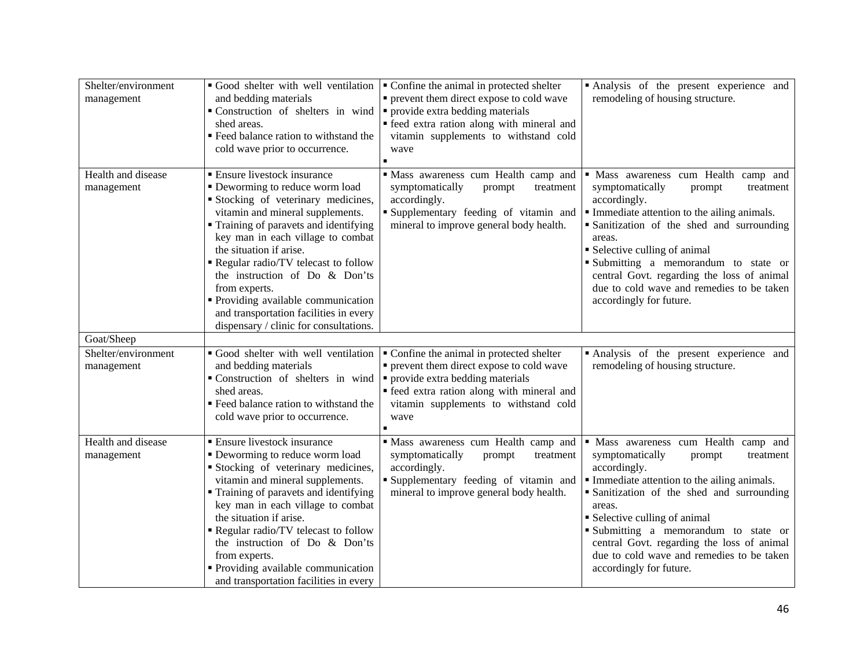| Shelter/environment<br>management | Good shelter with well ventilation<br>and bedding materials<br>• Construction of shelters in wind $\vert \cdot \vert$ provide extra bedding materials<br>shed areas.<br>" Feed balance ration to withstand the<br>cold wave prior to occurrence.                                                                                                                                                                                                                             | • Confine the animal in protected shelter<br>• prevent them direct expose to cold wave<br>• feed extra ration along with mineral and<br>vitamin supplements to withstand cold<br>wave                                      | Analysis of the present experience and<br>remodeling of housing structure.                                                                                                                                                                                                                                                                                                                         |
|-----------------------------------|------------------------------------------------------------------------------------------------------------------------------------------------------------------------------------------------------------------------------------------------------------------------------------------------------------------------------------------------------------------------------------------------------------------------------------------------------------------------------|----------------------------------------------------------------------------------------------------------------------------------------------------------------------------------------------------------------------------|----------------------------------------------------------------------------------------------------------------------------------------------------------------------------------------------------------------------------------------------------------------------------------------------------------------------------------------------------------------------------------------------------|
| Health and disease<br>management  | <b>Ensure livestock insurance</b><br>• Deworming to reduce worm load<br>Stocking of veterinary medicines,<br>vitamin and mineral supplements.<br>• Training of paravets and identifying<br>key man in each village to combat<br>the situation if arise.<br>Regular radio/TV telecast to follow<br>the instruction of Do & Don'ts<br>from experts.<br>" Providing available communication<br>and transportation facilities in every<br>dispensary / clinic for consultations. | · Mass awareness cum Health camp and<br>symptomatically<br>prompt<br>treatment<br>accordingly.<br>Supplementary feeding of vitamin and<br>mineral to improve general body health.                                          | · Mass awareness cum Health camp and<br>symptomatically<br>prompt<br>treatment<br>accordingly.<br>Immediate attention to the ailing animals.<br>• Sanitization of the shed and surrounding<br>areas.<br>• Selective culling of animal<br>Submitting a memorandum to state or<br>central Govt. regarding the loss of animal<br>due to cold wave and remedies to be taken<br>accordingly for future. |
| Goat/Sheep                        |                                                                                                                                                                                                                                                                                                                                                                                                                                                                              |                                                                                                                                                                                                                            |                                                                                                                                                                                                                                                                                                                                                                                                    |
| Shelter/environment<br>management | Good shelter with well ventilation<br>and bedding materials<br>Construction of shelters in wind<br>shed areas.<br>■ Feed balance ration to withstand the<br>cold wave prior to occurrence.                                                                                                                                                                                                                                                                                   | • Confine the animal in protected shelter<br>• prevent them direct expose to cold wave<br>• provide extra bedding materials<br>· feed extra ration along with mineral and<br>vitamin supplements to withstand cold<br>wave | Analysis of the present experience and<br>remodeling of housing structure.                                                                                                                                                                                                                                                                                                                         |
| Health and disease<br>management  | <b>Ensure livestock insurance</b><br>• Deworming to reduce worm load<br>Stocking of veterinary medicines,<br>vitamin and mineral supplements.<br>" Training of paravets and identifying<br>key man in each village to combat<br>the situation if arise.<br>Regular radio/TV telecast to follow<br>the instruction of Do & Don'ts<br>from experts.<br>• Providing available communication<br>and transportation facilities in every                                           | Mass awareness cum Health camp and<br>symptomatically<br>prompt<br>treatment<br>accordingly.<br>Supplementary feeding of vitamin and<br>mineral to improve general body health.                                            | · Mass awareness cum Health camp and<br>symptomatically<br>prompt<br>treatment<br>accordingly.<br>Immediate attention to the ailing animals.<br>Sanitization of the shed and surrounding<br>areas.<br>• Selective culling of animal<br>Submitting a memorandum to state or<br>central Govt. regarding the loss of animal<br>due to cold wave and remedies to be taken<br>accordingly for future.   |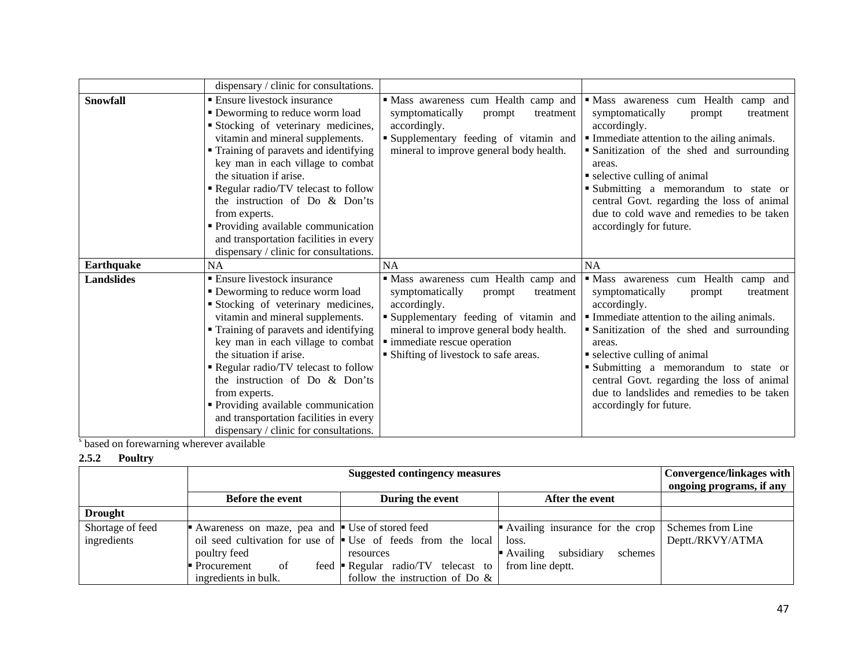|                   | dispensary / clinic for consultations.                                                                                                                                                                                                                                                                                                                                                                                                                                       |                                                                                                                                                                                                                                                             |                                                                                                                                                                                                                                                                                                                                                                                                   |
|-------------------|------------------------------------------------------------------------------------------------------------------------------------------------------------------------------------------------------------------------------------------------------------------------------------------------------------------------------------------------------------------------------------------------------------------------------------------------------------------------------|-------------------------------------------------------------------------------------------------------------------------------------------------------------------------------------------------------------------------------------------------------------|---------------------------------------------------------------------------------------------------------------------------------------------------------------------------------------------------------------------------------------------------------------------------------------------------------------------------------------------------------------------------------------------------|
| Snowfall          | • Ensure livestock insurance<br>• Deworming to reduce worm load<br>Stocking of veterinary medicines,<br>vitamin and mineral supplements.<br>• Training of paravets and identifying<br>key man in each village to combat<br>the situation if arise.<br>Regular radio/TV telecast to follow<br>the instruction of Do & Don'ts<br>from experts.<br>Providing available communication<br>and transportation facilities in every<br>dispensary / clinic for consultations.        | · Mass awareness cum Health camp and<br>symptomatically<br>prompt<br>treatment<br>accordingly.<br>Supplementary feeding of vitamin and<br>mineral to improve general body health.                                                                           | · Mass awareness cum Health camp and<br>symptomatically<br>treatment<br>prompt<br>accordingly.<br>Immediate attention to the ailing animals.<br>Sanitization of the shed and surrounding<br>areas.<br>• selective culling of animal<br>Submitting a memorandum to state or<br>central Govt. regarding the loss of animal<br>due to cold wave and remedies to be taken<br>accordingly for future.  |
| Earthquake        | NA                                                                                                                                                                                                                                                                                                                                                                                                                                                                           | <b>NA</b>                                                                                                                                                                                                                                                   | NA                                                                                                                                                                                                                                                                                                                                                                                                |
| <b>Landslides</b> | <b>Ensure livestock insurance</b><br>• Deworming to reduce worm load<br>Stocking of veterinary medicines,<br>vitamin and mineral supplements.<br>• Training of paravets and identifying<br>key man in each village to combat<br>the situation if arise.<br>Regular radio/TV telecast to follow<br>the instruction of Do & Don'ts<br>from experts.<br>• Providing available communication<br>and transportation facilities in every<br>dispensary / clinic for consultations. | · Mass awareness cum Health camp and<br>symptomatically<br>treatment<br>prompt<br>accordingly.<br>Supplementary feeding of vitamin and<br>mineral to improve general body health.<br>· immediate rescue operation<br>• Shifting of livestock to safe areas. | · Mass awareness cum Health camp and<br>symptomatically<br>treatment<br>prompt<br>accordingly.<br>Immediate attention to the ailing animals.<br>Sanitization of the shed and surrounding<br>areas.<br>• selective culling of animal<br>Submitting a memorandum to state or<br>central Govt. regarding the loss of animal<br>due to landslides and remedies to be taken<br>accordingly for future. |

<sup>s</sup> based on forewarning wherever available

### **2.5.2 Poultry**

|                  | <b>Suggested contingency measures</b>         |                                                                            |                                                   | <b>Convergence/linkages with</b><br>ongoing programs, if any |
|------------------|-----------------------------------------------|----------------------------------------------------------------------------|---------------------------------------------------|--------------------------------------------------------------|
|                  | <b>Before the event</b>                       | During the event                                                           | After the event                                   |                                                              |
| <b>Drought</b>   |                                               |                                                                            |                                                   |                                                              |
| Shortage of feed | Awareness on maze, pea and Use of stored feed |                                                                            | Availing insurance for the crop Schemes from Line |                                                              |
| ingredients      |                                               | oil seed cultivation for use of $\blacksquare$ Use of feeds from the local | loss.                                             | Deptt./RKVY/ATMA                                             |
|                  | poultry feed                                  | resources                                                                  | Availing<br>subsidiary<br>schemes                 |                                                              |
|                  | Procurement<br>0f                             | feed <b>-</b> Regular radio/ $TV$ telecast to                              | from line deptt.                                  |                                                              |
|                  | ingredients in bulk.                          | follow the instruction of Do $\&$                                          |                                                   |                                                              |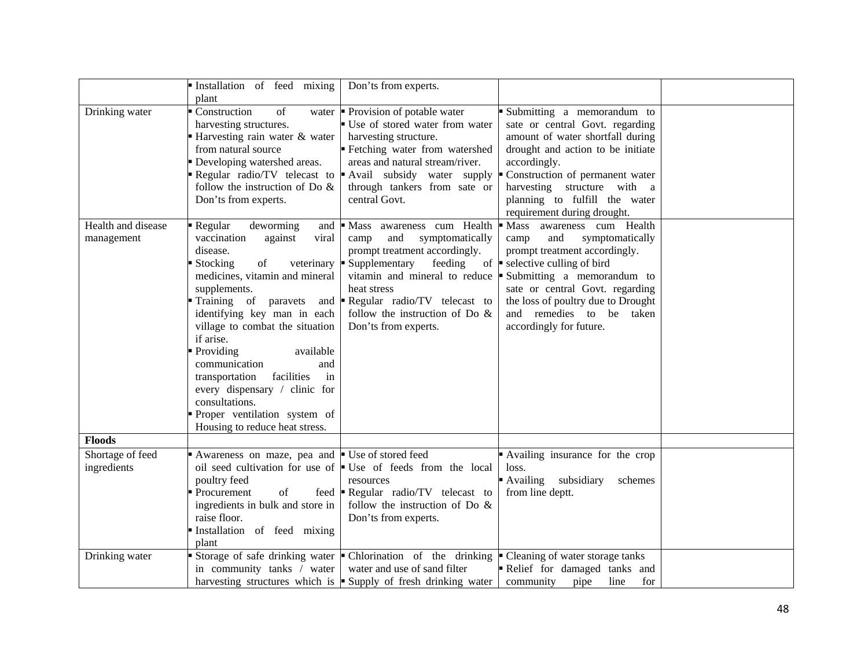|                                  | Installation of feed mixing<br>plant                                                                                                                                                                                                                                                                                                                                                                                                                                               | Don'ts from experts.                                                                                                                                                                                                                                                               |                                                                                                                                                                                                                                                                                                      |  |
|----------------------------------|------------------------------------------------------------------------------------------------------------------------------------------------------------------------------------------------------------------------------------------------------------------------------------------------------------------------------------------------------------------------------------------------------------------------------------------------------------------------------------|------------------------------------------------------------------------------------------------------------------------------------------------------------------------------------------------------------------------------------------------------------------------------------|------------------------------------------------------------------------------------------------------------------------------------------------------------------------------------------------------------------------------------------------------------------------------------------------------|--|
| Drinking water                   | Construction<br>of<br>harvesting structures.<br>Harvesting rain water & water<br>from natural source<br>Developing watershed areas.<br>Regular radio/TV telecast to<br>follow the instruction of Do $\&$<br>Don'ts from experts.                                                                                                                                                                                                                                                   | water $\blacksquare$ Provision of potable water<br>Use of stored water from water<br>harvesting structure.<br>Fetching water from watershed<br>areas and natural stream/river.<br>Avail subsidy water supply<br>through tankers from sate or<br>central Govt.                      | Submitting a memorandum to<br>sate or central Govt. regarding<br>amount of water shortfall during<br>drought and action to be initiate<br>accordingly.<br>Construction of permanent water<br>harvesting structure with a<br>planning to fulfill the water<br>requirement during drought.             |  |
| Health and disease<br>management | Regular<br>deworming<br>and<br>vaccination<br>against<br>viral<br>disease.<br>■ Stocking<br>of<br>veterinary<br>medicines, vitamin and mineral<br>supplements.<br>Training of paravets<br>identifying key man in each<br>village to combat the situation<br>if arise.<br>Providing<br>available<br>communication<br>and<br>facilities<br>transportation<br>in<br>every dispensary / clinic for<br>consultations.<br>Proper ventilation system of<br>Housing to reduce heat stress. | Mass awareness cum Health<br>symptomatically<br>and<br>camp<br>prompt treatment accordingly.<br>Supplementary<br>feeding<br>vitamin and mineral to reduce<br>heat stress<br>and <b>P</b> Regular radio/TV telecast to<br>follow the instruction of Do $\&$<br>Don'ts from experts. | Mass awareness cum Health<br>symptomatically<br>camp<br>and<br>prompt treatment accordingly.<br>of $\bullet$ selective culling of bird<br>Submitting a memorandum to<br>sate or central Govt. regarding<br>the loss of poultry due to Drought<br>and remedies to be taken<br>accordingly for future. |  |
| <b>Floods</b>                    |                                                                                                                                                                                                                                                                                                                                                                                                                                                                                    |                                                                                                                                                                                                                                                                                    |                                                                                                                                                                                                                                                                                                      |  |
| Shortage of feed<br>ingredients  | Awareness on maze, pea and Use of stored feed<br>poultry feed<br>Procurement<br>of<br>ingredients in bulk and store in<br>raise floor.<br>Installation of feed mixing<br>plant                                                                                                                                                                                                                                                                                                     | oil seed cultivation for use of $\bullet$ Use of feeds from the local<br>resources<br>feed <b>-</b> Regular radio/TV telecast to<br>follow the instruction of Do $\&$<br>Don'ts from experts.                                                                                      | Availing insurance for the crop<br>loss.<br>Availing<br>subsidiary<br>schemes<br>from line deptt.                                                                                                                                                                                                    |  |
| Drinking water                   | in community tanks / water                                                                                                                                                                                                                                                                                                                                                                                                                                                         | Storage of safe drinking water $\bullet$ Chlorination of the drinking $\bullet$ Cleaning of water storage tanks<br>water and use of sand filter<br>harvesting structures which is $\blacksquare$ Supply of fresh drinking water                                                    | Relief for damaged tanks and<br>line<br>community<br>pipe<br>for                                                                                                                                                                                                                                     |  |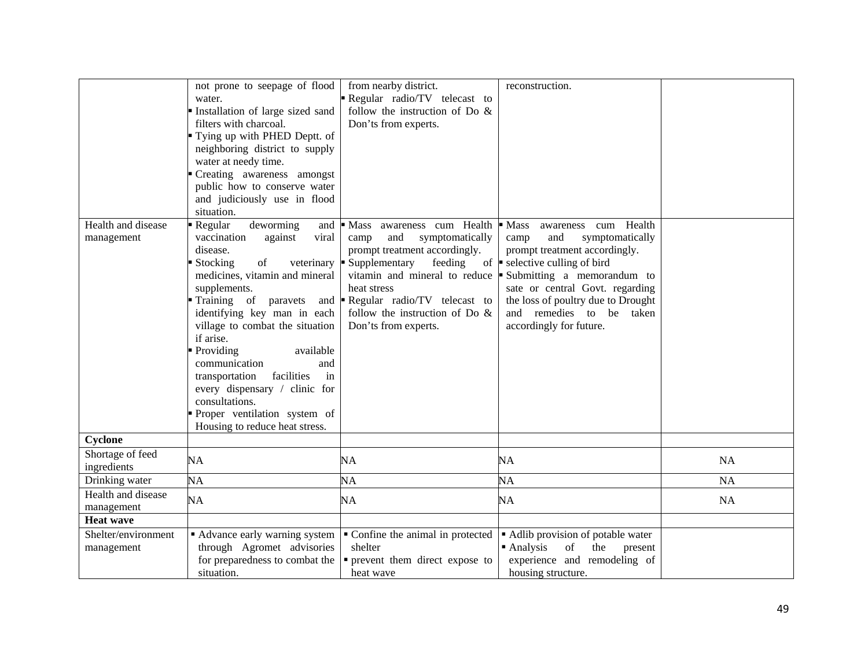| Health and disease<br>management  | not prone to seepage of flood<br>water.<br>Installation of large sized sand<br>filters with charcoal.<br>Tying up with PHED Deptt. of<br>neighboring district to supply<br>water at needy time.<br>Creating awareness amongst<br>public how to conserve water<br>and judiciously use in flood<br>situation.<br>Regular<br>deworming<br>and<br>vaccination<br>against<br>viral<br>disease.<br>of<br>Stocking<br>veterinary<br>medicines, vitamin and mineral<br>supplements.<br>Training of paravets<br>and<br>identifying key man in each<br>village to combat the situation | from nearby district.<br>Regular radio/TV telecast to<br>follow the instruction of Do $\&$<br>Don'ts from experts.<br>$\blacksquare$ Mass<br>awareness cum Health<br>and<br>symptomatically<br>camp<br>prompt treatment accordingly.<br>Supplementary<br>feeding<br>vitamin and mineral to reduce $\blacksquare$<br>heat stress<br>Regular radio/TV telecast to<br>follow the instruction of Do $\&$<br>Don'ts from experts. | reconstruction.<br>cum Health<br>• Mass<br>awareness<br>and<br>symptomatically<br>camp<br>prompt treatment accordingly.<br>of $\bullet$ selective culling of bird<br>Submitting a memorandum to<br>sate or central Govt. regarding<br>the loss of poultry due to Drought<br>and remedies to be taken<br>accordingly for future. |           |
|-----------------------------------|------------------------------------------------------------------------------------------------------------------------------------------------------------------------------------------------------------------------------------------------------------------------------------------------------------------------------------------------------------------------------------------------------------------------------------------------------------------------------------------------------------------------------------------------------------------------------|------------------------------------------------------------------------------------------------------------------------------------------------------------------------------------------------------------------------------------------------------------------------------------------------------------------------------------------------------------------------------------------------------------------------------|---------------------------------------------------------------------------------------------------------------------------------------------------------------------------------------------------------------------------------------------------------------------------------------------------------------------------------|-----------|
|                                   | if arise.<br>Providing<br>available<br>communication<br>and<br>facilities<br>transportation<br>in<br>every dispensary / clinic for<br>consultations.<br>Proper ventilation system of<br>Housing to reduce heat stress.                                                                                                                                                                                                                                                                                                                                                       |                                                                                                                                                                                                                                                                                                                                                                                                                              |                                                                                                                                                                                                                                                                                                                                 |           |
| Cyclone                           |                                                                                                                                                                                                                                                                                                                                                                                                                                                                                                                                                                              |                                                                                                                                                                                                                                                                                                                                                                                                                              |                                                                                                                                                                                                                                                                                                                                 |           |
| Shortage of feed<br>ingredients   | <b>NA</b>                                                                                                                                                                                                                                                                                                                                                                                                                                                                                                                                                                    | NA                                                                                                                                                                                                                                                                                                                                                                                                                           | NA                                                                                                                                                                                                                                                                                                                              | NA        |
| Drinking water                    | NA                                                                                                                                                                                                                                                                                                                                                                                                                                                                                                                                                                           | NA                                                                                                                                                                                                                                                                                                                                                                                                                           | NA                                                                                                                                                                                                                                                                                                                              | <b>NA</b> |
| Health and disease<br>management  | <b>NA</b>                                                                                                                                                                                                                                                                                                                                                                                                                                                                                                                                                                    | NA                                                                                                                                                                                                                                                                                                                                                                                                                           | NA                                                                                                                                                                                                                                                                                                                              | <b>NA</b> |
| <b>Heat wave</b>                  |                                                                                                                                                                                                                                                                                                                                                                                                                                                                                                                                                                              |                                                                                                                                                                                                                                                                                                                                                                                                                              |                                                                                                                                                                                                                                                                                                                                 |           |
| Shelter/environment<br>management | Advance early warning system<br>through Agromet advisories<br>for preparedness to combat the<br>situation.                                                                                                                                                                                                                                                                                                                                                                                                                                                                   | • Confine the animal in protected<br>shelter<br>• prevent them direct expose to<br>heat wave                                                                                                                                                                                                                                                                                                                                 | • Adlib provision of potable water<br>Analysis<br>of<br>the<br>present<br>experience and remodeling of<br>housing structure.                                                                                                                                                                                                    |           |
|                                   |                                                                                                                                                                                                                                                                                                                                                                                                                                                                                                                                                                              |                                                                                                                                                                                                                                                                                                                                                                                                                              |                                                                                                                                                                                                                                                                                                                                 |           |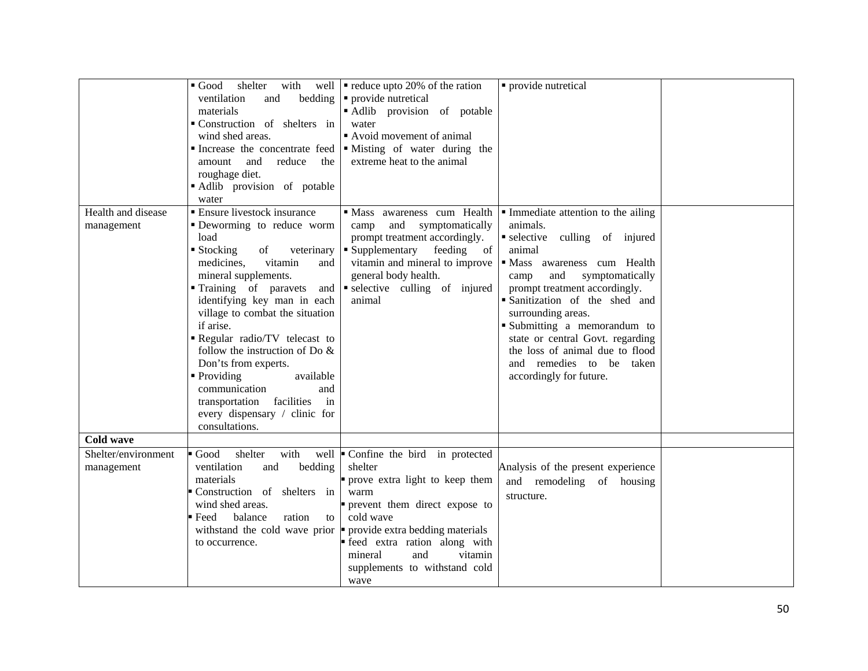|                                   | with<br>shelter<br>$\blacksquare$ Good<br>bedding<br>ventilation<br>and<br>materials<br>Construction of shelters in<br>wind shed areas.<br>and<br>reduce<br>amount<br>the<br>roughage diet.<br>Adlib provision of potable<br>water                                                                                                                                                                                                                                                                                           | well $\bullet$ reduce upto 20% of the ration<br>• provide nutretical<br>Adlib provision of potable<br>water<br>Avoid movement of animal<br>Increase the concentrate feed $\vert \cdot \vert$ Misting of water during the<br>extreme heat to the animal                    | • provide nutretical                                                                                                                                                                                                                                                                                                                                                                                                                                                |  |
|-----------------------------------|------------------------------------------------------------------------------------------------------------------------------------------------------------------------------------------------------------------------------------------------------------------------------------------------------------------------------------------------------------------------------------------------------------------------------------------------------------------------------------------------------------------------------|---------------------------------------------------------------------------------------------------------------------------------------------------------------------------------------------------------------------------------------------------------------------------|---------------------------------------------------------------------------------------------------------------------------------------------------------------------------------------------------------------------------------------------------------------------------------------------------------------------------------------------------------------------------------------------------------------------------------------------------------------------|--|
| Health and disease<br>management  | <b>Ensure livestock insurance</b><br>" Deworming to reduce worm<br>load<br>$\blacksquare$ Stocking<br>veterinary<br>of<br>vitamin<br>medicines.<br>and<br>mineral supplements.<br>Training of paravets<br>identifying key man in each<br>village to combat the situation<br>if arise.<br>Regular radio/TV telecast to<br>follow the instruction of Do $\&$<br>Don'ts from experts.<br>• Providing<br>available<br>communication<br>and<br>transportation facilities<br>in<br>every dispensary / clinic for<br>consultations. | and<br>symptomatically<br>camp<br>prompt treatment accordingly.<br>• Supplementary feeding of<br>vitamin and mineral to improve<br>general body health.<br>and $\bullet$ selective culling of injured<br>animal                                                           | $\blacksquare$ Mass awareness cum Health $\blacksquare$ Immediate attention to the ailing<br>animals.<br>selective culling of injured<br>animal<br>· Mass awareness cum Health<br>symptomatically<br>and<br>camp<br>prompt treatment accordingly.<br>Sanitization of the shed and<br>surrounding areas.<br>Submitting a memorandum to<br>state or central Govt. regarding<br>the loss of animal due to flood<br>and remedies to be taken<br>accordingly for future. |  |
| Cold wave                         |                                                                                                                                                                                                                                                                                                                                                                                                                                                                                                                              |                                                                                                                                                                                                                                                                           |                                                                                                                                                                                                                                                                                                                                                                                                                                                                     |  |
| Shelter/environment<br>management | with<br>Good<br>shelter<br>well<br>ventilation<br>bedding<br>and<br>materials<br>Construction of shelters in<br>wind shed areas.<br>ration<br>Feed<br>balance<br>to<br>withstand the cold wave prior<br>to occurrence.                                                                                                                                                                                                                                                                                                       | Confine the bird in protected<br>shelter<br>prove extra light to keep them<br>warm<br>prevent them direct expose to<br>cold wave<br>provide extra bedding materials<br>feed extra ration along with<br>mineral<br>vitamin<br>and<br>supplements to withstand cold<br>wave | Analysis of the present experience<br>and remodeling of housing<br>structure.                                                                                                                                                                                                                                                                                                                                                                                       |  |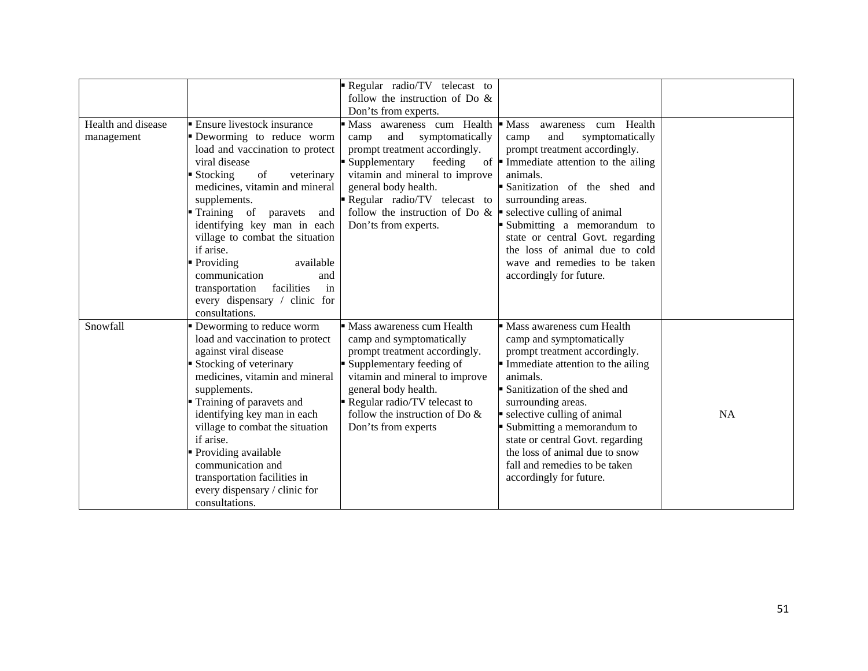|                    |                                             | Regular radio/TV telecast to<br>follow the instruction of Do $\&$ |                                                     |           |
|--------------------|---------------------------------------------|-------------------------------------------------------------------|-----------------------------------------------------|-----------|
|                    |                                             | Don'ts from experts.                                              |                                                     |           |
| Health and disease | ■ Ensure livestock insurance                | awareness cum Health<br><b>Mass</b>                               | Mass<br>cum Health<br>awareness                     |           |
| management         | Deworming to reduce worm                    | and<br>symptomatically<br>camp                                    | symptomatically<br>camp<br>and                      |           |
|                    | load and vaccination to protect             | prompt treatment accordingly.                                     | prompt treatment accordingly.                       |           |
|                    | viral disease                               | Supplementary<br>feeding                                          | of $\blacksquare$ Immediate attention to the ailing |           |
|                    | $\blacksquare$ Stocking<br>of<br>veterinary | vitamin and mineral to improve                                    | animals.                                            |           |
|                    | medicines, vitamin and mineral              | general body health.                                              | Sanitization of the shed and                        |           |
|                    | supplements.                                | Regular radio/TV telecast to                                      | surrounding areas.                                  |           |
|                    | Training of paravets<br>and                 | follow the instruction of Do $\& \ \blacksquare$                  | selective culling of animal                         |           |
|                    | identifying key man in each                 | Don'ts from experts.                                              | Submitting a memorandum to                          |           |
|                    | village to combat the situation             |                                                                   | state or central Govt. regarding                    |           |
|                    | if arise.                                   |                                                                   | the loss of animal due to cold                      |           |
|                    | • Providing<br>available                    |                                                                   | wave and remedies to be taken                       |           |
|                    | communication<br>and                        |                                                                   | accordingly for future.                             |           |
|                    | in<br>transportation<br>facilities          |                                                                   |                                                     |           |
|                    | every dispensary / clinic for               |                                                                   |                                                     |           |
|                    | consultations.                              |                                                                   |                                                     |           |
| Snowfall           | Deworming to reduce worm                    | • Mass awareness cum Health                                       | Mass awareness cum Health                           |           |
|                    | load and vaccination to protect             | camp and symptomatically                                          | camp and symptomatically                            |           |
|                    | against viral disease                       | prompt treatment accordingly.                                     | prompt treatment accordingly.                       |           |
|                    | Stocking of veterinary                      | Supplementary feeding of                                          | Immediate attention to the ailing                   |           |
|                    | medicines, vitamin and mineral              | vitamin and mineral to improve                                    | animals.                                            |           |
|                    | supplements.                                | general body health.                                              | Sanitization of the shed and                        |           |
|                    | Training of paravets and                    | Regular radio/TV telecast to                                      | surrounding areas.                                  |           |
|                    | identifying key man in each                 | follow the instruction of Do &                                    | selective culling of animal                         | <b>NA</b> |
|                    | village to combat the situation             | Don'ts from experts                                               | Submitting a memorandum to                          |           |
|                    | if arise.                                   |                                                                   | state or central Govt. regarding                    |           |
|                    | Providing available                         |                                                                   | the loss of animal due to snow                      |           |
|                    | communication and                           |                                                                   | fall and remedies to be taken                       |           |
|                    | transportation facilities in                |                                                                   | accordingly for future.                             |           |
|                    | every dispensary / clinic for               |                                                                   |                                                     |           |
|                    | consultations.                              |                                                                   |                                                     |           |